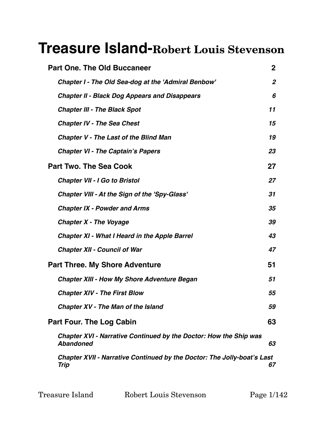# **Treasure Island-Robert Louis Stevenson**

| <b>Part One. The Old Buccaneer</b>                                                    | $\mathbf{2}$     |
|---------------------------------------------------------------------------------------|------------------|
| <b>Chapter I - The Old Sea-dog at the 'Admiral Benbow'</b>                            | $\boldsymbol{2}$ |
| <b>Chapter II - Black Dog Appears and Disappears</b>                                  | 6                |
| <b>Chapter III - The Black Spot</b>                                                   | 11               |
| <b>Chapter IV - The Sea Chest</b>                                                     | 15               |
| <b>Chapter V - The Last of the Blind Man</b>                                          | 19               |
| <b>Chapter VI - The Captain's Papers</b>                                              | 23               |
| <b>Part Two. The Sea Cook</b>                                                         | 27               |
| <b>Chapter VII - I Go to Bristol</b>                                                  | 27               |
| <b>Chapter VIII - At the Sign of the 'Spy-Glass'</b>                                  | 31               |
| <b>Chapter IX - Powder and Arms</b>                                                   | 35               |
| <b>Chapter X - The Voyage</b>                                                         | 39               |
| <b>Chapter XI - What I Heard in the Apple Barrel</b>                                  | 43               |
| <b>Chapter XII - Council of War</b>                                                   | 47               |
| <b>Part Three. My Shore Adventure</b>                                                 | 51               |
| <b>Chapter XIII - How My Shore Adventure Began</b>                                    | 51               |
| <b>Chapter XIV - The First Blow</b>                                                   | 55               |
| <b>Chapter XV - The Man of the Island</b>                                             | 59               |
| <b>Part Four. The Log Cabin</b>                                                       | 63               |
| Chapter XVI - Narrative Continued by the Doctor: How the Ship was<br><b>Abandoned</b> | 63               |
| Chapter XVII - Narrative Continued by the Doctor: The Jolly-boat's Last<br>Trip       | 67               |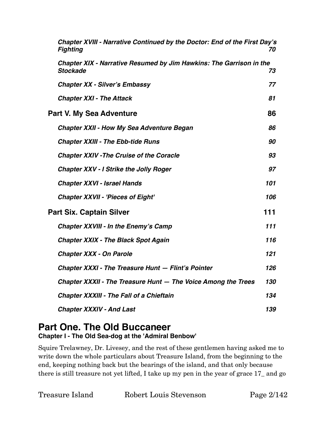| Chapter XVIII - Narrative Continued by the Doctor: End of the First Day's<br><b>Fighting</b>  | 70  |
|-----------------------------------------------------------------------------------------------|-----|
| <b>Chapter XIX - Narrative Resumed by Jim Hawkins: The Garrison in the</b><br><b>Stockade</b> | 73  |
| <b>Chapter XX - Silver's Embassy</b>                                                          | 77  |
| <b>Chapter XXI - The Attack</b>                                                               | 81  |
| <b>Part V. My Sea Adventure</b>                                                               | 86  |
| <b>Chapter XXII - How My Sea Adventure Began</b>                                              | 86  |
| <b>Chapter XXIII - The Ebb-tide Runs</b>                                                      | 90  |
| <b>Chapter XXIV - The Cruise of the Coracle</b>                                               | 93  |
| <b>Chapter XXV - I Strike the Jolly Roger</b>                                                 | 97  |
| <b>Chapter XXVI - Israel Hands</b>                                                            | 101 |
| <b>Chapter XXVII - 'Pieces of Eight'</b>                                                      | 106 |
| <b>Part Six. Captain Silver</b>                                                               | 111 |
| <b>Chapter XXVIII - In the Enemy's Camp</b>                                                   | 111 |
| <b>Chapter XXIX - The Black Spot Again</b>                                                    | 116 |
| <b>Chapter XXX - On Parole</b>                                                                | 121 |
| Chapter XXXI - The Treasure Hunt - Flint's Pointer                                            | 126 |
| Chapter XXXII - The Treasure Hunt - The Voice Among the Trees                                 | 130 |
| <b>Chapter XXXIII - The Fall of a Chieftain</b>                                               | 134 |
| <b>Chapter XXXIV - And Last</b>                                                               | 139 |

# <span id="page-1-1"></span><span id="page-1-0"></span>**Part One. The Old Buccaneer Chapter I - The Old Sea-dog at the 'Admiral Benbow'**

Squire Trelawney, Dr. Livesey, and the rest of these gentlemen having asked me to write down the whole particulars about Treasure Island, from the beginning to the end, keeping nothing back but the bearings of the island, and that only because there is still treasure not yet lifted, I take up my pen in the year of grace 17\_ and go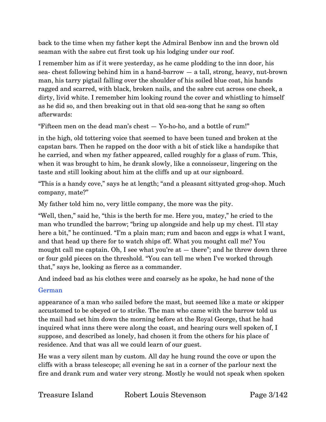back to the time when my father kept the Admiral Benbow inn and the brown old seaman with the sabre cut first took up his lodging under our roof.

I remember him as if it were yesterday, as he came plodding to the inn door, his sea- chest following behind him in a hand-barrow — a tall, strong, heavy, nut-brown man, his tarry pigtail falling over the shoulder of his soiled blue coat, his hands ragged and scarred, with black, broken nails, and the sabre cut across one cheek, a dirty, livid white. I remember him looking round the cover and whistling to himself as he did so, and then breaking out in that old sea-song that he sang so often afterwards:

"Fifteen men on the dead man's chest  $-$  Yo-ho-ho, and a bottle of rum!"

in the high, old tottering voice that seemed to have been tuned and broken at the capstan bars. Then he rapped on the door with a bit of stick like a handspike that he carried, and when my father appeared, called roughly for a glass of rum. This, when it was brought to him, he drank slowly, like a connoisseur, lingering on the taste and still looking about him at the cliffs and up at our signboard.

"This is a handy cove," says he at length; "and a pleasant sittyated grog-shop. Much company, mate?"

My father told him no, very little company, the more was the pity.

"Well, then," said he, "this is the berth for me. Here you, matey," he cried to the man who trundled the barrow; "bring up alongside and help up my chest. I'll stay here a bit," he continued. "I'm a plain man; rum and bacon and eggs is what I want, and that head up there for to watch ships off. What you mought call me? You mought call me captain. Oh, I see what you're at  $-$  there"; and he threw down three or four gold pieces on the threshold. "You can tell me when I've worked through that," says he, looking as fierce as a commander.

And indeed bad as his clothes were and coarsely as he spoke, he had none of the

# German

appearance of a man who sailed before the mast, but seemed like a mate or skipper accustomed to be obeyed or to strike. The man who came with the barrow told us the mail had set him down the morning before at the Royal George, that he had inquired what inns there were along the coast, and hearing ours well spoken of, I suppose, and described as lonely, had chosen it from the others for his place of residence. And that was all we could learn of our guest.

He was a very silent man by custom. All day he hung round the cove or upon the cliffs with a brass telescope; all evening he sat in a corner of the parlour next the fire and drank rum and water very strong. Mostly he would not speak when spoken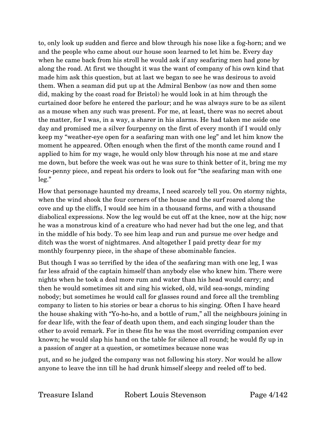to, only look up sudden and fierce and blow through his nose like a fog-horn; and we and the people who came about our house soon learned to let him be. Every day when he came back from his stroll he would ask if any seafaring men had gone by along the road. At first we thought it was the want of company of his own kind that made him ask this question, but at last we began to see he was desirous to avoid them. When a seaman did put up at the Admiral Benbow (as now and then some did, making by the coast road for Bristol) he would look in at him through the curtained door before he entered the parlour; and he was always sure to be as silent as a mouse when any such was present. For me, at least, there was no secret about the matter, for I was, in a way, a sharer in his alarms. He had taken me aside one day and promised me a silver fourpenny on the first of every month if I would only keep my "weather-eye open for a seafaring man with one leg" and let him know the moment he appeared. Often enough when the first of the month came round and I applied to him for my wage, he would only blow through his nose at me and stare me down, but before the week was out he was sure to think better of it, bring me my four-penny piece, and repeat his orders to look out for "the seafaring man with one leg."

How that personage haunted my dreams, I need scarcely tell you. On stormy nights, when the wind shook the four corners of the house and the surf roared along the cove and up the cliffs, I would see him in a thousand forms, and with a thousand diabolical expressions. Now the leg would be cut off at the knee, now at the hip; now he was a monstrous kind of a creature who had never had but the one leg, and that in the middle of his body. To see him leap and run and pursue me over hedge and ditch was the worst of nightmares. And altogether I paid pretty dear for my monthly fourpenny piece, in the shape of these abominable fancies.

But though I was so terrified by the idea of the seafaring man with one leg, I was far less afraid of the captain himself than anybody else who knew him. There were nights when he took a deal more rum and water than his head would carry; and then he would sometimes sit and sing his wicked, old, wild sea-songs, minding nobody; but sometimes he would call for glasses round and force all the trembling company to listen to his stories or bear a chorus to his singing. Often I have heard the house shaking with "Yo-ho-ho, and a bottle of rum," all the neighbours joining in for dear life, with the fear of death upon them, and each singing louder than the other to avoid remark. For in these fits he was the most overriding companion ever known; he would slap his hand on the table for silence all round; he would fly up in a passion of anger at a question, or sometimes because none was

put, and so he judged the company was not following his story. Nor would he allow anyone to leave the inn till he had drunk himself sleepy and reeled off to bed.

Treasure Island Robert Louis Stevenson Page 4/142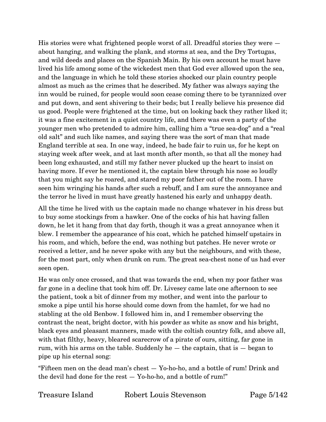His stories were what frightened people worst of all. Dreadful stories they were about hanging, and walking the plank, and storms at sea, and the Dry Tortugas, and wild deeds and places on the Spanish Main. By his own account he must have lived his life among some of the wickedest men that God ever allowed upon the sea, and the language in which he told these stories shocked our plain country people almost as much as the crimes that he described. My father was always saying the inn would be ruined, for people would soon cease coming there to be tyrannized over and put down, and sent shivering to their beds; but I really believe his presence did us good. People were frightened at the time, but on looking back they rather liked it; it was a fine excitement in a quiet country life, and there was even a party of the younger men who pretended to admire him, calling him a "true sea-dog" and a "real old salt" and such like names, and saying there was the sort of man that made England terrible at sea. In one way, indeed, he bade fair to ruin us, for he kept on staying week after week, and at last month after month, so that all the money had been long exhausted, and still my father never plucked up the heart to insist on having more. If ever he mentioned it, the captain blew through his nose so loudly that you might say he roared, and stared my poor father out of the room. I have seen him wringing his hands after such a rebuff, and I am sure the annoyance and the terror he lived in must have greatly hastened his early and unhappy death.

All the time he lived with us the captain made no change whatever in his dress but to buy some stockings from a hawker. One of the cocks of his hat having fallen down, he let it hang from that day forth, though it was a great annoyance when it blew. I remember the appearance of his coat, which he patched himself upstairs in his room, and which, before the end, was nothing but patches. He never wrote or received a letter, and he never spoke with any but the neighbours, and with these, for the most part, only when drunk on rum. The great sea-chest none of us had ever seen open.

He was only once crossed, and that was towards the end, when my poor father was far gone in a decline that took him off. Dr. Livesey came late one afternoon to see the patient, took a bit of dinner from my mother, and went into the parlour to smoke a pipe until his horse should come down from the hamlet, for we had no stabling at the old Benbow. I followed him in, and I remember observing the contrast the neat, bright doctor, with his powder as white as snow and his bright, black eyes and pleasant manners, made with the coltish country folk, and above all, with that filthy, heavy, bleared scarecrow of a pirate of ours, sitting, far gone in rum, with his arms on the table. Suddenly he — the captain, that is — began to pipe up his eternal song:

"Fifteen men on the dead man's chest — Yo-ho-ho, and a bottle of rum! Drink and the devil had done for the rest — Yo-ho-ho, and a bottle of rum!"

Treasure Island Robert Louis Stevenson Page 5/142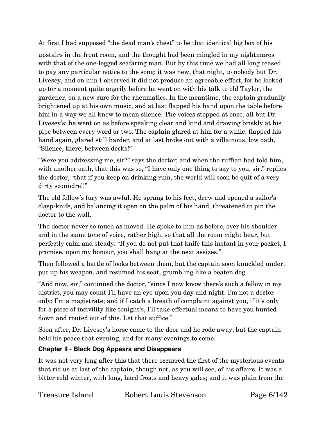At first I had supposed "the dead man's chest" to be that identical big box of his

upstairs in the front room, and the thought had been mingled in my nightmares with that of the one-legged seafaring man. But by this time we had all long ceased to pay any particular notice to the song; it was new, that night, to nobody but Dr. Livesey, and on him I observed it did not produce an agreeable effect, for he looked up for a moment quite angrily before he went on with his talk to old Taylor, the gardener, on a new cure for the rheumatics. In the meantime, the captain gradually brightened up at his own music, and at last flapped his hand upon the table before him in a way we all knew to mean silence. The voices stopped at once, all but Dr. Livesey's; he went on as before speaking clear and kind and drawing briskly at his pipe between every word or two. The captain glared at him for a while, flapped his hand again, glared still harder, and at last broke out with a villainous, low oath, "Silence, there, between decks!"

"Were you addressing me, sir?" says the doctor; and when the ruffian had told him, with another oath, that this was so, "I have only one thing to say to you, sir," replies the doctor, "that if you keep on drinking rum, the world will soon be quit of a very dirty scoundrel!"

The old fellow's fury was awful. He sprang to his feet, drew and opened a sailor's clasp-knife, and balancing it open on the palm of his hand, threatened to pin the doctor to the wall.

The doctor never so much as moved. He spoke to him as before, over his shoulder and in the same tone of voice, rather high, so that all the room might hear, but perfectly calm and steady: "If you do not put that knife this instant in your pocket, I promise, upon my honour, you shall hang at the next assizes."

Then followed a battle of looks between them, but the captain soon knuckled under, put up his weapon, and resumed his seat, grumbling like a beaten dog.

"And now, sir," continued the doctor, "since I now know there's such a fellow in my district, you may count I'll have an eye upon you day and night. I'm not a doctor only; I'm a magistrate; and if I catch a breath of complaint against you, if it's only for a piece of incivility like tonight's, I'll take effectual means to have you hunted down and routed out of this. Let that suffice."

Soon after, Dr. Livesey's horse came to the door and he rode away, but the captain held his peace that evening, and for many evenings to come.

# <span id="page-5-0"></span>**Chapter II - Black Dog Appears and Disappears**

It was not very long after this that there occurred the first of the mysterious events that rid us at last of the captain, though not, as you will see, of his affairs. It was a bitter cold winter, with long, hard frosts and heavy gales; and it was plain from the

Treasure Island Robert Louis Stevenson Page 6/142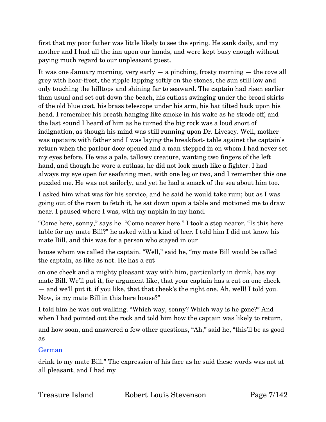first that my poor father was little likely to see the spring. He sank daily, and my mother and I had all the inn upon our hands, and were kept busy enough without paying much regard to our unpleasant guest.

It was one January morning, very early  $-$  a pinching, frosty morning  $-$  the cove all grey with hoar-frost, the ripple lapping softly on the stones, the sun still low and only touching the hilltops and shining far to seaward. The captain had risen earlier than usual and set out down the beach, his cutlass swinging under the broad skirts of the old blue coat, his brass telescope under his arm, his hat tilted back upon his head. I remember his breath hanging like smoke in his wake as he strode off, and the last sound I heard of him as he turned the big rock was a loud snort of indignation, as though his mind was still running upon Dr. Livesey. Well, mother was upstairs with father and I was laying the breakfast- table against the captain's return when the parlour door opened and a man stepped in on whom I had never set my eyes before. He was a pale, tallowy creature, wanting two fingers of the left hand, and though he wore a cutlass, he did not look much like a fighter. I had always my eye open for seafaring men, with one leg or two, and I remember this one puzzled me. He was not sailorly, and yet he had a smack of the sea about him too.

I asked him what was for his service, and he said he would take rum; but as I was going out of the room to fetch it, he sat down upon a table and motioned me to draw near. I paused where I was, with my napkin in my hand.

"Come here, sonny," says he. "Come nearer here." I took a step nearer. "Is this here table for my mate Bill?" he asked with a kind of leer. I told him I did not know his mate Bill, and this was for a person who stayed in our

house whom we called the captain. "Well," said he, "my mate Bill would be called the captain, as like as not. He has a cut

on one cheek and a mighty pleasant way with him, particularly in drink, has my mate Bill. We'll put it, for argument like, that your captain has a cut on one cheek — and we'll put it, if you like, that that cheek's the right one. Ah, well! I told you. Now, is my mate Bill in this here house?"

I told him he was out walking. "Which way, sonny? Which way is he gone?" And when I had pointed out the rock and told him how the captain was likely to return,

and how soon, and answered a few other questions, "Ah," said he, "this'll be as good as

#### German

drink to my mate Bill." The expression of his face as he said these words was not at all pleasant, and I had my

Treasure Island Robert Louis Stevenson Page 7/142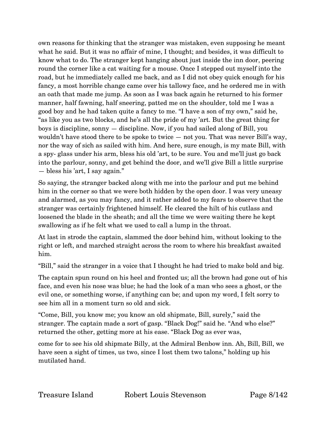own reasons for thinking that the stranger was mistaken, even supposing he meant what he said. But it was no affair of mine, I thought; and besides, it was difficult to know what to do. The stranger kept hanging about just inside the inn door, peering round the corner like a cat waiting for a mouse. Once I stepped out myself into the road, but he immediately called me back, and as I did not obey quick enough for his fancy, a most horrible change came over his tallowy face, and he ordered me in with an oath that made me jump. As soon as I was back again he returned to his former manner, half fawning, half sneering, patted me on the shoulder, told me I was a good boy and he had taken quite a fancy to me. "I have a son of my own," said he, "as like you as two blocks, and he's all the pride of my 'art. But the great thing for boys is discipline, sonny — discipline. Now, if you had sailed along of Bill, you wouldn't have stood there to be spoke to twice — not you. That was never Bill's way, nor the way of sich as sailed with him. And here, sure enough, is my mate Bill, with a spy- glass under his arm, bless his old 'art, to be sure. You and me'll just go back into the parlour, sonny, and get behind the door, and we'll give Bill a little surprise — bless his 'art, I say again."

So saying, the stranger backed along with me into the parlour and put me behind him in the corner so that we were both hidden by the open door. I was very uneasy and alarmed, as you may fancy, and it rather added to my fears to observe that the stranger was certainly frightened himself. He cleared the hilt of his cutlass and loosened the blade in the sheath; and all the time we were waiting there he kept swallowing as if he felt what we used to call a lump in the throat.

At last in strode the captain, slammed the door behind him, without looking to the right or left, and marched straight across the room to where his breakfast awaited him.

"Bill," said the stranger in a voice that I thought he had tried to make bold and big.

The captain spun round on his heel and fronted us; all the brown had gone out of his face, and even his nose was blue; he had the look of a man who sees a ghost, or the evil one, or something worse, if anything can be; and upon my word, I felt sorry to see him all in a moment turn so old and sick.

"Come, Bill, you know me; you know an old shipmate, Bill, surely," said the stranger. The captain made a sort of gasp. "Black Dog!" said he. "And who else?" returned the other, getting more at his ease. "Black Dog as ever was,

come for to see his old shipmate Billy, at the Admiral Benbow inn. Ah, Bill, Bill, we have seen a sight of times, us two, since I lost them two talons," holding up his mutilated hand.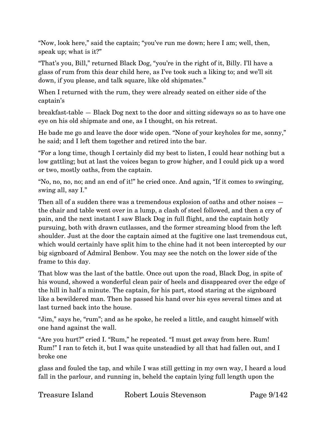"Now, look here," said the captain; "you've run me down; here I am; well, then, speak up; what is it?"

"That's you, Bill," returned Black Dog, "you're in the right of it, Billy. I'll have a glass of rum from this dear child here, as I've took such a liking to; and we'll sit down, if you please, and talk square, like old shipmates."

When I returned with the rum, they were already seated on either side of the captain's

breakfast-table — Black Dog next to the door and sitting sideways so as to have one eye on his old shipmate and one, as I thought, on his retreat.

He bade me go and leave the door wide open. "None of your keyholes for me, sonny," he said; and I left them together and retired into the bar.

"For a long time, though I certainly did my best to listen, I could hear nothing but a low gattling; but at last the voices began to grow higher, and I could pick up a word or two, mostly oaths, from the captain.

"No, no, no, no; and an end of it!" he cried once. And again, "If it comes to swinging, swing all, say I."

Then all of a sudden there was a tremendous explosion of oaths and other noises the chair and table went over in a lump, a clash of steel followed, and then a cry of pain, and the next instant I saw Black Dog in full flight, and the captain hotly pursuing, both with drawn cutlasses, and the former streaming blood from the left shoulder. Just at the door the captain aimed at the fugitive one last tremendous cut, which would certainly have split him to the chine had it not been intercepted by our big signboard of Admiral Benbow. You may see the notch on the lower side of the frame to this day.

That blow was the last of the battle. Once out upon the road, Black Dog, in spite of his wound, showed a wonderful clean pair of heels and disappeared over the edge of the hill in half a minute. The captain, for his part, stood staring at the signboard like a bewildered man. Then he passed his hand over his eyes several times and at last turned back into the house.

"Jim," says he, "rum"; and as he spoke, he reeled a little, and caught himself with one hand against the wall.

"Are you hurt?" cried I. "Rum," he repeated. "I must get away from here. Rum! Rum!" I ran to fetch it, but I was quite unsteadied by all that had fallen out, and I broke one

glass and fouled the tap, and while I was still getting in my own way, I heard a loud fall in the parlour, and running in, beheld the captain lying full length upon the

Treasure Island Robert Louis Stevenson Page 9/142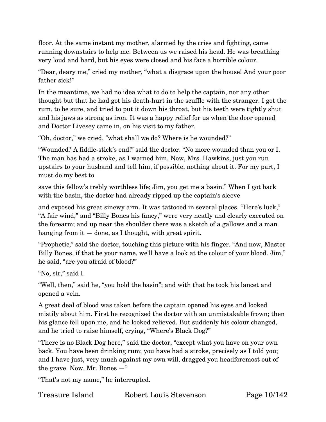floor. At the same instant my mother, alarmed by the cries and fighting, came running downstairs to help me. Between us we raised his head. He was breathing very loud and hard, but his eyes were closed and his face a horrible colour.

"Dear, deary me," cried my mother, "what a disgrace upon the house! And your poor father sick!"

In the meantime, we had no idea what to do to help the captain, nor any other thought but that he had got his death-hurt in the scuffle with the stranger. I got the rum, to be sure, and tried to put it down his throat, but his teeth were tightly shut and his jaws as strong as iron. It was a happy relief for us when the door opened and Doctor Livesey came in, on his visit to my father.

"Oh, doctor," we cried, "what shall we do? Where is he wounded?"

"Wounded? A fiddle-stick's end!" said the doctor. "No more wounded than you or I. The man has had a stroke, as I warned him. Now, Mrs. Hawkins, just you run upstairs to your husband and tell him, if possible, nothing about it. For my part, I must do my best to

save this fellow's trebly worthless life; Jim, you get me a basin." When I got back with the basin, the doctor had already ripped up the captain's sleeve

and exposed his great sinewy arm. It was tattooed in several places. "Here's luck," "A fair wind," and "Billy Bones his fancy," were very neatly and clearly executed on the forearm; and up near the shoulder there was a sketch of a gallows and a man hanging from it  $-$  done, as I thought, with great spirit.

"Prophetic," said the doctor, touching this picture with his finger. "And now, Master Billy Bones, if that be your name, we'll have a look at the colour of your blood. Jim," he said, "are you afraid of blood?"

"No, sir," said I.

"Well, then," said he, "you hold the basin"; and with that he took his lancet and opened a vein.

A great deal of blood was taken before the captain opened his eyes and looked mistily about him. First he recognized the doctor with an unmistakable frown; then his glance fell upon me, and he looked relieved. But suddenly his colour changed, and he tried to raise himself, crying, "Where's Black Dog?"

"There is no Black Dog here," said the doctor, "except what you have on your own back. You have been drinking rum; you have had a stroke, precisely as I told you; and I have just, very much against my own will, dragged you headforemost out of the grave. Now, Mr. Bones —"

"That's not my name," he interrupted.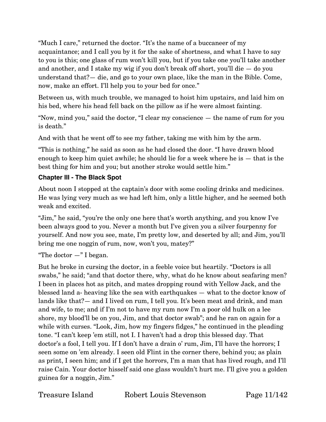"Much I care," returned the doctor. "It's the name of a buccaneer of my acquaintance; and I call you by it for the sake of shortness, and what I have to say to you is this; one glass of rum won't kill you, but if you take one you'll take another and another, and I stake my wig if you don't break off short, you'll die — do you understand that?— die, and go to your own place, like the man in the Bible. Come, now, make an effort. I'll help you to your bed for once."

Between us, with much trouble, we managed to hoist him upstairs, and laid him on his bed, where his head fell back on the pillow as if he were almost fainting.

"Now, mind you," said the doctor, "I clear my conscience — the name of rum for you is death."

And with that he went off to see my father, taking me with him by the arm.

"This is nothing," he said as soon as he had closed the door. "I have drawn blood enough to keep him quiet awhile; he should lie for a week where he is  $-$  that is the best thing for him and you; but another stroke would settle him."

#### <span id="page-10-0"></span>**Chapter III - The Black Spot**

About noon I stopped at the captain's door with some cooling drinks and medicines. He was lying very much as we had left him, only a little higher, and he seemed both weak and excited.

"Jim," he said, "you're the only one here that's worth anything, and you know I've been always good to you. Never a month but I've given you a silver fourpenny for yourself. And now you see, mate, I'm pretty low, and deserted by all; and Jim, you'll bring me one noggin of rum, now, won't you, matey?"

"The doctor  $-$ " I began.

But he broke in cursing the doctor, in a feeble voice but heartily. "Doctors is all swabs," he said; "and that doctor there, why, what do he know about seafaring men? I been in places hot as pitch, and mates dropping round with Yellow Jack, and the blessed land a- heaving like the sea with earthquakes — what to the doctor know of lands like that?— and I lived on rum, I tell you. It's been meat and drink, and man and wife, to me; and if I'm not to have my rum now I'm a poor old hulk on a lee shore, my blood'll be on you, Jim, and that doctor swab"; and he ran on again for a while with curses. "Look, Jim, how my fingers fidges," he continued in the pleading tone. "I can't keep 'em still, not I. I haven't had a drop this blessed day. That doctor's a fool, I tell you. If I don't have a drain o' rum, Jim, I'll have the horrors; I seen some on 'em already. I seen old Flint in the corner there, behind you; as plain as print, I seen him; and if I get the horrors, I'm a man that has lived rough, and I'll raise Cain. Your doctor hisself said one glass wouldn't hurt me. I'll give you a golden guinea for a noggin, Jim."

Treasure Island Robert Louis Stevenson Page 11/142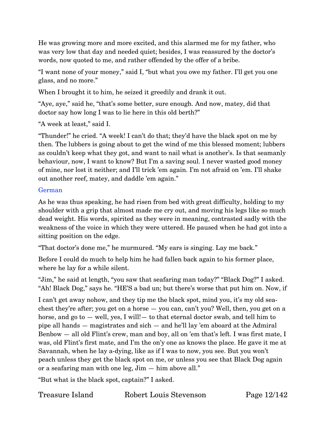He was growing more and more excited, and this alarmed me for my father, who was very low that day and needed quiet; besides, I was reassured by the doctor's words, now quoted to me, and rather offended by the offer of a bribe.

"I want none of your money," said I, "but what you owe my father. I'll get you one glass, and no more."

When I brought it to him, he seized it greedily and drank it out.

"Aye, aye," said he, "that's some better, sure enough. And now, matey, did that doctor say how long I was to lie here in this old berth?"

"A week at least," said I.

"Thunder!" he cried. "A week! I can't do that; they'd have the black spot on me by then. The lubbers is going about to get the wind of me this blessed moment; lubbers as couldn't keep what they got, and want to nail what is another's. Is that seamanly behaviour, now, I want to know? But I'm a saving soul. I never wasted good money of mine, nor lost it neither; and I'll trick 'em again. I'm not afraid on 'em. I'll shake out another reef, matey, and daddle 'em again."

#### German

As he was thus speaking, he had risen from bed with great difficulty, holding to my shoulder with a grip that almost made me cry out, and moving his legs like so much dead weight. His words, spirited as they were in meaning, contrasted sadly with the weakness of the voice in which they were uttered. He paused when he had got into a sitting position on the edge.

"That doctor's done me," he murmured. "My ears is singing. Lay me back."

Before I could do much to help him he had fallen back again to his former place, where he lay for a while silent.

"Jim," he said at length, "you saw that seafaring man today?" "Black Dog?" I asked. "Ah! Black Dog," says he. "HE'S a bad un; but there's worse that put him on. Now, if

I can't get away nohow, and they tip me the black spot, mind you, it's my old seachest they're after; you get on a horse — you can, can't you? Well, then, you get on a horse, and go to — well, yes, I will!— to that eternal doctor swab, and tell him to pipe all hands — magistrates and sich — and he'll lay 'em aboard at the Admiral Benbow — all old Flint's crew, man and boy, all on 'em that's left. I was first mate, I was, old Flint's first mate, and I'm the on'y one as knows the place. He gave it me at Savannah, when he lay a-dying, like as if I was to now, you see. But you won't peach unless they get the black spot on me, or unless you see that Black Dog again or a seafaring man with one leg, Jim — him above all."

"But what is the black spot, captain?" I asked.

Treasure Island Robert Louis Stevenson Page 12/142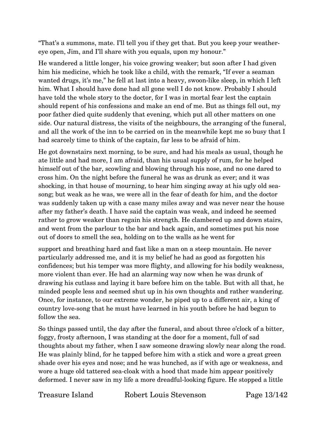"That's a summons, mate. I'll tell you if they get that. But you keep your weathereye open, Jim, and I'll share with you equals, upon my honour."

He wandered a little longer, his voice growing weaker; but soon after I had given him his medicine, which he took like a child, with the remark, "If ever a seaman wanted drugs, it's me," he fell at last into a heavy, swoon-like sleep, in which I left him. What I should have done had all gone well I do not know. Probably I should have told the whole story to the doctor, for I was in mortal fear lest the captain should repent of his confessions and make an end of me. But as things fell out, my poor father died quite suddenly that evening, which put all other matters on one side. Our natural distress, the visits of the neighbours, the arranging of the funeral, and all the work of the inn to be carried on in the meanwhile kept me so busy that I had scarcely time to think of the captain, far less to be afraid of him.

He got downstairs next morning, to be sure, and had his meals as usual, though he ate little and had more, I am afraid, than his usual supply of rum, for he helped himself out of the bar, scowling and blowing through his nose, and no one dared to cross him. On the night before the funeral he was as drunk as ever; and it was shocking, in that house of mourning, to hear him singing away at his ugly old seasong; but weak as he was, we were all in the fear of death for him, and the doctor was suddenly taken up with a case many miles away and was never near the house after my father's death. I have said the captain was weak, and indeed he seemed rather to grow weaker than regain his strength. He clambered up and down stairs, and went from the parlour to the bar and back again, and sometimes put his nose out of doors to smell the sea, holding on to the walls as he went for

support and breathing hard and fast like a man on a steep mountain. He never particularly addressed me, and it is my belief he had as good as forgotten his confidences; but his temper was more flighty, and allowing for his bodily weakness, more violent than ever. He had an alarming way now when he was drunk of drawing his cutlass and laying it bare before him on the table. But with all that, he minded people less and seemed shut up in his own thoughts and rather wandering. Once, for instance, to our extreme wonder, he piped up to a different air, a king of country love-song that he must have learned in his youth before he had begun to follow the sea.

So things passed until, the day after the funeral, and about three o'clock of a bitter, foggy, frosty afternoon, I was standing at the door for a moment, full of sad thoughts about my father, when I saw someone drawing slowly near along the road. He was plainly blind, for he tapped before him with a stick and wore a great green shade over his eyes and nose; and he was hunched, as if with age or weakness, and wore a huge old tattered sea-cloak with a hood that made him appear positively deformed. I never saw in my life a more dreadful-looking figure. He stopped a little

Treasure Island Robert Louis Stevenson Page 13/142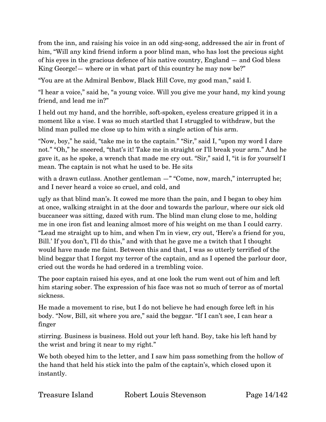from the inn, and raising his voice in an odd sing-song, addressed the air in front of him, "Will any kind friend inform a poor blind man, who has lost the precious sight of his eyes in the gracious defence of his native country, England — and God bless King George!— where or in what part of this country he may now be?"

"You are at the Admiral Benbow, Black Hill Cove, my good man," said I.

"I hear a voice," said he, "a young voice. Will you give me your hand, my kind young friend, and lead me in?"

I held out my hand, and the horrible, soft-spoken, eyeless creature gripped it in a moment like a vise. I was so much startled that I struggled to withdraw, but the blind man pulled me close up to him with a single action of his arm.

"Now, boy," he said, "take me in to the captain." "Sir," said I, "upon my word I dare not." "Oh," he sneered, "that's it! Take me in straight or I'll break your arm." And he gave it, as he spoke, a wrench that made me cry out. "Sir," said I, "it is for yourself I mean. The captain is not what he used to be. He sits

with a drawn cutlass. Another gentleman  $-$ " "Come, now, march," interrupted he; and I never heard a voice so cruel, and cold, and

ugly as that blind man's. It cowed me more than the pain, and I began to obey him at once, walking straight in at the door and towards the parlour, where our sick old buccaneer was sitting, dazed with rum. The blind man clung close to me, holding me in one iron fist and leaning almost more of his weight on me than I could carry. "Lead me straight up to him, and when I'm in view, cry out, 'Here's a friend for you, Bill.' If you don't, I'll do this," and with that he gave me a twitch that I thought would have made me faint. Between this and that, I was so utterly terrified of the blind beggar that I forgot my terror of the captain, and as I opened the parlour door, cried out the words he had ordered in a trembling voice.

The poor captain raised his eyes, and at one look the rum went out of him and left him staring sober. The expression of his face was not so much of terror as of mortal sickness.

He made a movement to rise, but I do not believe he had enough force left in his body. "Now, Bill, sit where you are," said the beggar. "If I can't see, I can hear a finger

stirring. Business is business. Hold out your left hand. Boy, take his left hand by the wrist and bring it near to my right."

We both obeyed him to the letter, and I saw him pass something from the hollow of the hand that held his stick into the palm of the captain's, which closed upon it instantly.

| Treasure Island | $\rm Ro$ |
|-----------------|----------|
|                 |          |

bert Louis Stevenson Page 14/142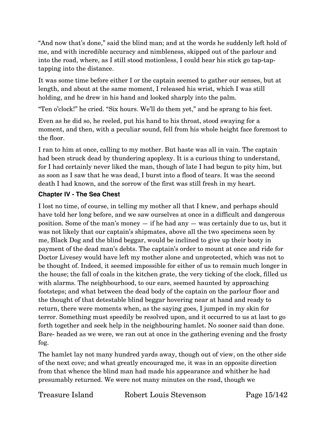"And now that's done," said the blind man; and at the words he suddenly left hold of me, and with incredible accuracy and nimbleness, skipped out of the parlour and into the road, where, as I still stood motionless, I could hear his stick go tap-taptapping into the distance.

It was some time before either I or the captain seemed to gather our senses, but at length, and about at the same moment, I released his wrist, which I was still holding, and he drew in his hand and looked sharply into the palm.

"Ten o'clock!" he cried. "Six hours. We'll do them yet," and he sprang to his feet.

Even as he did so, he reeled, put his hand to his throat, stood swaying for a moment, and then, with a peculiar sound, fell from his whole height face foremost to the floor.

I ran to him at once, calling to my mother. But haste was all in vain. The captain had been struck dead by thundering apoplexy. It is a curious thing to understand, for I had certainly never liked the man, though of late I had begun to pity him, but as soon as I saw that he was dead, I burst into a flood of tears. It was the second death I had known, and the sorrow of the first was still fresh in my heart.

### <span id="page-14-0"></span>**Chapter IV - The Sea Chest**

I lost no time, of course, in telling my mother all that I knew, and perhaps should have told her long before, and we saw ourselves at once in a difficult and dangerous position. Some of the man's money — if he had any — was certainly due to us, but it was not likely that our captain's shipmates, above all the two specimens seen by me, Black Dog and the blind beggar, would be inclined to give up their booty in payment of the dead man's debts. The captain's order to mount at once and ride for Doctor Livesey would have left my mother alone and unprotected, which was not to be thought of. Indeed, it seemed impossible for either of us to remain much longer in the house; the fall of coals in the kitchen grate, the very ticking of the clock, filled us with alarms. The neighbourhood, to our ears, seemed haunted by approaching footsteps; and what between the dead body of the captain on the parlour floor and the thought of that detestable blind beggar hovering near at hand and ready to return, there were moments when, as the saying goes, I jumped in my skin for terror. Something must speedily be resolved upon, and it occurred to us at last to go forth together and seek help in the neighbouring hamlet. No sooner said than done. Bare- headed as we were, we ran out at once in the gathering evening and the frosty fog.

The hamlet lay not many hundred yards away, though out of view, on the other side of the next cove; and what greatly encouraged me, it was in an opposite direction from that whence the blind man had made his appearance and whither he had presumably returned. We were not many minutes on the road, though we

Treasure Island Robert Louis Stevenson Page 15/142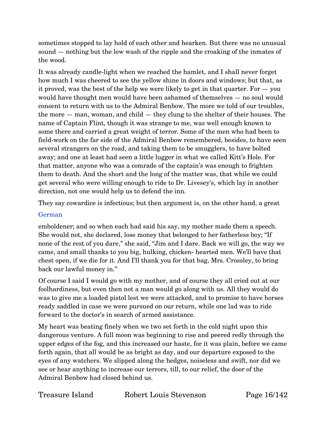sometimes stopped to lay hold of each other and hearken. But there was no unusual sound — nothing but the low wash of the ripple and the croaking of the inmates of the wood.

It was already candle-light when we reached the hamlet, and I shall never forget how much I was cheered to see the yellow shine in doors and windows; but that, as it proved, was the best of the help we were likely to get in that quarter. For — you would have thought men would have been ashamed of themselves — no soul would consent to return with us to the Admiral Benbow. The more we told of our troubles, the more — man, woman, and child — they clung to the shelter of their houses. The name of Captain Flint, though it was strange to me, was well enough known to some there and carried a great weight of terror. Some of the men who had been to field-work on the far side of the Admiral Benbow remembered, besides, to have seen several strangers on the road, and taking them to be smugglers, to have bolted away; and one at least had seen a little lugger in what we called Kitt's Hole. For that matter, anyone who was a comrade of the captain's was enough to frighten them to death. And the short and the long of the matter was, that while we could get several who were willing enough to ride to Dr. Livesey's, which lay in another direction, not one would help us to defend the inn.

They say cowardice is infectious; but then argument is, on the other hand, a great

#### German

emboldener; and so when each had said his say, my mother made them a speech. She would not, she declared, lose money that belonged to her fatherless boy; "If none of the rest of you dare," she said, "Jim and I dare. Back we will go, the way we came, and small thanks to you big, hulking, chicken- hearted men. We'll have that chest open, if we die for it. And I'll thank you for that bag, Mrs. Crossley, to bring back our lawful money in."

Of course I said I would go with my mother, and of course they all cried out at our foolhardiness, but even then not a man would go along with us. All they would do was to give me a loaded pistol lest we were attacked, and to promise to have horses ready saddled in case we were pursued on our return, while one lad was to ride forward to the doctor's in search of armed assistance.

My heart was beating finely when we two set forth in the cold night upon this dangerous venture. A full moon was beginning to rise and peered redly through the upper edges of the fog, and this increased our haste, for it was plain, before we came forth again, that all would be as bright as day, and our departure exposed to the eyes of any watchers. We slipped along the hedges, noiseless and swift, nor did we see or hear anything to increase our terrors, till, to our relief, the door of the Admiral Benbow had closed behind us.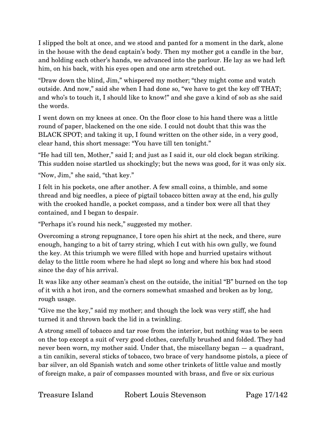I slipped the bolt at once, and we stood and panted for a moment in the dark, alone in the house with the dead captain's body. Then my mother got a candle in the bar, and holding each other's hands, we advanced into the parlour. He lay as we had left him, on his back, with his eyes open and one arm stretched out.

"Draw down the blind, Jim," whispered my mother; "they might come and watch outside. And now," said she when I had done so, "we have to get the key off THAT; and who's to touch it, I should like to know!" and she gave a kind of sob as she said the words.

I went down on my knees at once. On the floor close to his hand there was a little round of paper, blackened on the one side. I could not doubt that this was the BLACK SPOT; and taking it up, I found written on the other side, in a very good, clear hand, this short message: "You have till ten tonight."

"He had till ten, Mother," said I; and just as I said it, our old clock began striking. This sudden noise startled us shockingly; but the news was good, for it was only six.

"Now, Jim," she said, "that key."

I felt in his pockets, one after another. A few small coins, a thimble, and some thread and big needles, a piece of pigtail tobacco bitten away at the end, his gully with the crooked handle, a pocket compass, and a tinder box were all that they contained, and I began to despair.

"Perhaps it's round his neck," suggested my mother.

Overcoming a strong repugnance, I tore open his shirt at the neck, and there, sure enough, hanging to a bit of tarry string, which I cut with his own gully, we found the key. At this triumph we were filled with hope and hurried upstairs without delay to the little room where he had slept so long and where his box had stood since the day of his arrival.

It was like any other seaman's chest on the outside, the initial "B" burned on the top of it with a hot iron, and the corners somewhat smashed and broken as by long, rough usage.

"Give me the key," said my mother; and though the lock was very stiff, she had turned it and thrown back the lid in a twinkling.

A strong smell of tobacco and tar rose from the interior, but nothing was to be seen on the top except a suit of very good clothes, carefully brushed and folded. They had never been worn, my mother said. Under that, the miscellany began — a quadrant, a tin canikin, several sticks of tobacco, two brace of very handsome pistols, a piece of bar silver, an old Spanish watch and some other trinkets of little value and mostly of foreign make, a pair of compasses mounted with brass, and five or six curious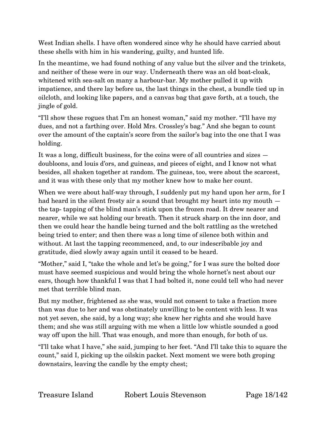West Indian shells. I have often wondered since why he should have carried about these shells with him in his wandering, guilty, and hunted life.

In the meantime, we had found nothing of any value but the silver and the trinkets, and neither of these were in our way. Underneath there was an old boat-cloak, whitened with sea-salt on many a harbour-bar. My mother pulled it up with impatience, and there lay before us, the last things in the chest, a bundle tied up in oilcloth, and looking like papers, and a canvas bag that gave forth, at a touch, the jingle of gold.

"I'll show these rogues that I'm an honest woman," said my mother. "I'll have my dues, and not a farthing over. Hold Mrs. Crossley's bag." And she began to count over the amount of the captain's score from the sailor's bag into the one that I was holding.

It was a long, difficult business, for the coins were of all countries and sizes doubloons, and louis d'ors, and guineas, and pieces of eight, and I know not what besides, all shaken together at random. The guineas, too, were about the scarcest, and it was with these only that my mother knew how to make her count.

When we were about half-way through, I suddenly put my hand upon her arm, for I had heard in the silent frosty air a sound that brought my heart into my mouth  $$ the tap- tapping of the blind man's stick upon the frozen road. It drew nearer and nearer, while we sat holding our breath. Then it struck sharp on the inn door, and then we could hear the handle being turned and the bolt rattling as the wretched being tried to enter; and then there was a long time of silence both within and without. At last the tapping recommenced, and, to our indescribable joy and gratitude, died slowly away again until it ceased to be heard.

"Mother," said I, "take the whole and let's be going," for I was sure the bolted door must have seemed suspicious and would bring the whole hornet's nest about our ears, though how thankful I was that I had bolted it, none could tell who had never met that terrible blind man.

But my mother, frightened as she was, would not consent to take a fraction more than was due to her and was obstinately unwilling to be content with less. It was not yet seven, she said, by a long way; she knew her rights and she would have them; and she was still arguing with me when a little low whistle sounded a good way off upon the hill. That was enough, and more than enough, for both of us.

"I'll take what I have," she said, jumping to her feet. "And I'll take this to square the count," said I, picking up the oilskin packet. Next moment we were both groping downstairs, leaving the candle by the empty chest;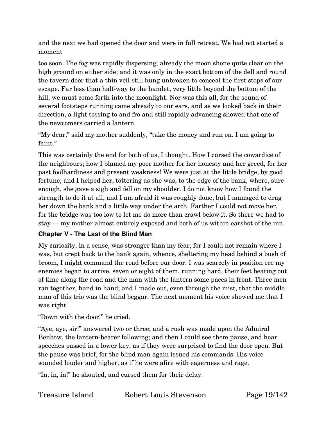and the next we had opened the door and were in full retreat. We had not started a moment

too soon. The fog was rapidly dispersing; already the moon shone quite clear on the high ground on either side; and it was only in the exact bottom of the dell and round the tavern door that a thin veil still hung unbroken to conceal the first steps of our escape. Far less than half-way to the hamlet, very little beyond the bottom of the hill, we must come forth into the moonlight. Nor was this all, for the sound of several footsteps running came already to our ears, and as we looked back in their direction, a light tossing to and fro and still rapidly advancing showed that one of the newcomers carried a lantern.

"My dear," said my mother suddenly, "take the money and run on. I am going to faint."

This was certainly the end for both of us, I thought. How I cursed the cowardice of the neighbours; how I blamed my poor mother for her honesty and her greed, for her past foolhardiness and present weakness! We were just at the little bridge, by good fortune; and I helped her, tottering as she was, to the edge of the bank, where, sure enough, she gave a sigh and fell on my shoulder. I do not know how I found the strength to do it at all, and I am afraid it was roughly done, but I managed to drag her down the bank and a little way under the arch. Farther I could not move her, for the bridge was too low to let me do more than crawl below it. So there we had to stay — my mother almost entirely exposed and both of us within earshot of the inn.

#### <span id="page-18-0"></span>**Chapter V - The Last of the Blind Man**

My curiosity, in a sense, was stronger than my fear, for I could not remain where I was, but crept back to the bank again, whence, sheltering my head behind a bush of broom, I might command the road before our door. I was scarcely in position ere my enemies began to arrive, seven or eight of them, running hard, their feet beating out of time along the road and the man with the lantern some paces in front. Three men ran together, hand in hand; and I made out, even through the mist, that the middle man of this trio was the blind beggar. The next moment his voice showed me that I was right.

"Down with the door!" he cried.

"Aye, aye, sir!" answered two or three; and a rush was made upon the Admiral Benbow, the lantern-bearer following; and then I could see them pause, and hear speeches passed in a lower key, as if they were surprised to find the door open. But the pause was brief, for the blind man again issued his commands. His voice sounded louder and higher, as if he were afire with eagerness and rage.

"In, in, in!" he shouted, and cursed them for their delay.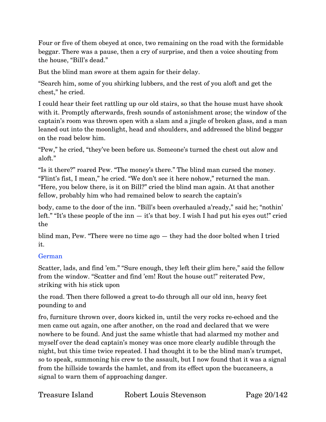Four or five of them obeyed at once, two remaining on the road with the formidable beggar. There was a pause, then a cry of surprise, and then a voice shouting from the house, "Bill's dead."

But the blind man swore at them again for their delay.

"Search him, some of you shirking lubbers, and the rest of you aloft and get the chest," he cried.

I could hear their feet rattling up our old stairs, so that the house must have shook with it. Promptly afterwards, fresh sounds of astonishment arose; the window of the captain's room was thrown open with a slam and a jingle of broken glass, and a man leaned out into the moonlight, head and shoulders, and addressed the blind beggar on the road below him.

"Pew," he cried, "they've been before us. Someone's turned the chest out alow and aloft."

"Is it there?" roared Pew. "The money's there." The blind man cursed the money. "Flint's fist, I mean," he cried. "We don't see it here nohow," returned the man. "Here, you below there, is it on Bill?" cried the blind man again. At that another fellow, probably him who had remained below to search the captain's

body, came to the door of the inn. "Bill's been overhauled a'ready," said he; "nothin' left." "It's these people of the inn  $-$  it's that boy. I wish I had put his eyes out!" cried the

blind man, Pew. "There were no time ago — they had the door bolted when I tried it.

#### German

Scatter, lads, and find 'em." "Sure enough, they left their glim here," said the fellow from the window. "Scatter and find 'em! Rout the house out!" reiterated Pew, striking with his stick upon

the road. Then there followed a great to-do through all our old inn, heavy feet pounding to and

fro, furniture thrown over, doors kicked in, until the very rocks re-echoed and the men came out again, one after another, on the road and declared that we were nowhere to be found. And just the same whistle that had alarmed my mother and myself over the dead captain's money was once more clearly audible through the night, but this time twice repeated. I had thought it to be the blind man's trumpet, so to speak, summoning his crew to the assault, but I now found that it was a signal from the hillside towards the hamlet, and from its effect upon the buccaneers, a signal to warn them of approaching danger.

| Treasure Island | Robert Louis Stevenson |
|-----------------|------------------------|
|                 |                        |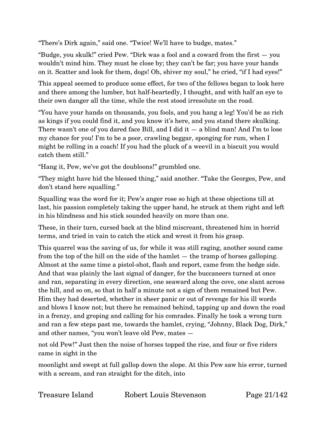"There's Dirk again," said one. "Twice! We'll have to budge, mates."

"Budge, you skulk!" cried Pew. "Dirk was a fool and a coward from the first — you wouldn't mind him. They must be close by; they can't be far; you have your hands on it. Scatter and look for them, dogs! Oh, shiver my soul," he cried, "if I had eyes!"

This appeal seemed to produce some effect, for two of the fellows began to look here and there among the lumber, but half-heartedly, I thought, and with half an eye to their own danger all the time, while the rest stood irresolute on the road.

"You have your hands on thousands, you fools, and you hang a leg! You'd be as rich as kings if you could find it, and you know it's here, and you stand there skulking. There wasn't one of you dared face Bill, and I did it  $-$  a blind man! And I'm to lose my chance for you! I'm to be a poor, crawling beggar, sponging for rum, when I might be rolling in a coach! If you had the pluck of a weevil in a biscuit you would catch them still."

"Hang it, Pew, we've got the doubloons!" grumbled one.

"They might have hid the blessed thing," said another. "Take the Georges, Pew, and don't stand here squalling."

Squalling was the word for it; Pew's anger rose so high at these objections till at last, his passion completely taking the upper hand, he struck at them right and left in his blindness and his stick sounded heavily on more than one.

These, in their turn, cursed back at the blind miscreant, threatened him in horrid terms, and tried in vain to catch the stick and wrest it from his grasp.

This quarrel was the saving of us, for while it was still raging, another sound came from the top of the hill on the side of the hamlet — the tramp of horses galloping. Almost at the same time a pistol-shot, flash and report, came from the hedge side. And that was plainly the last signal of danger, for the buccaneers turned at once and ran, separating in every direction, one seaward along the cove, one slant across the hill, and so on, so that in half a minute not a sign of them remained but Pew. Him they had deserted, whether in sheer panic or out of revenge for his ill words and blows I know not; but there he remained behind, tapping up and down the road in a frenzy, and groping and calling for his comrades. Finally he took a wrong turn and ran a few steps past me, towards the hamlet, crying, "Johnny, Black Dog, Dirk," and other names, "you won't leave old Pew, mates —

not old Pew!" Just then the noise of horses topped the rise, and four or five riders came in sight in the

moonlight and swept at full gallop down the slope. At this Pew saw his error, turned with a scream, and ran straight for the ditch, into

Treasure Island Robert Louis Stevenson Page 21/142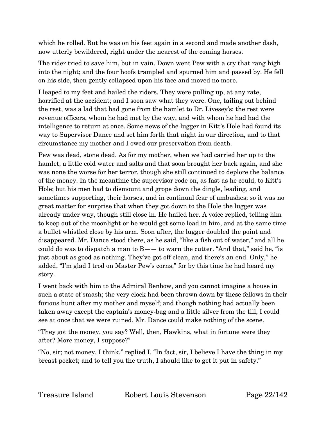which he rolled. But he was on his feet again in a second and made another dash, now utterly bewildered, right under the nearest of the coming horses.

The rider tried to save him, but in vain. Down went Pew with a cry that rang high into the night; and the four hoofs trampled and spurned him and passed by. He fell on his side, then gently collapsed upon his face and moved no more.

I leaped to my feet and hailed the riders. They were pulling up, at any rate, horrified at the accident; and I soon saw what they were. One, tailing out behind the rest, was a lad that had gone from the hamlet to Dr. Livesey's; the rest were revenue officers, whom he had met by the way, and with whom he had had the intelligence to return at once. Some news of the lugger in Kitt's Hole had found its way to Supervisor Dance and set him forth that night in our direction, and to that circumstance my mother and I owed our preservation from death.

Pew was dead, stone dead. As for my mother, when we had carried her up to the hamlet, a little cold water and salts and that soon brought her back again, and she was none the worse for her terror, though she still continued to deplore the balance of the money. In the meantime the supervisor rode on, as fast as he could, to Kitt's Hole; but his men had to dismount and grope down the dingle, leading, and sometimes supporting, their horses, and in continual fear of ambushes; so it was no great matter for surprise that when they got down to the Hole the lugger was already under way, though still close in. He hailed her. A voice replied, telling him to keep out of the moonlight or he would get some lead in him, and at the same time a bullet whistled close by his arm. Soon after, the lugger doubled the point and disappeared. Mr. Dance stood there, as he said, "like a fish out of water," and all he could do was to dispatch a man to  $B$ —— to warn the cutter. "And that," said he, "is just about as good as nothing. They've got off clean, and there's an end. Only," he added, "I'm glad I trod on Master Pew's corns," for by this time he had heard my story.

I went back with him to the Admiral Benbow, and you cannot imagine a house in such a state of smash; the very clock had been thrown down by these fellows in their furious hunt after my mother and myself; and though nothing had actually been taken away except the captain's money-bag and a little silver from the till, I could see at once that we were ruined. Mr. Dance could make nothing of the scene.

"They got the money, you say? Well, then, Hawkins, what in fortune were they after? More money, I suppose?"

"No, sir; not money, I think," replied I. "In fact, sir, I believe I have the thing in my breast pocket; and to tell you the truth, I should like to get it put in safety."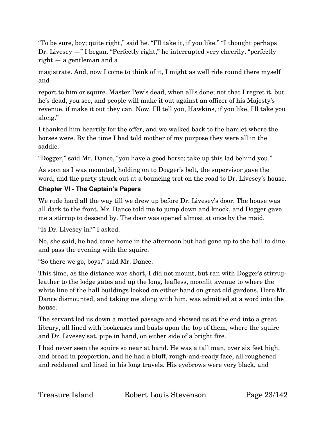"To be sure, boy; quite right," said he. "I'll take it, if you like." "I thought perhaps Dr. Livesey —" I began. "Perfectly right," he interrupted very cheerily, "perfectly right — a gentleman and a

magistrate. And, now I come to think of it, I might as well ride round there myself and

report to him or squire. Master Pew's dead, when all's done; not that I regret it, but he's dead, you see, and people will make it out against an officer of his Majesty's revenue, if make it out they can. Now, I'll tell you, Hawkins, if you like, I'll take you along."

I thanked him heartily for the offer, and we walked back to the hamlet where the horses were. By the time I had told mother of my purpose they were all in the saddle.

"Dogger," said Mr. Dance, "you have a good horse; take up this lad behind you."

As soon as I was mounted, holding on to Dogger's belt, the supervisor gave the word, and the party struck out at a bouncing trot on the road to Dr. Livesey's house.

# <span id="page-22-0"></span>**Chapter VI - The Captain's Papers**

We rode hard all the way till we drew up before Dr. Livesey's door. The house was all dark to the front. Mr. Dance told me to jump down and knock, and Dogger gave me a stirrup to descend by. The door was opened almost at once by the maid.

"Is Dr. Livesey in?" I asked.

No, she said, he had come home in the afternoon but had gone up to the hall to dine and pass the evening with the squire.

"So there we go, boys," said Mr. Dance.

This time, as the distance was short, I did not mount, but ran with Dogger's stirrupleather to the lodge gates and up the long, leafless, moonlit avenue to where the white line of the hall buildings looked on either hand on great old gardens. Here Mr. Dance dismounted, and taking me along with him, was admitted at a word into the house.

The servant led us down a matted passage and showed us at the end into a great library, all lined with bookcases and busts upon the top of them, where the squire and Dr. Livesey sat, pipe in hand, on either side of a bright fire.

I had never seen the squire so near at hand. He was a tall man, over six feet high, and broad in proportion, and he had a bluff, rough-and-ready face, all roughened and reddened and lined in his long travels. His eyebrows were very black, and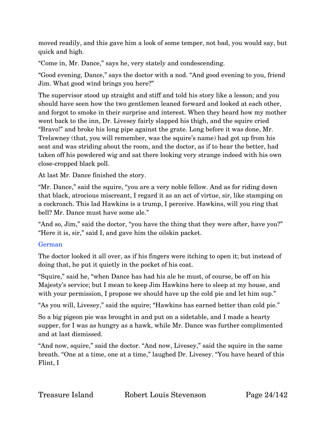moved readily, and this gave him a look of some temper, not bad, you would say, but quick and high.

"Come in, Mr. Dance," says he, very stately and condescending.

"Good evening, Dance," says the doctor with a nod. "And good evening to you, friend Jim. What good wind brings you here?"

The supervisor stood up straight and stiff and told his story like a lesson; and you should have seen how the two gentlemen leaned forward and looked at each other, and forgot to smoke in their surprise and interest. When they heard how my mother went back to the inn, Dr. Livesey fairly slapped his thigh, and the squire cried "Bravo!" and broke his long pipe against the grate. Long before it was done, Mr. Trelawney (that, you will remember, was the squire's name) had got up from his seat and was striding about the room, and the doctor, as if to hear the better, had taken off his powdered wig and sat there looking very strange indeed with his own close-cropped black poll.

At last Mr. Dance finished the story.

"Mr. Dance," said the squire, "you are a very noble fellow. And as for riding down that black, atrocious miscreant, I regard it as an act of virtue, sir, like stamping on a cockroach. This lad Hawkins is a trump, I perceive. Hawkins, will you ring that bell? Mr. Dance must have some ale."

"And so, Jim," said the doctor, "you have the thing that they were after, have you?" "Here it is, sir," said I, and gave him the oilskin packet.

#### German

The doctor looked it all over, as if his fingers were itching to open it; but instead of doing that, he put it quietly in the pocket of his coat.

"Squire," said he, "when Dance has had his ale he must, of course, be off on his Majesty's service; but I mean to keep Jim Hawkins here to sleep at my house, and with your permission, I propose we should have up the cold pie and let him sup."

"As you will, Livesey," said the squire; "Hawkins has earned better than cold pie."

So a big pigeon pie was brought in and put on a sidetable, and I made a hearty supper, for I was as hungry as a hawk, while Mr. Dance was further complimented and at last dismissed.

"And now, squire," said the doctor. "And now, Livesey," said the squire in the same breath. "One at a time, one at a time," laughed Dr. Livesey. "You have heard of this Flint, I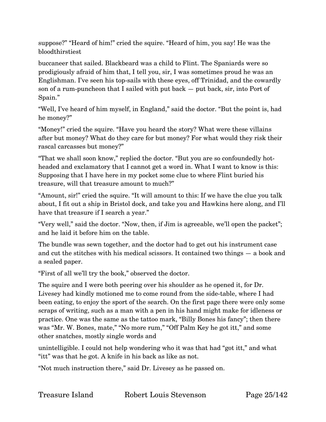suppose?" "Heard of him!" cried the squire. "Heard of him, you say! He was the bloodthirstiest

buccaneer that sailed. Blackbeard was a child to Flint. The Spaniards were so prodigiously afraid of him that, I tell you, sir, I was sometimes proud he was an Englishman. I've seen his top-sails with these eyes, off Trinidad, and the cowardly son of a rum-puncheon that I sailed with put back  $-$  put back, sir, into Port of Spain."

"Well, I've heard of him myself, in England," said the doctor. "But the point is, had he money?"

"Money!" cried the squire. "Have you heard the story? What were these villains after but money? What do they care for but money? For what would they risk their rascal carcasses but money?"

"That we shall soon know," replied the doctor. "But you are so confoundedly hotheaded and exclamatory that I cannot get a word in. What I want to know is this: Supposing that I have here in my pocket some clue to where Flint buried his treasure, will that treasure amount to much?"

"Amount, sir!" cried the squire. "It will amount to this: If we have the clue you talk about, I fit out a ship in Bristol dock, and take you and Hawkins here along, and I'll have that treasure if I search a year."

"Very well," said the doctor. "Now, then, if Jim is agreeable, we'll open the packet"; and he laid it before him on the table.

The bundle was sewn together, and the doctor had to get out his instrument case and cut the stitches with his medical scissors. It contained two things — a book and a sealed paper.

"First of all we'll try the book," observed the doctor.

The squire and I were both peering over his shoulder as he opened it, for Dr. Livesey had kindly motioned me to come round from the side-table, where I had been eating, to enjoy the sport of the search. On the first page there were only some scraps of writing, such as a man with a pen in his hand might make for idleness or practice. One was the same as the tattoo mark, "Billy Bones his fancy"; then there was "Mr. W. Bones, mate," "No more rum," "Off Palm Key he got itt," and some other snatches, mostly single words and

unintelligible. I could not help wondering who it was that had "got itt," and what "itt" was that he got. A knife in his back as like as not.

"Not much instruction there," said Dr. Livesey as he passed on.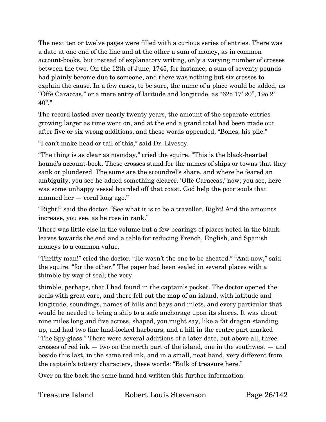The next ten or twelve pages were filled with a curious series of entries. There was a date at one end of the line and at the other a sum of money, as in common account-books, but instead of explanatory writing, only a varying number of crosses between the two. On the 12th of June, 1745, for instance, a sum of seventy pounds had plainly become due to someone, and there was nothing but six crosses to explain the cause. In a few cases, to be sure, the name of a place would be added, as "Offe Caraccas," or a mere entry of latitude and longitude, as "62o 17' 20", 19o 2' 40"."

The record lasted over nearly twenty years, the amount of the separate entries growing larger as time went on, and at the end a grand total had been made out after five or six wrong additions, and these words appended, "Bones, his pile."

"I can't make head or tail of this," said Dr. Livesey.

"The thing is as clear as noonday," cried the squire. "This is the black-hearted hound's account-book. These crosses stand for the names of ships or towns that they sank or plundered. The sums are the scoundrel's share, and where he feared an ambiguity, you see he added something clearer. 'Offe Caraccas,' now; you see, here was some unhappy vessel boarded off that coast. God help the poor souls that manned her — coral long ago."

"Right!" said the doctor. "See what it is to be a traveller. Right! And the amounts increase, you see, as he rose in rank."

There was little else in the volume but a few bearings of places noted in the blank leaves towards the end and a table for reducing French, English, and Spanish moneys to a common value.

"Thrifty man!" cried the doctor. "He wasn't the one to be cheated." "And now," said the squire, "for the other." The paper had been sealed in several places with a thimble by way of seal; the very

thimble, perhaps, that I had found in the captain's pocket. The doctor opened the seals with great care, and there fell out the map of an island, with latitude and longitude, soundings, names of hills and bays and inlets, and every particular that would be needed to bring a ship to a safe anchorage upon its shores. It was about nine miles long and five across, shaped, you might say, like a fat dragon standing up, and had two fine land-locked harbours, and a hill in the centre part marked "The Spy-glass." There were several additions of a later date, but above all, three crosses of red ink — two on the north part of the island, one in the southwest — and beside this last, in the same red ink, and in a small, neat hand, very different from the captain's tottery characters, these words: "Bulk of treasure here."

Over on the back the same hand had written this further information:

Treasure Island Robert Louis Stevenson Page 26/142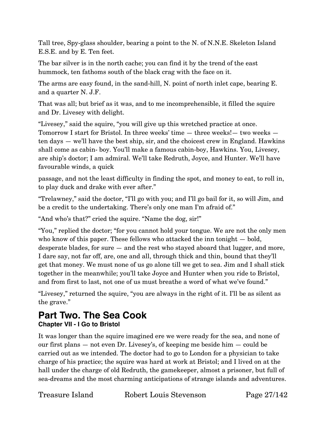Tall tree, Spy-glass shoulder, bearing a point to the N. of N.N.E. Skeleton Island E.S.E. and by E. Ten feet.

The bar silver is in the north cache; you can find it by the trend of the east hummock, ten fathoms south of the black crag with the face on it.

The arms are easy found, in the sand-hill, N. point of north inlet cape, bearing E. and a quarter N. J.F.

That was all; but brief as it was, and to me incomprehensible, it filled the squire and Dr. Livesey with delight.

"Livesey," said the squire, "you will give up this wretched practice at once. Tomorrow I start for Bristol. In three weeks' time — three weeks!— two weeks ten days — we'll have the best ship, sir, and the choicest crew in England. Hawkins shall come as cabin- boy. You'll make a famous cabin-boy, Hawkins. You, Livesey, are ship's doctor; I am admiral. We'll take Redruth, Joyce, and Hunter. We'll have favourable winds, a quick

passage, and not the least difficulty in finding the spot, and money to eat, to roll in, to play duck and drake with ever after."

"Trelawney," said the doctor, "I'll go with you; and I'll go bail for it, so will Jim, and be a credit to the undertaking. There's only one man I'm afraid of."

"And who's that?" cried the squire. "Name the dog, sir!"

"You," replied the doctor; "for you cannot hold your tongue. We are not the only men who know of this paper. These fellows who attacked the inn tonight – bold, desperate blades, for sure — and the rest who stayed aboard that lugger, and more, I dare say, not far off, are, one and all, through thick and thin, bound that they'll get that money. We must none of us go alone till we get to sea. Jim and I shall stick together in the meanwhile; you'll take Joyce and Hunter when you ride to Bristol, and from first to last, not one of us must breathe a word of what we've found."

"Livesey," returned the squire, "you are always in the right of it. I'll be as silent as the grave."

# <span id="page-26-1"></span><span id="page-26-0"></span>**Part Two. The Sea Cook Chapter VII - I Go to Bristol**

It was longer than the squire imagined ere we were ready for the sea, and none of our first plans — not even Dr. Livesey's, of keeping me beside him — could be carried out as we intended. The doctor had to go to London for a physician to take charge of his practice; the squire was hard at work at Bristol; and I lived on at the hall under the charge of old Redruth, the gamekeeper, almost a prisoner, but full of sea-dreams and the most charming anticipations of strange islands and adventures.

Treasure Island Robert Louis Stevenson Page 27/142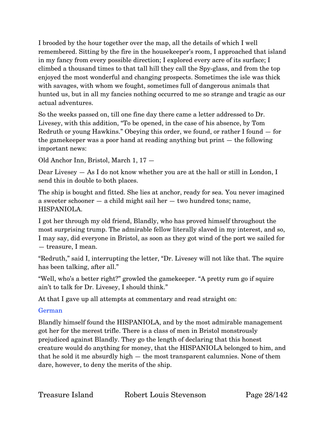I brooded by the hour together over the map, all the details of which I well remembered. Sitting by the fire in the housekeeper's room, I approached that island in my fancy from every possible direction; I explored every acre of its surface; I climbed a thousand times to that tall hill they call the Spy-glass, and from the top enjoyed the most wonderful and changing prospects. Sometimes the isle was thick with savages, with whom we fought, sometimes full of dangerous animals that hunted us, but in all my fancies nothing occurred to me so strange and tragic as our actual adventures.

So the weeks passed on, till one fine day there came a letter addressed to Dr. Livesey, with this addition, "To be opened, in the case of his absence, by Tom Redruth or young Hawkins." Obeying this order, we found, or rather I found — for the gamekeeper was a poor hand at reading anything but print — the following important news:

Old Anchor Inn, Bristol, March 1, 17 —

Dear Livesey — As I do not know whether you are at the hall or still in London, I send this in double to both places.

The ship is bought and fitted. She lies at anchor, ready for sea. You never imagined a sweeter schooner — a child might sail her — two hundred tons; name, HISPANIOLA.

I got her through my old friend, Blandly, who has proved himself throughout the most surprising trump. The admirable fellow literally slaved in my interest, and so, I may say, did everyone in Bristol, as soon as they got wind of the port we sailed for — treasure, I mean.

"Redruth," said I, interrupting the letter, "Dr. Livesey will not like that. The squire has been talking, after all."

"Well, who's a better right?" growled the gamekeeper. "A pretty rum go if squire ain't to talk for Dr. Livesey, I should think."

At that I gave up all attempts at commentary and read straight on:

#### German

Blandly himself found the HISPANIOLA, and by the most admirable management got her for the merest trifle. There is a class of men in Bristol monstrously prejudiced against Blandly. They go the length of declaring that this honest creature would do anything for money, that the HISPANIOLA belonged to him, and that he sold it me absurdly high — the most transparent calumnies. None of them dare, however, to deny the merits of the ship.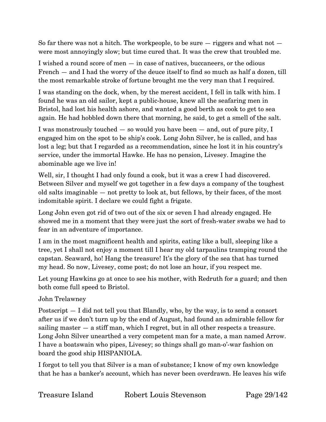So far there was not a hitch. The workpeople, to be sure  $-$  riggers and what not  $$ were most annoyingly slow; but time cured that. It was the crew that troubled me.

I wished a round score of men — in case of natives, buccaneers, or the odious French — and I had the worry of the deuce itself to find so much as half a dozen, till the most remarkable stroke of fortune brought me the very man that I required.

I was standing on the dock, when, by the merest accident, I fell in talk with him. I found he was an old sailor, kept a public-house, knew all the seafaring men in Bristol, had lost his health ashore, and wanted a good berth as cook to get to sea again. He had hobbled down there that morning, he said, to get a smell of the salt.

I was monstrously touched — so would you have been — and, out of pure pity, I engaged him on the spot to be ship's cook. Long John Silver, he is called, and has lost a leg; but that I regarded as a recommendation, since he lost it in his country's service, under the immortal Hawke. He has no pension, Livesey. Imagine the abominable age we live in!

Well, sir, I thought I had only found a cook, but it was a crew I had discovered. Between Silver and myself we got together in a few days a company of the toughest old salts imaginable — not pretty to look at, but fellows, by their faces, of the most indomitable spirit. I declare we could fight a frigate.

Long John even got rid of two out of the six or seven I had already engaged. He showed me in a moment that they were just the sort of fresh-water swabs we had to fear in an adventure of importance.

I am in the most magnificent health and spirits, eating like a bull, sleeping like a tree, yet I shall not enjoy a moment till I hear my old tarpaulins tramping round the capstan. Seaward, ho! Hang the treasure! It's the glory of the sea that has turned my head. So now, Livesey, come post; do not lose an hour, if you respect me.

Let young Hawkins go at once to see his mother, with Redruth for a guard; and then both come full speed to Bristol.

#### John Trelawney

Postscript — I did not tell you that Blandly, who, by the way, is to send a consort after us if we don't turn up by the end of August, had found an admirable fellow for sailing master — a stiff man, which I regret, but in all other respects a treasure. Long John Silver unearthed a very competent man for a mate, a man named Arrow. I have a boatswain who pipes, Livesey; so things shall go man-o'-war fashion on board the good ship HISPANIOLA.

I forgot to tell you that Silver is a man of substance; I know of my own knowledge that he has a banker's account, which has never been overdrawn. He leaves his wife

| <b>Treasure Island</b> | Robert Louis Stevenson |
|------------------------|------------------------|
|                        |                        |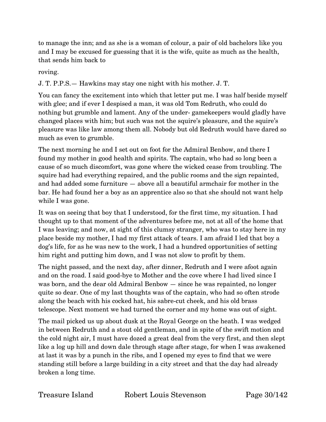to manage the inn; and as she is a woman of colour, a pair of old bachelors like you and I may be excused for guessing that it is the wife, quite as much as the health, that sends him back to

roving.

J. T. P.P.S.— Hawkins may stay one night with his mother. J. T.

You can fancy the excitement into which that letter put me. I was half beside myself with glee; and if ever I despised a man, it was old Tom Redruth, who could do nothing but grumble and lament. Any of the under- gamekeepers would gladly have changed places with him; but such was not the squire's pleasure, and the squire's pleasure was like law among them all. Nobody but old Redruth would have dared so much as even to grumble.

The next morning he and I set out on foot for the Admiral Benbow, and there I found my mother in good health and spirits. The captain, who had so long been a cause of so much discomfort, was gone where the wicked cease from troubling. The squire had had everything repaired, and the public rooms and the sign repainted, and had added some furniture — above all a beautiful armchair for mother in the bar. He had found her a boy as an apprentice also so that she should not want help while I was gone.

It was on seeing that boy that I understood, for the first time, my situation. I had thought up to that moment of the adventures before me, not at all of the home that I was leaving; and now, at sight of this clumsy stranger, who was to stay here in my place beside my mother, I had my first attack of tears. I am afraid I led that boy a dog's life, for as he was new to the work, I had a hundred opportunities of setting him right and putting him down, and I was not slow to profit by them.

The night passed, and the next day, after dinner, Redruth and I were afoot again and on the road. I said good-bye to Mother and the cove where I had lived since I was born, and the dear old Admiral Benbow — since he was repainted, no longer quite so dear. One of my last thoughts was of the captain, who had so often strode along the beach with his cocked hat, his sabre-cut cheek, and his old brass telescope. Next moment we had turned the corner and my home was out of sight.

The mail picked us up about dusk at the Royal George on the heath. I was wedged in between Redruth and a stout old gentleman, and in spite of the swift motion and the cold night air, I must have dozed a great deal from the very first, and then slept like a log up hill and down dale through stage after stage, for when I was awakened at last it was by a punch in the ribs, and I opened my eyes to find that we were standing still before a large building in a city street and that the day had already broken a long time.

Treasure Island Robert Louis Stevenson Page 30/142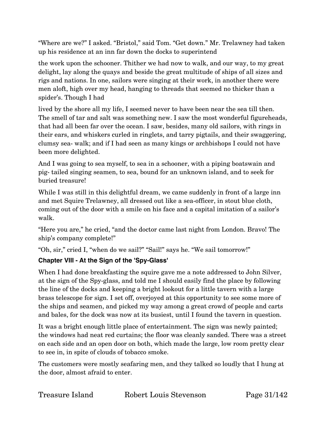"Where are we?" I asked. "Bristol," said Tom. "Get down." Mr. Trelawney had taken up his residence at an inn far down the docks to superintend

the work upon the schooner. Thither we had now to walk, and our way, to my great delight, lay along the quays and beside the great multitude of ships of all sizes and rigs and nations. In one, sailors were singing at their work, in another there were men aloft, high over my head, hanging to threads that seemed no thicker than a spider's. Though I had

lived by the shore all my life, I seemed never to have been near the sea till then. The smell of tar and salt was something new. I saw the most wonderful figureheads, that had all been far over the ocean. I saw, besides, many old sailors, with rings in their ears, and whiskers curled in ringlets, and tarry pigtails, and their swaggering, clumsy sea- walk; and if I had seen as many kings or archbishops I could not have been more delighted.

And I was going to sea myself, to sea in a schooner, with a piping boatswain and pig- tailed singing seamen, to sea, bound for an unknown island, and to seek for buried treasure!

While I was still in this delightful dream, we came suddenly in front of a large inn and met Squire Trelawney, all dressed out like a sea-officer, in stout blue cloth, coming out of the door with a smile on his face and a capital imitation of a sailor's walk.

"Here you are," he cried, "and the doctor came last night from London. Bravo! The ship's company complete!"

"Oh, sir," cried I, "when do we sail?" "Sail!" says he. "We sail tomorrow!"

#### <span id="page-30-0"></span>**Chapter VIII - At the Sign of the 'Spy-Glass'**

When I had done breakfasting the squire gave me a note addressed to John Silver, at the sign of the Spy-glass, and told me I should easily find the place by following the line of the docks and keeping a bright lookout for a little tavern with a large brass telescope for sign. I set off, overjoyed at this opportunity to see some more of the ships and seamen, and picked my way among a great crowd of people and carts and bales, for the dock was now at its busiest, until I found the tavern in question.

It was a bright enough little place of entertainment. The sign was newly painted; the windows had neat red curtains; the floor was cleanly sanded. There was a street on each side and an open door on both, which made the large, low room pretty clear to see in, in spite of clouds of tobacco smoke.

The customers were mostly seafaring men, and they talked so loudly that I hung at the door, almost afraid to enter.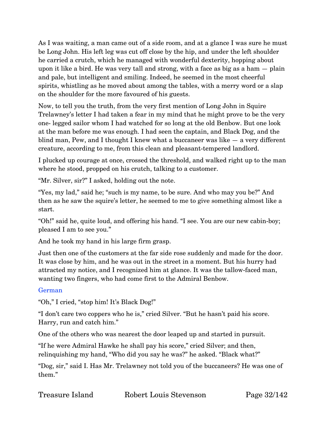As I was waiting, a man came out of a side room, and at a glance I was sure he must be Long John. His left leg was cut off close by the hip, and under the left shoulder he carried a crutch, which he managed with wonderful dexterity, hopping about upon it like a bird. He was very tall and strong, with a face as big as a ham — plain and pale, but intelligent and smiling. Indeed, he seemed in the most cheerful spirits, whistling as he moved about among the tables, with a merry word or a slap on the shoulder for the more favoured of his guests.

Now, to tell you the truth, from the very first mention of Long John in Squire Trelawney's letter I had taken a fear in my mind that he might prove to be the very one- legged sailor whom I had watched for so long at the old Benbow. But one look at the man before me was enough. I had seen the captain, and Black Dog, and the blind man, Pew, and I thought I knew what a buccaneer was like — a very different creature, according to me, from this clean and pleasant-tempered landlord.

I plucked up courage at once, crossed the threshold, and walked right up to the man where he stood, propped on his crutch, talking to a customer.

"Mr. Silver, sir?" I asked, holding out the note.

"Yes, my lad," said he; "such is my name, to be sure. And who may you be?" And then as he saw the squire's letter, he seemed to me to give something almost like a start.

"Oh!" said he, quite loud, and offering his hand. "I see. You are our new cabin-boy; pleased I am to see you."

And he took my hand in his large firm grasp.

Just then one of the customers at the far side rose suddenly and made for the door. It was close by him, and he was out in the street in a moment. But his hurry had attracted my notice, and I recognized him at glance. It was the tallow-faced man, wanting two fingers, who had come first to the Admiral Benbow.

#### German

"Oh," I cried, "stop him! It's Black Dog!"

"I don't care two coppers who he is," cried Silver. "But he hasn't paid his score. Harry, run and catch him."

One of the others who was nearest the door leaped up and started in pursuit.

"If he were Admiral Hawke he shall pay his score," cried Silver; and then, relinquishing my hand, "Who did you say he was?" he asked. "Black what?"

"Dog, sir," said I. Has Mr. Trelawney not told you of the buccaneers? He was one of them."

| Treasure Island | Robert Louis Stevenson |
|-----------------|------------------------|
|                 |                        |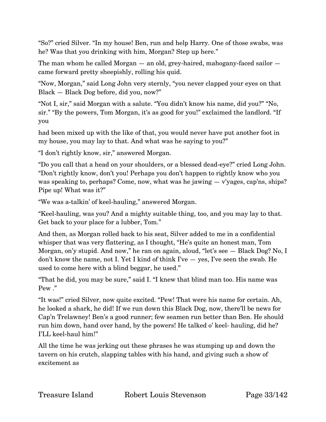"So?" cried Silver. "In my house! Ben, run and help Harry. One of those swabs, was he? Was that you drinking with him, Morgan? Step up here."

The man whom he called Morgan — an old, grey-haired, mahogany-faced sailor came forward pretty sheepishly, rolling his quid.

"Now, Morgan," said Long John very sternly, "you never clapped your eyes on that Black — Black Dog before, did you, now?"

"Not I, sir," said Morgan with a salute. "You didn't know his name, did you?" "No, sir." "By the powers, Tom Morgan, it's as good for you!" exclaimed the landlord. "If you

had been mixed up with the like of that, you would never have put another foot in my house, you may lay to that. And what was he saying to you?"

"I don't rightly know, sir," answered Morgan.

"Do you call that a head on your shoulders, or a blessed dead-eye?" cried Long John. "Don't rightly know, don't you! Perhaps you don't happen to rightly know who you was speaking to, perhaps? Come, now, what was he jawing — v'yages, cap'ns, ships? Pipe up! What was it?"

"We was a-talkin' of keel-hauling," answered Morgan.

"Keel-hauling, was you? And a mighty suitable thing, too, and you may lay to that. Get back to your place for a lubber, Tom."

And then, as Morgan rolled back to his seat, Silver added to me in a confidential whisper that was very flattering, as I thought, "He's quite an honest man, Tom Morgan, on'y stupid. And now," he ran on again, aloud, "let's see — Black Dog? No, I don't know the name, not I. Yet I kind of think I've — yes, I've seen the swab. He used to come here with a blind beggar, he used."

"That he did, you may be sure," said I. "I knew that blind man too. His name was Pew ."

"It was!" cried Silver, now quite excited. "Pew! That were his name for certain. Ah, he looked a shark, he did! If we run down this Black Dog, now, there'll be news for Cap'n Trelawney! Ben's a good runner; few seamen run better than Ben. He should run him down, hand over hand, by the powers! He talked o' keel- hauling, did he? I'LL keel-haul him!"

All the time he was jerking out these phrases he was stumping up and down the tavern on his crutch, slapping tables with his hand, and giving such a show of excitement as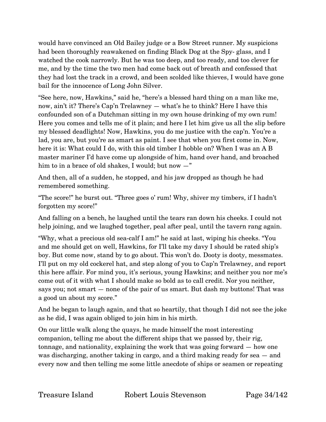would have convinced an Old Bailey judge or a Bow Street runner. My suspicions had been thoroughly reawakened on finding Black Dog at the Spy- glass, and I watched the cook narrowly. But he was too deep, and too ready, and too clever for me, and by the time the two men had come back out of breath and confessed that they had lost the track in a crowd, and been scolded like thieves, I would have gone bail for the innocence of Long John Silver.

"See here, now, Hawkins," said he, "here's a blessed hard thing on a man like me, now, ain't it? There's Cap'n Trelawney — what's he to think? Here I have this confounded son of a Dutchman sitting in my own house drinking of my own rum! Here you comes and tells me of it plain; and here I let him give us all the slip before my blessed deadlights! Now, Hawkins, you do me justice with the cap'n. You're a lad, you are, but you're as smart as paint. I see that when you first come in. Now, here it is: What could I do, with this old timber I hobble on? When I was an A B master mariner I'd have come up alongside of him, hand over hand, and broached him to in a brace of old shakes, I would; but now  $-$ "

And then, all of a sudden, he stopped, and his jaw dropped as though he had remembered something.

"The score!" he burst out. "Three goes o' rum! Why, shiver my timbers, if I hadn't forgotten my score!"

And falling on a bench, he laughed until the tears ran down his cheeks. I could not help joining, and we laughed together, peal after peal, until the tavern rang again.

"Why, what a precious old sea-calf I am!" he said at last, wiping his cheeks. "You and me should get on well, Hawkins, for I'll take my davy I should be rated ship's boy. But come now, stand by to go about. This won't do. Dooty is dooty, messmates. I'll put on my old cockerel hat, and step along of you to Cap'n Trelawney, and report this here affair. For mind you, it's serious, young Hawkins; and neither you nor me's come out of it with what I should make so bold as to call credit. Nor you neither, says you; not smart — none of the pair of us smart. But dash my buttons! That was a good un about my score."

And he began to laugh again, and that so heartily, that though I did not see the joke as he did, I was again obliged to join him in his mirth.

On our little walk along the quays, he made himself the most interesting companion, telling me about the different ships that we passed by, their rig, tonnage, and nationality, explaining the work that was going forward — how one was discharging, another taking in cargo, and a third making ready for sea — and every now and then telling me some little anecdote of ships or seamen or repeating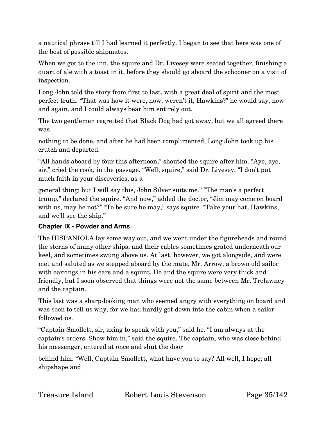a nautical phrase till I had learned it perfectly. I began to see that here was one of the best of possible shipmates.

When we got to the inn, the squire and Dr. Livesey were seated together, finishing a quart of ale with a toast in it, before they should go aboard the schooner on a visit of inspection.

Long John told the story from first to last, with a great deal of spirit and the most perfect truth. "That was how it were, now, weren't it, Hawkins?" he would say, now and again, and I could always bear him entirely out.

The two gentlemen regretted that Black Dog had got away, but we all agreed there was

nothing to be done, and after he had been complimented, Long John took up his crutch and departed.

"All hands aboard by four this afternoon," shouted the squire after him. "Aye, aye, sir," cried the cook, in the passage. "Well, squire," said Dr. Livesey, "I don't put much faith in your discoveries, as a

general thing; but I will say this, John Silver suits me." "The man's a perfect trump," declared the squire. "And now," added the doctor, "Jim may come on board with us, may he not?" "To be sure he may," says squire. "Take your hat, Hawkins, and we'll see the ship."

# <span id="page-34-0"></span>**Chapter IX - Powder and Arms**

The HISPANIOLA lay some way out, and we went under the figureheads and round the sterns of many other ships, and their cables sometimes grated underneath our keel, and sometimes swung above us. At last, however, we got alongside, and were met and saluted as we stepped aboard by the mate, Mr. Arrow, a brown old sailor with earrings in his ears and a squint. He and the squire were very thick and friendly, but I soon observed that things were not the same between Mr. Trelawney and the captain.

This last was a sharp-looking man who seemed angry with everything on board and was soon to tell us why, for we had hardly got down into the cabin when a sailor followed us.

"Captain Smollett, sir, axing to speak with you," said he. "I am always at the captain's orders. Show him in," said the squire. The captain, who was close behind his messenger, entered at once and shut the door

behind him. "Well, Captain Smollett, what have you to say? All well, I hope; all shipshape and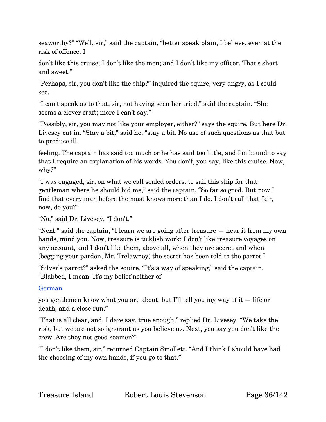seaworthy?" "Well, sir," said the captain, "better speak plain, I believe, even at the risk of offence. I

don't like this cruise; I don't like the men; and I don't like my officer. That's short and sweet."

"Perhaps, sir, you don't like the ship?" inquired the squire, very angry, as I could see.

"I can't speak as to that, sir, not having seen her tried," said the captain. "She seems a clever craft; more I can't say."

"Possibly, sir, you may not like your employer, either?" says the squire. But here Dr. Livesey cut in. "Stay a bit," said he, "stay a bit. No use of such questions as that but to produce ill

feeling. The captain has said too much or he has said too little, and I'm bound to say that I require an explanation of his words. You don't, you say, like this cruise. Now, why?"

"I was engaged, sir, on what we call sealed orders, to sail this ship for that gentleman where he should bid me," said the captain. "So far so good. But now I find that every man before the mast knows more than I do. I don't call that fair, now, do you?"

"No," said Dr. Livesey, "I don't."

"Next," said the captain, "I learn we are going after treasure — hear it from my own hands, mind you. Now, treasure is ticklish work; I don't like treasure voyages on any account, and I don't like them, above all, when they are secret and when (begging your pardon, Mr. Trelawney) the secret has been told to the parrot."

"Silver's parrot?" asked the squire. "It's a way of speaking," said the captain. "Blabbed, I mean. It's my belief neither of

#### German

you gentlemen know what you are about, but I'll tell you my way of it — life or death, and a close run."

"That is all clear, and, I dare say, true enough," replied Dr. Livesey. "We take the risk, but we are not so ignorant as you believe us. Next, you say you don't like the crew. Are they not good seamen?"

"I don't like them, sir," returned Captain Smollett. "And I think I should have had the choosing of my own hands, if you go to that."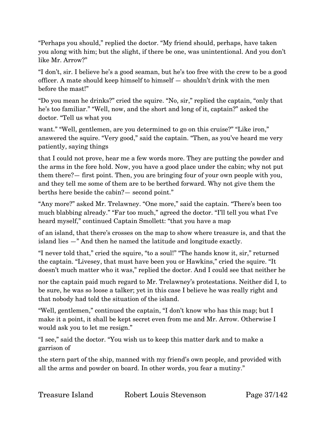"Perhaps you should," replied the doctor. "My friend should, perhaps, have taken you along with him; but the slight, if there be one, was unintentional. And you don't like Mr. Arrow?"

"I don't, sir. I believe he's a good seaman, but he's too free with the crew to be a good officer. A mate should keep himself to himself — shouldn't drink with the men before the mast!"

"Do you mean he drinks?" cried the squire. "No, sir," replied the captain, "only that he's too familiar." "Well, now, and the short and long of it, captain?" asked the doctor. "Tell us what you

want." "Well, gentlemen, are you determined to go on this cruise?" "Like iron," answered the squire. "Very good," said the captain. "Then, as you've heard me very patiently, saying things

that I could not prove, hear me a few words more. They are putting the powder and the arms in the fore hold. Now, you have a good place under the cabin; why not put them there?— first point. Then, you are bringing four of your own people with you, and they tell me some of them are to be berthed forward. Why not give them the berths here beside the cabin?— second point."

"Any more?" asked Mr. Trelawney. "One more," said the captain. "There's been too much blabbing already." "Far too much," agreed the doctor. "I'll tell you what I've heard myself," continued Captain Smollett: "that you have a map

of an island, that there's crosses on the map to show where treasure is, and that the island lies —" And then he named the latitude and longitude exactly.

"I never told that," cried the squire, "to a soul!" "The hands know it, sir," returned the captain. "Livesey, that must have been you or Hawkins," cried the squire. "It doesn't much matter who it was," replied the doctor. And I could see that neither he

nor the captain paid much regard to Mr. Trelawney's protestations. Neither did I, to be sure, he was so loose a talker; yet in this case I believe he was really right and that nobody had told the situation of the island.

"Well, gentlemen," continued the captain, "I don't know who has this map; but I make it a point, it shall be kept secret even from me and Mr. Arrow. Otherwise I would ask you to let me resign."

"I see," said the doctor. "You wish us to keep this matter dark and to make a garrison of

the stern part of the ship, manned with my friend's own people, and provided with all the arms and powder on board. In other words, you fear a mutiny."

Treasure Island Robert Louis Stevenson Page 37/142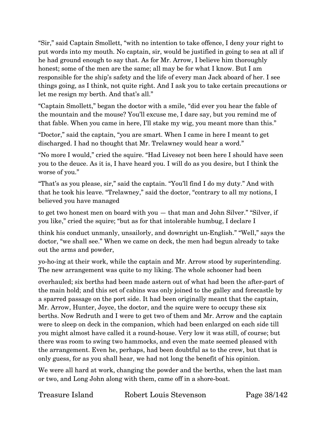"Sir," said Captain Smollett, "with no intention to take offence, I deny your right to put words into my mouth. No captain, sir, would be justified in going to sea at all if he had ground enough to say that. As for Mr. Arrow, I believe him thoroughly honest; some of the men are the same; all may be for what I know. But I am responsible for the ship's safety and the life of every man Jack aboard of her. I see things going, as I think, not quite right. And I ask you to take certain precautions or let me resign my berth. And that's all."

"Captain Smollett," began the doctor with a smile, "did ever you hear the fable of the mountain and the mouse? You'll excuse me, I dare say, but you remind me of that fable. When you came in here, I'll stake my wig, you meant more than this."

"Doctor," said the captain, "you are smart. When I came in here I meant to get discharged. I had no thought that Mr. Trelawney would hear a word."

"No more I would," cried the squire. "Had Livesey not been here I should have seen you to the deuce. As it is, I have heard you. I will do as you desire, but I think the worse of you."

"That's as you please, sir," said the captain. "You'll find I do my duty." And with that he took his leave. "Trelawney," said the doctor, "contrary to all my notions, I believed you have managed

to get two honest men on board with you — that man and John Silver." "Silver, if you like," cried the squire; "but as for that intolerable humbug, I declare I

think his conduct unmanly, unsailorly, and downright un-English." "Well," says the doctor, "we shall see." When we came on deck, the men had begun already to take out the arms and powder,

yo-ho-ing at their work, while the captain and Mr. Arrow stood by superintending. The new arrangement was quite to my liking. The whole schooner had been

overhauled; six berths had been made astern out of what had been the after-part of the main hold; and this set of cabins was only joined to the galley and forecastle by a sparred passage on the port side. It had been originally meant that the captain, Mr. Arrow, Hunter, Joyce, the doctor, and the squire were to occupy these six berths. Now Redruth and I were to get two of them and Mr. Arrow and the captain were to sleep on deck in the companion, which had been enlarged on each side till you might almost have called it a round-house. Very low it was still, of course; but there was room to swing two hammocks, and even the mate seemed pleased with the arrangement. Even he, perhaps, had been doubtful as to the crew, but that is only guess, for as you shall hear, we had not long the benefit of his opinion.

We were all hard at work, changing the powder and the berths, when the last man or two, and Long John along with them, came off in a shore-boat.

Treasure Island Robert Louis Stevenson Page 38/142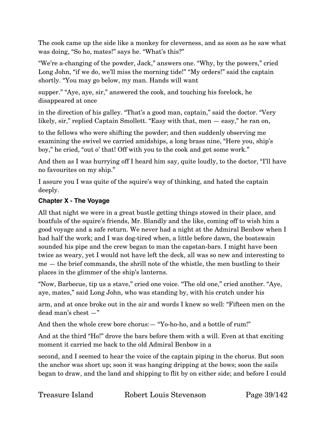The cook came up the side like a monkey for cleverness, and as soon as he saw what was doing, "So ho, mates!" says he. "What's this?"

"We're a-changing of the powder, Jack," answers one. "Why, by the powers," cried Long John, "if we do, we'll miss the morning tide!" "My orders!" said the captain shortly. "You may go below, my man. Hands will want

supper." "Aye, aye, sir," answered the cook, and touching his forelock, he disappeared at once

in the direction of his galley. "That's a good man, captain," said the doctor. "Very likely, sir," replied Captain Smollett. "Easy with that, men — easy," he ran on,

to the fellows who were shifting the powder; and then suddenly observing me examining the swivel we carried amidships, a long brass nine, "Here you, ship's boy," he cried, "out o' that! Off with you to the cook and get some work."

And then as I was hurrying off I heard him say, quite loudly, to the doctor, "I'll have no favourites on my ship."

I assure you I was quite of the squire's way of thinking, and hated the captain deeply.

# **Chapter X - The Voyage**

All that night we were in a great bustle getting things stowed in their place, and boatfuls of the squire's friends, Mr. Blandly and the like, coming off to wish him a good voyage and a safe return. We never had a night at the Admiral Benbow when I had half the work; and I was dog-tired when, a little before dawn, the boatswain sounded his pipe and the crew began to man the capstan-bars. I might have been twice as weary, yet I would not have left the deck, all was so new and interesting to me — the brief commands, the shrill note of the whistle, the men bustling to their places in the glimmer of the ship's lanterns.

"Now, Barbecue, tip us a stave," cried one voice. "The old one," cried another. "Aye, aye, mates," said Long John, who was standing by, with his crutch under his

arm, and at once broke out in the air and words I knew so well: "Fifteen men on the dead man's chest —"

And then the whole crew bore chorus: - "Yo-ho-ho, and a bottle of rum!"

And at the third "Ho!" drove the bars before them with a will. Even at that exciting moment it carried me back to the old Admiral Benbow in a

second, and I seemed to hear the voice of the captain piping in the chorus. But soon the anchor was short up; soon it was hanging dripping at the bows; soon the sails began to draw, and the land and shipping to flit by on either side; and before I could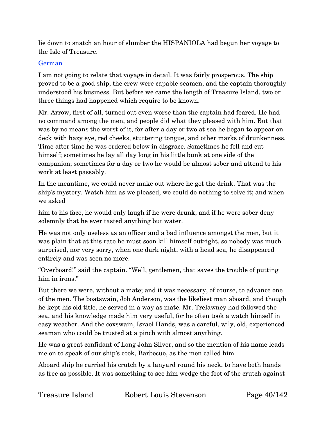lie down to snatch an hour of slumber the HISPANIOLA had begun her voyage to the Isle of Treasure.

#### German

I am not going to relate that voyage in detail. It was fairly prosperous. The ship proved to be a good ship, the crew were capable seamen, and the captain thoroughly understood his business. But before we came the length of Treasure Island, two or three things had happened which require to be known.

Mr. Arrow, first of all, turned out even worse than the captain had feared. He had no command among the men, and people did what they pleased with him. But that was by no means the worst of it, for after a day or two at sea he began to appear on deck with hazy eye, red cheeks, stuttering tongue, and other marks of drunkenness. Time after time he was ordered below in disgrace. Sometimes he fell and cut himself; sometimes he lay all day long in his little bunk at one side of the companion; sometimes for a day or two he would be almost sober and attend to his work at least passably.

In the meantime, we could never make out where he got the drink. That was the ship's mystery. Watch him as we pleased, we could do nothing to solve it; and when we asked

him to his face, he would only laugh if he were drunk, and if he were sober deny solemnly that he ever tasted anything but water.

He was not only useless as an officer and a bad influence amongst the men, but it was plain that at this rate he must soon kill himself outright, so nobody was much surprised, nor very sorry, when one dark night, with a head sea, he disappeared entirely and was seen no more.

"Overboard!" said the captain. "Well, gentlemen, that saves the trouble of putting him in irons."

But there we were, without a mate; and it was necessary, of course, to advance one of the men. The boatswain, Job Anderson, was the likeliest man aboard, and though he kept his old title, he served in a way as mate. Mr. Trelawney had followed the sea, and his knowledge made him very useful, for he often took a watch himself in easy weather. And the coxswain, Israel Hands, was a careful, wily, old, experienced seaman who could be trusted at a pinch with almost anything.

He was a great confidant of Long John Silver, and so the mention of his name leads me on to speak of our ship's cook, Barbecue, as the men called him.

Aboard ship he carried his crutch by a lanyard round his neck, to have both hands as free as possible. It was something to see him wedge the foot of the crutch against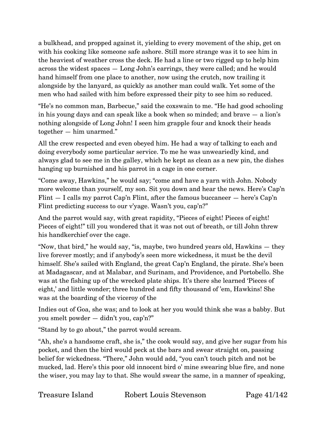a bulkhead, and propped against it, yielding to every movement of the ship, get on with his cooking like someone safe ashore. Still more strange was it to see him in the heaviest of weather cross the deck. He had a line or two rigged up to help him across the widest spaces — Long John's earrings, they were called; and he would hand himself from one place to another, now using the crutch, now trailing it alongside by the lanyard, as quickly as another man could walk. Yet some of the men who had sailed with him before expressed their pity to see him so reduced.

"He's no common man, Barbecue," said the coxswain to me. "He had good schooling in his young days and can speak like a book when so minded; and brave — a lion's nothing alongside of Long John! I seen him grapple four and knock their heads together — him unarmed."

All the crew respected and even obeyed him. He had a way of talking to each and doing everybody some particular service. To me he was unweariedly kind, and always glad to see me in the galley, which he kept as clean as a new pin, the dishes hanging up burnished and his parrot in a cage in one corner.

"Come away, Hawkins," he would say; "come and have a yarn with John. Nobody more welcome than yourself, my son. Sit you down and hear the news. Here's Cap'n Flint  $-$  I calls my parrot Cap'n Flint, after the famous buccaneer  $-$  here's Cap'n Flint predicting success to our v'yage. Wasn't you, cap'n?"

And the parrot would say, with great rapidity, "Pieces of eight! Pieces of eight! Pieces of eight!" till you wondered that it was not out of breath, or till John threw his handkerchief over the cage.

"Now, that bird," he would say, "is, maybe, two hundred years old, Hawkins — they live forever mostly; and if anybody's seen more wickedness, it must be the devil himself. She's sailed with England, the great Cap'n England, the pirate. She's been at Madagascar, and at Malabar, and Surinam, and Providence, and Portobello. She was at the fishing up of the wrecked plate ships. It's there she learned 'Pieces of eight,' and little wonder; three hundred and fifty thousand of 'em, Hawkins! She was at the boarding of the viceroy of the

Indies out of Goa, she was; and to look at her you would think she was a babby. But you smelt powder — didn't you, cap'n?"

"Stand by to go about," the parrot would scream.

"Ah, she's a handsome craft, she is," the cook would say, and give her sugar from his pocket, and then the bird would peck at the bars and swear straight on, passing belief for wickedness. "There," John would add, "you can't touch pitch and not be mucked, lad. Here's this poor old innocent bird o' mine swearing blue fire, and none the wiser, you may lay to that. She would swear the same, in a manner of speaking,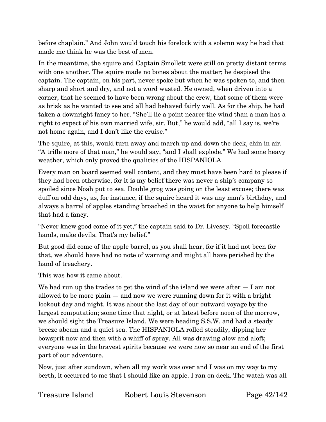before chaplain." And John would touch his forelock with a solemn way he had that made me think he was the best of men.

In the meantime, the squire and Captain Smollett were still on pretty distant terms with one another. The squire made no bones about the matter; he despised the captain. The captain, on his part, never spoke but when he was spoken to, and then sharp and short and dry, and not a word wasted. He owned, when driven into a corner, that he seemed to have been wrong about the crew, that some of them were as brisk as he wanted to see and all had behaved fairly well. As for the ship, he had taken a downright fancy to her. "She'll lie a point nearer the wind than a man has a right to expect of his own married wife, sir. But," he would add, "all I say is, we're not home again, and I don't like the cruise."

The squire, at this, would turn away and march up and down the deck, chin in air. "A trifle more of that man," he would say, "and I shall explode." We had some heavy weather, which only proved the qualities of the HISPANIOLA.

Every man on board seemed well content, and they must have been hard to please if they had been otherwise, for it is my belief there was never a ship's company so spoiled since Noah put to sea. Double grog was going on the least excuse; there was duff on odd days, as, for instance, if the squire heard it was any man's birthday, and always a barrel of apples standing broached in the waist for anyone to help himself that had a fancy.

"Never knew good come of it yet," the captain said to Dr. Livesey. "Spoil forecastle hands, make devils. That's my belief."

But good did come of the apple barrel, as you shall hear, for if it had not been for that, we should have had no note of warning and might all have perished by the hand of treachery.

This was how it came about.

We had run up the trades to get the wind of the island we were after  $- I$  am not allowed to be more plain — and now we were running down for it with a bright lookout day and night. It was about the last day of our outward voyage by the largest computation; some time that night, or at latest before noon of the morrow, we should sight the Treasure Island. We were heading S.S.W. and had a steady breeze abeam and a quiet sea. The HISPANIOLA rolled steadily, dipping her bowsprit now and then with a whiff of spray. All was drawing alow and aloft; everyone was in the bravest spirits because we were now so near an end of the first part of our adventure.

Now, just after sundown, when all my work was over and I was on my way to my berth, it occurred to me that I should like an apple. I ran on deck. The watch was all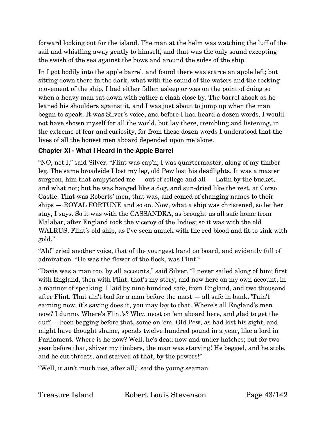forward looking out for the island. The man at the helm was watching the luff of the sail and whistling away gently to himself, and that was the only sound excepting the swish of the sea against the bows and around the sides of the ship.

In I got bodily into the apple barrel, and found there was scarce an apple left; but sitting down there in the dark, what with the sound of the waters and the rocking movement of the ship, I had either fallen asleep or was on the point of doing so when a heavy man sat down with rather a clash close by. The barrel shook as he leaned his shoulders against it, and I was just about to jump up when the man began to speak. It was Silver's voice, and before I had heard a dozen words, I would not have shown myself for all the world, but lay there, trembling and listening, in the extreme of fear and curiosity, for from these dozen words I understood that the lives of all the honest men aboard depended upon me alone.

# **Chapter XI - What I Heard in the Apple Barrel**

"NO, not I," said Silver. "Flint was cap'n; I was quartermaster, along of my timber leg. The same broadside I lost my leg, old Pew lost his deadlights. It was a master surgeon, him that ampytated me  $-$  out of college and all  $-$  Latin by the bucket, and what not; but he was hanged like a dog, and sun-dried like the rest, at Corso Castle. That was Roberts' men, that was, and comed of changing names to their ships — ROYAL FORTUNE and so on. Now, what a ship was christened, so let her stay, I says. So it was with the CASSANDRA, as brought us all safe home from Malabar, after England took the viceroy of the Indies; so it was with the old WALRUS, Flint's old ship, as I've seen amuck with the red blood and fit to sink with gold."

"Ah!" cried another voice, that of the youngest hand on board, and evidently full of admiration. "He was the flower of the flock, was Flint!"

"Davis was a man too, by all accounts," said Silver. "I never sailed along of him; first with England, then with Flint, that's my story; and now here on my own account, in a manner of speaking. I laid by nine hundred safe, from England, and two thousand after Flint. That ain't bad for a man before the mast — all safe in bank. 'Tain't earning now, it's saving does it, you may lay to that. Where's all England's men now? I dunno. Where's Flint's? Why, most on 'em aboard here, and glad to get the duff — been begging before that, some on 'em. Old Pew, as had lost his sight, and might have thought shame, spends twelve hundred pound in a year, like a lord in Parliament. Where is he now? Well, he's dead now and under hatches; but for two year before that, shiver my timbers, the man was starving! He begged, and he stole, and he cut throats, and starved at that, by the powers!"

"Well, it ain't much use, after all," said the young seaman.

Treasure Island Robert Louis Stevenson Page 43/142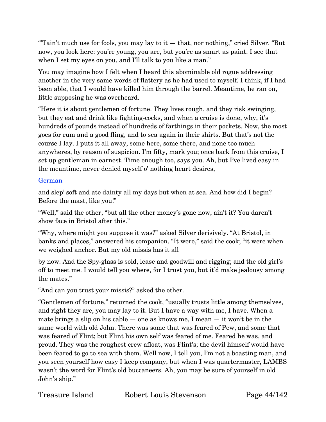"Tain't much use for fools, you may lay to it  $-$  that, nor nothing," cried Silver. "But" now, you look here: you're young, you are, but you're as smart as paint. I see that when I set my eyes on you, and I'll talk to you like a man."

You may imagine how I felt when I heard this abominable old rogue addressing another in the very same words of flattery as he had used to myself. I think, if I had been able, that I would have killed him through the barrel. Meantime, he ran on, little supposing he was overheard.

"Here it is about gentlemen of fortune. They lives rough, and they risk swinging, but they eat and drink like fighting-cocks, and when a cruise is done, why, it's hundreds of pounds instead of hundreds of farthings in their pockets. Now, the most goes for rum and a good fling, and to sea again in their shirts. But that's not the course I lay. I puts it all away, some here, some there, and none too much anywheres, by reason of suspicion. I'm fifty, mark you; once back from this cruise, I set up gentleman in earnest. Time enough too, says you. Ah, but I've lived easy in the meantime, never denied myself o' nothing heart desires,

#### German

and slep' soft and ate dainty all my days but when at sea. And how did I begin? Before the mast, like you!"

"Well," said the other, "but all the other money's gone now, ain't it? You daren't show face in Bristol after this."

"Why, where might you suppose it was?" asked Silver derisively. "At Bristol, in banks and places," answered his companion. "It were," said the cook; "it were when we weighed anchor. But my old missis has it all

by now. And the Spy-glass is sold, lease and goodwill and rigging; and the old girl's off to meet me. I would tell you where, for I trust you, but it'd make jealousy among the mates."

"And can you trust your missis?" asked the other.

"Gentlemen of fortune," returned the cook, "usually trusts little among themselves, and right they are, you may lay to it. But I have a way with me, I have. When a mate brings a slip on his cable  $-$  one as knows me, I mean  $-$  it won't be in the same world with old John. There was some that was feared of Pew, and some that was feared of Flint; but Flint his own self was feared of me. Feared he was, and proud. They was the roughest crew afloat, was Flint's; the devil himself would have been feared to go to sea with them. Well now, I tell you, I'm not a boasting man, and you seen yourself how easy I keep company, but when I was quartermaster, LAMBS wasn't the word for Flint's old buccaneers. Ah, you may be sure of yourself in old John's ship."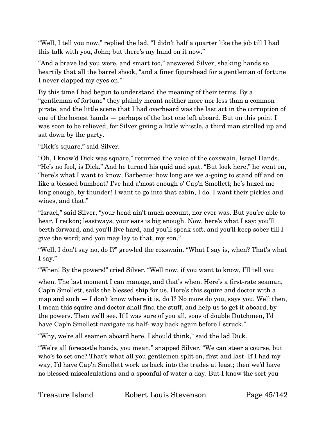"Well, I tell you now," replied the lad, "I didn't half a quarter like the job till I had this talk with you, John; but there's my hand on it now."

"And a brave lad you were, and smart too," answered Silver, shaking hands so heartily that all the barrel shook, "and a finer figurehead for a gentleman of fortune I never clapped my eyes on."

By this time I had begun to understand the meaning of their terms. By a "gentleman of fortune" they plainly meant neither more nor less than a common pirate, and the little scene that I had overheard was the last act in the corruption of one of the honest hands — perhaps of the last one left aboard. But on this point I was soon to be relieved, for Silver giving a little whistle, a third man strolled up and sat down by the party.

"Dick's square," said Silver.

"Oh, I know'd Dick was square," returned the voice of the coxswain, Israel Hands. "He's no fool, is Dick." And he turned his quid and spat. "But look here," he went on, "here's what I want to know, Barbecue: how long are we a-going to stand off and on like a blessed bumboat? I've had a'most enough o' Cap'n Smollett; he's hazed me long enough, by thunder! I want to go into that cabin, I do. I want their pickles and wines, and that."

"Israel," said Silver, "your head ain't much account, nor ever was. But you're able to hear, I reckon; leastways, your ears is big enough. Now, here's what I say: you'll berth forward, and you'll live hard, and you'll speak soft, and you'll keep sober till I give the word; and you may lay to that, my son."

"Well, I don't say no, do I?" growled the coxswain. "What I say is, when? That's what I say."

"When! By the powers!" cried Silver. "Well now, if you want to know, I'll tell you

when. The last moment I can manage, and that's when. Here's a first-rate seaman, Cap'n Smollett, sails the blessed ship for us. Here's this squire and doctor with a map and such — I don't know where it is, do I? No more do you, says you. Well then, I mean this squire and doctor shall find the stuff, and help us to get it aboard, by the powers. Then we'll see. If I was sure of you all, sons of double Dutchmen, I'd have Cap'n Smollett navigate us half- way back again before I struck."

"Why, we're all seamen aboard here, I should think," said the lad Dick.

"We're all forecastle hands, you mean," snapped Silver. "We can steer a course, but who's to set one? That's what all you gentlemen split on, first and last. If I had my way, I'd have Cap'n Smollett work us back into the trades at least; then we'd have no blessed miscalculations and a spoonful of water a day. But I know the sort you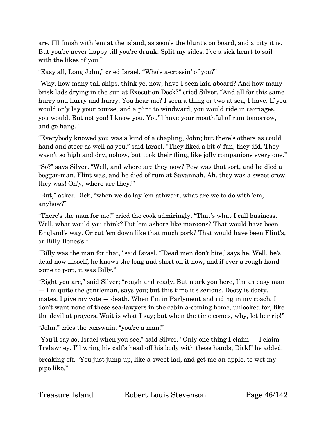are. I'll finish with 'em at the island, as soon's the blunt's on board, and a pity it is. But you're never happy till you're drunk. Split my sides, I've a sick heart to sail with the likes of you!"

"Easy all, Long John," cried Israel. "Who's a-crossin' of you?"

"Why, how many tall ships, think ye, now, have I seen laid aboard? And how many brisk lads drying in the sun at Execution Dock?" cried Silver. "And all for this same hurry and hurry and hurry. You hear me? I seen a thing or two at sea, I have. If you would on'y lay your course, and a p'int to windward, you would ride in carriages, you would. But not you! I know you. You'll have your mouthful of rum tomorrow, and go hang."

"Everybody knowed you was a kind of a chapling, John; but there's others as could hand and steer as well as you," said Israel. "They liked a bit o' fun, they did. They wasn't so high and dry, nohow, but took their fling, like jolly companions every one."

"So?" says Silver. "Well, and where are they now? Pew was that sort, and he died a beggar-man. Flint was, and he died of rum at Savannah. Ah, they was a sweet crew, they was! On'y, where are they?"

"But," asked Dick, "when we do lay 'em athwart, what are we to do with 'em, anyhow?"

"There's the man for me!" cried the cook admiringly. "That's what I call business. Well, what would you think? Put 'em ashore like maroons? That would have been England's way. Or cut 'em down like that much pork? That would have been Flint's, or Billy Bones's."

"Billy was the man for that," said Israel. "'Dead men don't bite,' says he. Well, he's dead now hisself; he knows the long and short on it now; and if ever a rough hand come to port, it was Billy."

"Right you are," said Silver; "rough and ready. But mark you here, I'm an easy man — I'm quite the gentleman, says you; but this time it's serious. Dooty is dooty, mates. I give my vote — death. When I'm in Parlyment and riding in my coach, I don't want none of these sea-lawyers in the cabin a-coming home, unlooked for, like the devil at prayers. Wait is what I say; but when the time comes, why, let her rip!"

"John," cries the coxswain, "you're a man!"

"You'll say so, Israel when you see," said Silver. "Only one thing I claim — I claim Trelawney. I'll wring his calf's head off his body with these hands, Dick!" he added,

breaking off. "You just jump up, like a sweet lad, and get me an apple, to wet my pipe like."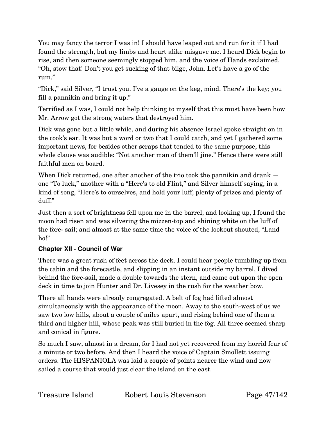You may fancy the terror I was in! I should have leaped out and run for it if I had found the strength, but my limbs and heart alike misgave me. I heard Dick begin to rise, and then someone seemingly stopped him, and the voice of Hands exclaimed, "Oh, stow that! Don't you get sucking of that bilge, John. Let's have a go of the rum."

"Dick," said Silver, "I trust you. I've a gauge on the keg, mind. There's the key; you fill a pannikin and bring it up."

Terrified as I was, I could not help thinking to myself that this must have been how Mr. Arrow got the strong waters that destroyed him.

Dick was gone but a little while, and during his absence Israel spoke straight on in the cook's ear. It was but a word or two that I could catch, and yet I gathered some important news, for besides other scraps that tended to the same purpose, this whole clause was audible: "Not another man of them'll jine." Hence there were still faithful men on board.

When Dick returned, one after another of the trio took the pannikin and drank  $$ one "To luck," another with a "Here's to old Flint," and Silver himself saying, in a kind of song, "Here's to ourselves, and hold your luff, plenty of prizes and plenty of duff."

Just then a sort of brightness fell upon me in the barrel, and looking up, I found the moon had risen and was silvering the mizzen-top and shining white on the luff of the fore- sail; and almost at the same time the voice of the lookout shouted, "Land ho!"

#### **Chapter XII - Council of War**

There was a great rush of feet across the deck. I could hear people tumbling up from the cabin and the forecastle, and slipping in an instant outside my barrel, I dived behind the fore-sail, made a double towards the stern, and came out upon the open deck in time to join Hunter and Dr. Livesey in the rush for the weather bow.

There all hands were already congregated. A belt of fog had lifted almost simultaneously with the appearance of the moon. Away to the south-west of us we saw two low hills, about a couple of miles apart, and rising behind one of them a third and higher hill, whose peak was still buried in the fog. All three seemed sharp and conical in figure.

So much I saw, almost in a dream, for I had not yet recovered from my horrid fear of a minute or two before. And then I heard the voice of Captain Smollett issuing orders. The HISPANIOLA was laid a couple of points nearer the wind and now sailed a course that would just clear the island on the east.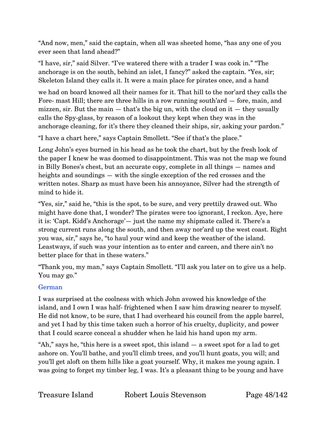"And now, men," said the captain, when all was sheeted home, "has any one of you ever seen that land ahead?"

"I have, sir," said Silver. "I've watered there with a trader I was cook in." "The anchorage is on the south, behind an islet, I fancy?" asked the captain. "Yes, sir; Skeleton Island they calls it. It were a main place for pirates once, and a hand

we had on board knowed all their names for it. That hill to the nor'ard they calls the Fore- mast Hill; there are three hills in a row running south'ard — fore, main, and mizzen, sir. But the main  $-$  that's the big un, with the cloud on it  $-$  they usually calls the Spy-glass, by reason of a lookout they kept when they was in the anchorage cleaning, for it's there they cleaned their ships, sir, asking your pardon."

"I have a chart here," says Captain Smollett. "See if that's the place."

Long John's eyes burned in his head as he took the chart, but by the fresh look of the paper I knew he was doomed to disappointment. This was not the map we found in Billy Bones's chest, but an accurate copy, complete in all things — names and heights and soundings — with the single exception of the red crosses and the written notes. Sharp as must have been his annoyance, Silver had the strength of mind to hide it.

"Yes, sir," said he, "this is the spot, to be sure, and very prettily drawed out. Who might have done that, I wonder? The pirates were too ignorant, I reckon. Aye, here it is: 'Capt. Kidd's Anchorage'— just the name my shipmate called it. There's a strong current runs along the south, and then away nor'ard up the west coast. Right you was, sir," says he, "to haul your wind and keep the weather of the island. Leastways, if such was your intention as to enter and careen, and there ain't no better place for that in these waters."

"Thank you, my man," says Captain Smollett. "I'll ask you later on to give us a help. You may go."

#### German

I was surprised at the coolness with which John avowed his knowledge of the island, and I own I was half- frightened when I saw him drawing nearer to myself. He did not know, to be sure, that I had overheard his council from the apple barrel, and yet I had by this time taken such a horror of his cruelty, duplicity, and power that I could scarce conceal a shudder when he laid his hand upon my arm.

"Ah," says he, "this here is a sweet spot, this island — a sweet spot for a lad to get ashore on. You'll bathe, and you'll climb trees, and you'll hunt goats, you will; and you'll get aloft on them hills like a goat yourself. Why, it makes me young again. I was going to forget my timber leg, I was. It's a pleasant thing to be young and have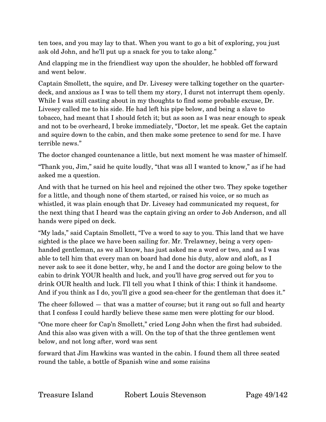ten toes, and you may lay to that. When you want to go a bit of exploring, you just ask old John, and he'll put up a snack for you to take along."

And clapping me in the friendliest way upon the shoulder, he hobbled off forward and went below.

Captain Smollett, the squire, and Dr. Livesey were talking together on the quarterdeck, and anxious as I was to tell them my story, I durst not interrupt them openly. While I was still casting about in my thoughts to find some probable excuse, Dr. Livesey called me to his side. He had left his pipe below, and being a slave to tobacco, had meant that I should fetch it; but as soon as I was near enough to speak and not to be overheard, I broke immediately, "Doctor, let me speak. Get the captain and squire down to the cabin, and then make some pretence to send for me. I have terrible news."

The doctor changed countenance a little, but next moment he was master of himself.

"Thank you, Jim," said he quite loudly, "that was all I wanted to know," as if he had asked me a question.

And with that he turned on his heel and rejoined the other two. They spoke together for a little, and though none of them started, or raised his voice, or so much as whistled, it was plain enough that Dr. Livesey had communicated my request, for the next thing that I heard was the captain giving an order to Job Anderson, and all hands were piped on deck.

"My lads," said Captain Smollett, "I've a word to say to you. This land that we have sighted is the place we have been sailing for. Mr. Trelawney, being a very openhanded gentleman, as we all know, has just asked me a word or two, and as I was able to tell him that every man on board had done his duty, alow and aloft, as I never ask to see it done better, why, he and I and the doctor are going below to the cabin to drink YOUR health and luck, and you'll have grog served out for you to drink OUR health and luck. I'll tell you what I think of this: I think it handsome. And if you think as I do, you'll give a good sea-cheer for the gentleman that does it."

The cheer followed — that was a matter of course; but it rang out so full and hearty that I confess I could hardly believe these same men were plotting for our blood.

"One more cheer for Cap'n Smollett," cried Long John when the first had subsided. And this also was given with a will. On the top of that the three gentlemen went below, and not long after, word was sent

forward that Jim Hawkins was wanted in the cabin. I found them all three seated round the table, a bottle of Spanish wine and some raisins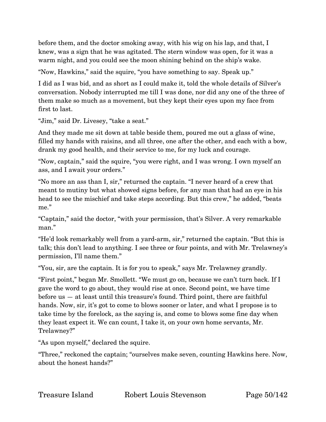before them, and the doctor smoking away, with his wig on his lap, and that, I knew, was a sign that he was agitated. The stern window was open, for it was a warm night, and you could see the moon shining behind on the ship's wake.

"Now, Hawkins," said the squire, "you have something to say. Speak up."

I did as I was bid, and as short as I could make it, told the whole details of Silver's conversation. Nobody interrupted me till I was done, nor did any one of the three of them make so much as a movement, but they kept their eyes upon my face from first to last.

"Jim," said Dr. Livesey, "take a seat."

And they made me sit down at table beside them, poured me out a glass of wine, filled my hands with raisins, and all three, one after the other, and each with a bow, drank my good health, and their service to me, for my luck and courage.

"Now, captain," said the squire, "you were right, and I was wrong. I own myself an ass, and I await your orders."

"No more an ass than I, sir," returned the captain. "I never heard of a crew that meant to mutiny but what showed signs before, for any man that had an eye in his head to see the mischief and take steps according. But this crew," he added, "beats me."

"Captain," said the doctor, "with your permission, that's Silver. A very remarkable man."

"He'd look remarkably well from a yard-arm, sir," returned the captain. "But this is talk; this don't lead to anything. I see three or four points, and with Mr. Trelawney's permission, I'll name them."

"You, sir, are the captain. It is for you to speak," says Mr. Trelawney grandly.

"First point," began Mr. Smollett. "We must go on, because we can't turn back. If I gave the word to go about, they would rise at once. Second point, we have time before us — at least until this treasure's found. Third point, there are faithful hands. Now, sir, it's got to come to blows sooner or later, and what I propose is to take time by the forelock, as the saying is, and come to blows some fine day when they least expect it. We can count, I take it, on your own home servants, Mr. Trelawney?"

"As upon myself," declared the squire.

"Three," reckoned the captain; "ourselves make seven, counting Hawkins here. Now, about the honest hands?"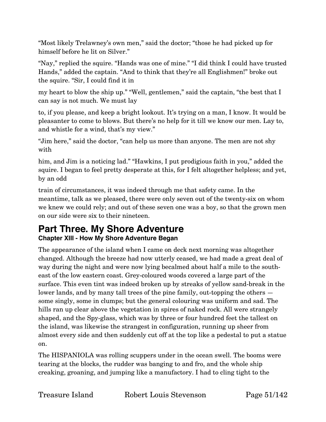"Most likely Trelawney's own men," said the doctor; "those he had picked up for himself before he lit on Silver."

"Nay," replied the squire. "Hands was one of mine." "I did think I could have trusted Hands," added the captain. "And to think that they're all Englishmen!" broke out the squire. "Sir, I could find it in

my heart to blow the ship up." "Well, gentlemen," said the captain, "the best that I can say is not much. We must lay

to, if you please, and keep a bright lookout. It's trying on a man, I know. It would be pleasanter to come to blows. But there's no help for it till we know our men. Lay to, and whistle for a wind, that's my view."

"Jim here," said the doctor, "can help us more than anyone. The men are not shy with

him, and Jim is a noticing lad." "Hawkins, I put prodigious faith in you," added the squire. I began to feel pretty desperate at this, for I felt altogether helpless; and yet, by an odd

train of circumstances, it was indeed through me that safety came. In the meantime, talk as we pleased, there were only seven out of the twenty-six on whom we knew we could rely; and out of these seven one was a boy, so that the grown men on our side were six to their nineteen.

# **Part Three. My Shore Adventure**

**Chapter XIII - How My Shore Adventure Began**

The appearance of the island when I came on deck next morning was altogether changed. Although the breeze had now utterly ceased, we had made a great deal of way during the night and were now lying becalmed about half a mile to the southeast of the low eastern coast. Grey-coloured woods covered a large part of the surface. This even tint was indeed broken up by streaks of yellow sand-break in the lower lands, and by many tall trees of the pine family, out-topping the others some singly, some in clumps; but the general colouring was uniform and sad. The hills ran up clear above the vegetation in spires of naked rock. All were strangely shaped, and the Spy-glass, which was by three or four hundred feet the tallest on the island, was likewise the strangest in configuration, running up sheer from almost every side and then suddenly cut off at the top like a pedestal to put a statue on.

The HISPANIOLA was rolling scuppers under in the ocean swell. The booms were tearing at the blocks, the rudder was banging to and fro, and the whole ship creaking, groaning, and jumping like a manufactory. I had to cling tight to the

Treasure Island Robert Louis Stevenson Page 51/142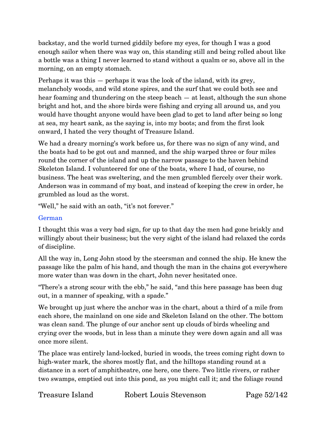backstay, and the world turned giddily before my eyes, for though I was a good enough sailor when there was way on, this standing still and being rolled about like a bottle was a thing I never learned to stand without a qualm or so, above all in the morning, on an empty stomach.

Perhaps it was this — perhaps it was the look of the island, with its grey, melancholy woods, and wild stone spires, and the surf that we could both see and hear foaming and thundering on the steep beach — at least, although the sun shone bright and hot, and the shore birds were fishing and crying all around us, and you would have thought anyone would have been glad to get to land after being so long at sea, my heart sank, as the saying is, into my boots; and from the first look onward, I hated the very thought of Treasure Island.

We had a dreary morning's work before us, for there was no sign of any wind, and the boats had to be got out and manned, and the ship warped three or four miles round the corner of the island and up the narrow passage to the haven behind Skeleton Island. I volunteered for one of the boats, where I had, of course, no business. The heat was sweltering, and the men grumbled fiercely over their work. Anderson was in command of my boat, and instead of keeping the crew in order, he grumbled as loud as the worst.

"Well," he said with an oath, "it's not forever."

#### German

I thought this was a very bad sign, for up to that day the men had gone briskly and willingly about their business; but the very sight of the island had relaxed the cords of discipline.

All the way in, Long John stood by the steersman and conned the ship. He knew the passage like the palm of his hand, and though the man in the chains got everywhere more water than was down in the chart, John never hesitated once.

"There's a strong scour with the ebb," he said, "and this here passage has been dug out, in a manner of speaking, with a spade."

We brought up just where the anchor was in the chart, about a third of a mile from each shore, the mainland on one side and Skeleton Island on the other. The bottom was clean sand. The plunge of our anchor sent up clouds of birds wheeling and crying over the woods, but in less than a minute they were down again and all was once more silent.

The place was entirely land-locked, buried in woods, the trees coming right down to high-water mark, the shores mostly flat, and the hilltops standing round at a distance in a sort of amphitheatre, one here, one there. Two little rivers, or rather two swamps, emptied out into this pond, as you might call it; and the foliage round

Treasure Island Robert Louis Stevenson Page 52/142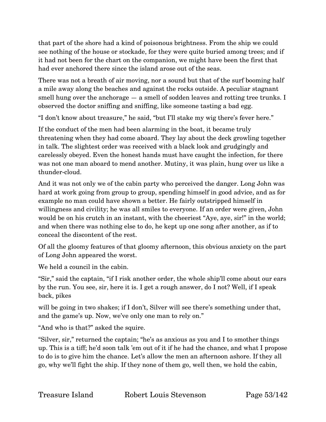that part of the shore had a kind of poisonous brightness. From the ship we could see nothing of the house or stockade, for they were quite buried among trees; and if it had not been for the chart on the companion, we might have been the first that had ever anchored there since the island arose out of the seas.

There was not a breath of air moving, nor a sound but that of the surf booming half a mile away along the beaches and against the rocks outside. A peculiar stagnant smell hung over the anchorage  $-$  a smell of sodden leaves and rotting tree trunks. I observed the doctor sniffing and sniffing, like someone tasting a bad egg.

"I don't know about treasure," he said, "but I'll stake my wig there's fever here."

If the conduct of the men had been alarming in the boat, it became truly threatening when they had come aboard. They lay about the deck growling together in talk. The slightest order was received with a black look and grudgingly and carelessly obeyed. Even the honest hands must have caught the infection, for there was not one man aboard to mend another. Mutiny, it was plain, hung over us like a thunder-cloud.

And it was not only we of the cabin party who perceived the danger. Long John was hard at work going from group to group, spending himself in good advice, and as for example no man could have shown a better. He fairly outstripped himself in willingness and civility; he was all smiles to everyone. If an order were given, John would be on his crutch in an instant, with the cheeriest "Aye, aye, sir!" in the world; and when there was nothing else to do, he kept up one song after another, as if to conceal the discontent of the rest.

Of all the gloomy features of that gloomy afternoon, this obvious anxiety on the part of Long John appeared the worst.

We held a council in the cabin.

"Sir," said the captain, "if I risk another order, the whole ship'll come about our ears by the run. You see, sir, here it is. I get a rough answer, do I not? Well, if I speak back, pikes

will be going in two shakes; if I don't, Silver will see there's something under that, and the game's up. Now, we've only one man to rely on."

"And who is that?" asked the squire.

"Silver, sir," returned the captain; "he's as anxious as you and I to smother things up. This is a tiff; he'd soon talk 'em out of it if he had the chance, and what I propose to do is to give him the chance. Let's allow the men an afternoon ashore. If they all go, why we'll fight the ship. If they none of them go, well then, we hold the cabin,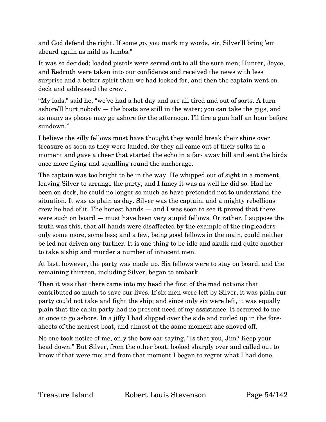and God defend the right. If some go, you mark my words, sir, Silver'll bring 'em aboard again as mild as lambs."

It was so decided; loaded pistols were served out to all the sure men; Hunter, Joyce, and Redruth were taken into our confidence and received the news with less surprise and a better spirit than we had looked for, and then the captain went on deck and addressed the crew .

"My lads," said he, "we've had a hot day and are all tired and out of sorts. A turn ashore'll hurt nobody — the boats are still in the water; you can take the gigs, and as many as please may go ashore for the afternoon. I'll fire a gun half an hour before sundown."

I believe the silly fellows must have thought they would break their shins over treasure as soon as they were landed, for they all came out of their sulks in a moment and gave a cheer that started the echo in a far- away hill and sent the birds once more flying and squalling round the anchorage.

The captain was too bright to be in the way. He whipped out of sight in a moment, leaving Silver to arrange the party, and I fancy it was as well he did so. Had he been on deck, he could no longer so much as have pretended not to understand the situation. It was as plain as day. Silver was the captain, and a mighty rebellious crew he had of it. The honest hands — and I was soon to see it proved that there were such on board — must have been very stupid fellows. Or rather, I suppose the truth was this, that all hands were disaffected by the example of the ringleaders only some more, some less; and a few, being good fellows in the main, could neither be led nor driven any further. It is one thing to be idle and skulk and quite another to take a ship and murder a number of innocent men.

At last, however, the party was made up. Six fellows were to stay on board, and the remaining thirteen, including Silver, began to embark.

Then it was that there came into my head the first of the mad notions that contributed so much to save our lives. If six men were left by Silver, it was plain our party could not take and fight the ship; and since only six were left, it was equally plain that the cabin party had no present need of my assistance. It occurred to me at once to go ashore. In a jiffy I had slipped over the side and curled up in the foresheets of the nearest boat, and almost at the same moment she shoved off.

No one took notice of me, only the bow oar saying, "Is that you, Jim? Keep your head down." But Silver, from the other boat, looked sharply over and called out to know if that were me; and from that moment I began to regret what I had done.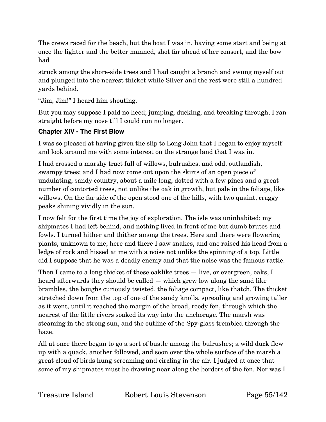The crews raced for the beach, but the boat I was in, having some start and being at once the lighter and the better manned, shot far ahead of her consort, and the bow had

struck among the shore-side trees and I had caught a branch and swung myself out and plunged into the nearest thicket while Silver and the rest were still a hundred yards behind.

"Jim, Jim!" I heard him shouting.

But you may suppose I paid no heed; jumping, ducking, and breaking through, I ran straight before my nose till I could run no longer.

#### **Chapter XIV - The First Blow**

I was so pleased at having given the slip to Long John that I began to enjoy myself and look around me with some interest on the strange land that I was in.

I had crossed a marshy tract full of willows, bulrushes, and odd, outlandish, swampy trees; and I had now come out upon the skirts of an open piece of undulating, sandy country, about a mile long, dotted with a few pines and a great number of contorted trees, not unlike the oak in growth, but pale in the foliage, like willows. On the far side of the open stood one of the hills, with two quaint, craggy peaks shining vividly in the sun.

I now felt for the first time the joy of exploration. The isle was uninhabited; my shipmates I had left behind, and nothing lived in front of me but dumb brutes and fowls. I turned hither and thither among the trees. Here and there were flowering plants, unknown to me; here and there I saw snakes, and one raised his head from a ledge of rock and hissed at me with a noise not unlike the spinning of a top. Little did I suppose that he was a deadly enemy and that the noise was the famous rattle.

Then I came to a long thicket of these oaklike trees — live, or evergreen, oaks, I heard afterwards they should be called — which grew low along the sand like brambles, the boughs curiously twisted, the foliage compact, like thatch. The thicket stretched down from the top of one of the sandy knolls, spreading and growing taller as it went, until it reached the margin of the broad, reedy fen, through which the nearest of the little rivers soaked its way into the anchorage. The marsh was steaming in the strong sun, and the outline of the Spy-glass trembled through the haze.

All at once there began to go a sort of bustle among the bulrushes; a wild duck flew up with a quack, another followed, and soon over the whole surface of the marsh a great cloud of birds hung screaming and circling in the air. I judged at once that some of my shipmates must be drawing near along the borders of the fen. Nor was I

Treasure Island Robert Louis Stevenson Page 55/142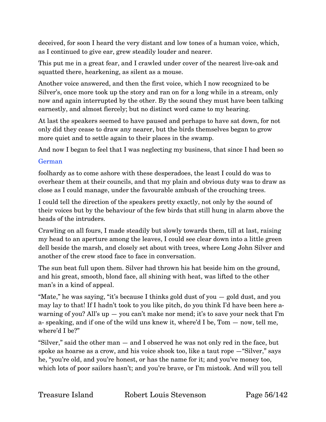deceived, for soon I heard the very distant and low tones of a human voice, which, as I continued to give ear, grew steadily louder and nearer.

This put me in a great fear, and I crawled under cover of the nearest live-oak and squatted there, hearkening, as silent as a mouse.

Another voice answered, and then the first voice, which I now recognized to be Silver's, once more took up the story and ran on for a long while in a stream, only now and again interrupted by the other. By the sound they must have been talking earnestly, and almost fiercely; but no distinct word came to my hearing.

At last the speakers seemed to have paused and perhaps to have sat down, for not only did they cease to draw any nearer, but the birds themselves began to grow more quiet and to settle again to their places in the swamp.

And now I began to feel that I was neglecting my business, that since I had been so

#### German

foolhardy as to come ashore with these desperadoes, the least I could do was to overhear them at their councils, and that my plain and obvious duty was to draw as close as I could manage, under the favourable ambush of the crouching trees.

I could tell the direction of the speakers pretty exactly, not only by the sound of their voices but by the behaviour of the few birds that still hung in alarm above the heads of the intruders.

Crawling on all fours, I made steadily but slowly towards them, till at last, raising my head to an aperture among the leaves, I could see clear down into a little green dell beside the marsh, and closely set about with trees, where Long John Silver and another of the crew stood face to face in conversation.

The sun beat full upon them. Silver had thrown his hat beside him on the ground, and his great, smooth, blond face, all shining with heat, was lifted to the other man's in a kind of appeal.

"Mate," he was saying, "it's because I thinks gold dust of you — gold dust, and you may lay to that! If I hadn't took to you like pitch, do you think I'd have been here awarning of you? All's up  $-$  you can't make nor mend; it's to save your neck that I'm a- speaking, and if one of the wild uns knew it, where'd I be, Tom — now, tell me, where'd I be?"

"Silver," said the other man — and I observed he was not only red in the face, but spoke as hoarse as a crow, and his voice shook too, like a taut rope —"Silver," says he, "you're old, and you're honest, or has the name for it; and you've money too, which lots of poor sailors hasn't; and you're brave, or I'm mistook. And will you tell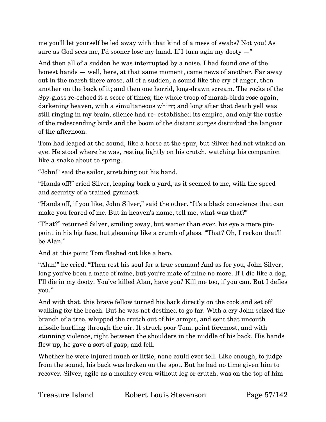me you'll let yourself be led away with that kind of a mess of swabs? Not you! As sure as God sees me, I'd sooner lose my hand. If I turn agin my dooty —"

And then all of a sudden he was interrupted by a noise. I had found one of the honest hands – well, here, at that same moment, came news of another. Far away out in the marsh there arose, all of a sudden, a sound like the cry of anger, then another on the back of it; and then one horrid, long-drawn scream. The rocks of the Spy-glass re-echoed it a score of times; the whole troop of marsh-birds rose again, darkening heaven, with a simultaneous whirr; and long after that death yell was still ringing in my brain, silence had re- established its empire, and only the rustle of the redescending birds and the boom of the distant surges disturbed the languor of the afternoon.

Tom had leaped at the sound, like a horse at the spur, but Silver had not winked an eye. He stood where he was, resting lightly on his crutch, watching his companion like a snake about to spring.

"John!" said the sailor, stretching out his hand.

"Hands off!" cried Silver, leaping back a yard, as it seemed to me, with the speed and security of a trained gymnast.

"Hands off, if you like, John Silver," said the other. "It's a black conscience that can make you feared of me. But in heaven's name, tell me, what was that?"

"That?" returned Silver, smiling away, but warier than ever, his eye a mere pinpoint in his big face, but gleaming like a crumb of glass. "That? Oh, I reckon that'll be Alan."

And at this point Tom flashed out like a hero.

"Alan!" he cried. "Then rest his soul for a true seaman! And as for you, John Silver, long you've been a mate of mine, but you're mate of mine no more. If I die like a dog, I'll die in my dooty. You've killed Alan, have you? Kill me too, if you can. But I defies you."

And with that, this brave fellow turned his back directly on the cook and set off walking for the beach. But he was not destined to go far. With a cry John seized the branch of a tree, whipped the crutch out of his armpit, and sent that uncouth missile hurtling through the air. It struck poor Tom, point foremost, and with stunning violence, right between the shoulders in the middle of his back. His hands flew up, he gave a sort of gasp, and fell.

Whether he were injured much or little, none could ever tell. Like enough, to judge from the sound, his back was broken on the spot. But he had no time given him to recover. Silver, agile as a monkey even without leg or crutch, was on the top of him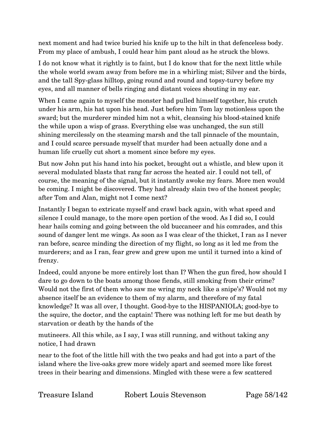next moment and had twice buried his knife up to the hilt in that defenceless body. From my place of ambush, I could hear him pant aloud as he struck the blows.

I do not know what it rightly is to faint, but I do know that for the next little while the whole world swam away from before me in a whirling mist; Silver and the birds, and the tall Spy-glass hilltop, going round and round and topsy-turvy before my eyes, and all manner of bells ringing and distant voices shouting in my ear.

When I came again to myself the monster had pulled himself together, his crutch under his arm, his hat upon his head. Just before him Tom lay motionless upon the sward; but the murderer minded him not a whit, cleansing his blood-stained knife the while upon a wisp of grass. Everything else was unchanged, the sun still shining mercilessly on the steaming marsh and the tall pinnacle of the mountain, and I could scarce persuade myself that murder had been actually done and a human life cruelly cut short a moment since before my eyes.

But now John put his hand into his pocket, brought out a whistle, and blew upon it several modulated blasts that rang far across the heated air. I could not tell, of course, the meaning of the signal, but it instantly awoke my fears. More men would be coming. I might be discovered. They had already slain two of the honest people; after Tom and Alan, might not I come next?

Instantly I began to extricate myself and crawl back again, with what speed and silence I could manage, to the more open portion of the wood. As I did so, I could hear hails coming and going between the old buccaneer and his comrades, and this sound of danger lent me wings. As soon as I was clear of the thicket, I ran as I never ran before, scarce minding the direction of my flight, so long as it led me from the murderers; and as I ran, fear grew and grew upon me until it turned into a kind of frenzy.

Indeed, could anyone be more entirely lost than I? When the gun fired, how should I dare to go down to the boats among those fiends, still smoking from their crime? Would not the first of them who saw me wring my neck like a snipe's? Would not my absence itself be an evidence to them of my alarm, and therefore of my fatal knowledge? It was all over, I thought. Good-bye to the HISPANIOLA; good-bye to the squire, the doctor, and the captain! There was nothing left for me but death by starvation or death by the hands of the

mutineers. All this while, as I say, I was still running, and without taking any notice, I had drawn

near to the foot of the little hill with the two peaks and had got into a part of the island where the live-oaks grew more widely apart and seemed more like forest trees in their bearing and dimensions. Mingled with these were a few scattered

Treasure Island Robert Louis Stevenson Page 58/142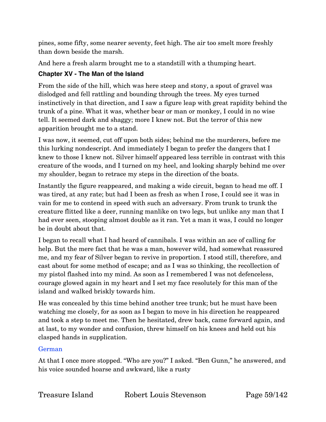pines, some fifty, some nearer seventy, feet high. The air too smelt more freshly than down beside the marsh.

And here a fresh alarm brought me to a standstill with a thumping heart.

#### **Chapter XV - The Man of the Island**

From the side of the hill, which was here steep and stony, a spout of gravel was dislodged and fell rattling and bounding through the trees. My eyes turned instinctively in that direction, and I saw a figure leap with great rapidity behind the trunk of a pine. What it was, whether bear or man or monkey, I could in no wise tell. It seemed dark and shaggy; more I knew not. But the terror of this new apparition brought me to a stand.

I was now, it seemed, cut off upon both sides; behind me the murderers, before me this lurking nondescript. And immediately I began to prefer the dangers that I knew to those I knew not. Silver himself appeared less terrible in contrast with this creature of the woods, and I turned on my heel, and looking sharply behind me over my shoulder, began to retrace my steps in the direction of the boats.

Instantly the figure reappeared, and making a wide circuit, began to head me off. I was tired, at any rate; but had I been as fresh as when I rose, I could see it was in vain for me to contend in speed with such an adversary. From trunk to trunk the creature flitted like a deer, running manlike on two legs, but unlike any man that I had ever seen, stooping almost double as it ran. Yet a man it was, I could no longer be in doubt about that.

I began to recall what I had heard of cannibals. I was within an ace of calling for help. But the mere fact that he was a man, however wild, had somewhat reassured me, and my fear of Silver began to revive in proportion. I stood still, therefore, and cast about for some method of escape; and as I was so thinking, the recollection of my pistol flashed into my mind. As soon as I remembered I was not defenceless, courage glowed again in my heart and I set my face resolutely for this man of the island and walked briskly towards him.

He was concealed by this time behind another tree trunk; but he must have been watching me closely, for as soon as I began to move in his direction he reappeared and took a step to meet me. Then he hesitated, drew back, came forward again, and at last, to my wonder and confusion, threw himself on his knees and held out his clasped hands in supplication.

#### German

At that I once more stopped. "Who are you?" I asked. "Ben Gunn," he answered, and his voice sounded hoarse and awkward, like a rusty

Treasure Island Robert Louis Stevenson Page 59/142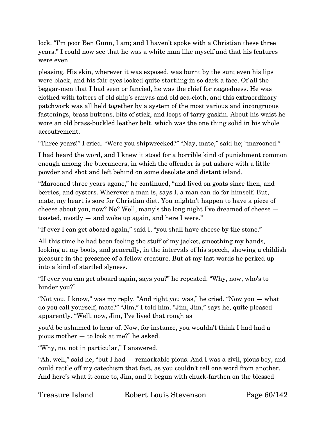lock. "I'm poor Ben Gunn, I am; and I haven't spoke with a Christian these three years." I could now see that he was a white man like myself and that his features were even

pleasing. His skin, wherever it was exposed, was burnt by the sun; even his lips were black, and his fair eyes looked quite startling in so dark a face. Of all the beggar-men that I had seen or fancied, he was the chief for raggedness. He was clothed with tatters of old ship's canvas and old sea-cloth, and this extraordinary patchwork was all held together by a system of the most various and incongruous fastenings, brass buttons, bits of stick, and loops of tarry gaskin. About his waist he wore an old brass-buckled leather belt, which was the one thing solid in his whole accoutrement.

"Three years!" I cried. "Were you shipwrecked?" "Nay, mate," said he; "marooned."

I had heard the word, and I knew it stood for a horrible kind of punishment common enough among the buccaneers, in which the offender is put ashore with a little powder and shot and left behind on some desolate and distant island.

"Marooned three years agone," he continued, "and lived on goats since then, and berries, and oysters. Wherever a man is, says I, a man can do for himself. But, mate, my heart is sore for Christian diet. You mightn't happen to have a piece of cheese about you, now? No? Well, many's the long night I've dreamed of cheese toasted, mostly — and woke up again, and here I were."

"If ever I can get aboard again," said I, "you shall have cheese by the stone."

All this time he had been feeling the stuff of my jacket, smoothing my hands, looking at my boots, and generally, in the intervals of his speech, showing a childish pleasure in the presence of a fellow creature. But at my last words he perked up into a kind of startled slyness.

"If ever you can get aboard again, says you?" he repeated. "Why, now, who's to hinder you?"

"Not you, I know," was my reply. "And right you was," he cried. "Now you — what do you call yourself, mate?" "Jim," I told him. "Jim, Jim," says he, quite pleased apparently. "Well, now, Jim, I've lived that rough as

you'd be ashamed to hear of. Now, for instance, you wouldn't think I had had a pious mother — to look at me?" he asked.

"Why, no, not in particular," I answered.

"Ah, well," said he, "but I had — remarkable pious. And I was a civil, pious boy, and could rattle off my catechism that fast, as you couldn't tell one word from another. And here's what it come to, Jim, and it begun with chuck-farthen on the blessed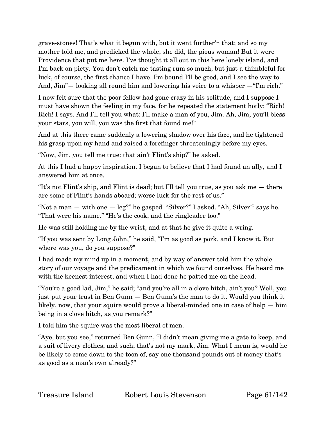grave-stones! That's what it begun with, but it went further'n that; and so my mother told me, and predicked the whole, she did, the pious woman! But it were Providence that put me here. I've thought it all out in this here lonely island, and I'm back on piety. You don't catch me tasting rum so much, but just a thimbleful for luck, of course, the first chance I have. I'm bound I'll be good, and I see the way to. And, Jim"— looking all round him and lowering his voice to a whisper —"I'm rich."

I now felt sure that the poor fellow had gone crazy in his solitude, and I suppose I must have shown the feeling in my face, for he repeated the statement hotly: "Rich! Rich! I says. And I'll tell you what: I'll make a man of you, Jim. Ah, Jim, you'll bless your stars, you will, you was the first that found me!"

And at this there came suddenly a lowering shadow over his face, and he tightened his grasp upon my hand and raised a forefinger threateningly before my eyes.

"Now, Jim, you tell me true: that ain't Flint's ship?" he asked.

At this I had a happy inspiration. I began to believe that I had found an ally, and I answered him at once.

"It's not Flint's ship, and Flint is dead; but I'll tell you true, as you ask me — there are some of Flint's hands aboard; worse luck for the rest of us."

"Not a man  $-$  with one  $-$  leg?" he gasped. "Silver?" I asked. "Ah, Silver!" says he. "That were his name." "He's the cook, and the ringleader too."

He was still holding me by the wrist, and at that he give it quite a wring.

"If you was sent by Long John," he said, "I'm as good as pork, and I know it. But where was you, do you suppose?"

I had made my mind up in a moment, and by way of answer told him the whole story of our voyage and the predicament in which we found ourselves. He heard me with the keenest interest, and when I had done he patted me on the head.

"You're a good lad, Jim," he said; "and you're all in a clove hitch, ain't you? Well, you just put your trust in Ben Gunn — Ben Gunn's the man to do it. Would you think it likely, now, that your squire would prove a liberal-minded one in case of help — him being in a clove hitch, as you remark?"

I told him the squire was the most liberal of men.

"Aye, but you see," returned Ben Gunn, "I didn't mean giving me a gate to keep, and a suit of livery clothes, and such; that's not my mark, Jim. What I mean is, would he be likely to come down to the toon of, say one thousand pounds out of money that's as good as a man's own already?"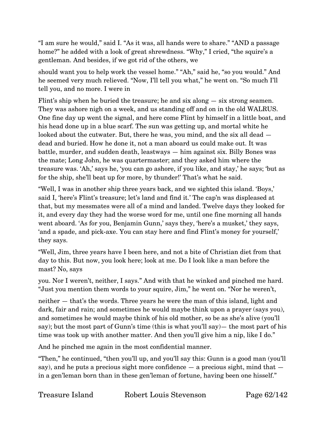"I am sure he would," said I. "As it was, all hands were to share." "AND a passage home?" he added with a look of great shrewdness. "Why," I cried, "the squire's a gentleman. And besides, if we got rid of the others, we

should want you to help work the vessel home." "Ah," said he, "so you would." And he seemed very much relieved. "Now, I'll tell you what," he went on. "So much I'll tell you, and no more. I were in

Flint's ship when he buried the treasure; he and six along — six strong seamen. They was ashore nigh on a week, and us standing off and on in the old WALRUS. One fine day up went the signal, and here come Flint by himself in a little boat, and his head done up in a blue scarf. The sun was getting up, and mortal white he looked about the cutwater. But, there he was, you mind, and the six all dead dead and buried. How he done it, not a man aboard us could make out. It was battle, murder, and sudden death, leastways — him against six. Billy Bones was the mate; Long John, he was quartermaster; and they asked him where the treasure was. 'Ah,' says he, 'you can go ashore, if you like, and stay,' he says; 'but as for the ship, she'll beat up for more, by thunder!' That's what he said.

"Well, I was in another ship three years back, and we sighted this island. 'Boys,' said I, 'here's Flint's treasure; let's land and find it.' The cap'n was displeased at that, but my messmates were all of a mind and landed. Twelve days they looked for it, and every day they had the worse word for me, until one fine morning all hands went aboard. 'As for you, Benjamin Gunn,' says they, 'here's a musket,' they says, 'and a spade, and pick-axe. You can stay here and find Flint's money for yourself,' they says.

"Well, Jim, three years have I been here, and not a bite of Christian diet from that day to this. But now, you look here; look at me. Do I look like a man before the mast? No, says

you. Nor I weren't, neither, I says." And with that he winked and pinched me hard. "Just you mention them words to your squire, Jim," he went on. "Nor he weren't,

neither — that's the words. Three years he were the man of this island, light and dark, fair and rain; and sometimes he would maybe think upon a prayer (says you), and sometimes he would maybe think of his old mother, so be as she's alive (you'll say); but the most part of Gunn's time (this is what you'll say)— the most part of his time was took up with another matter. And then you'll give him a nip, like I do."

And he pinched me again in the most confidential manner.

"Then," he continued, "then you'll up, and you'll say this: Gunn is a good man (you'll say), and he puts a precious sight more confidence  $-$  a precious sight, mind that  $$ in a gen'leman born than in these gen'leman of fortune, having been one hisself."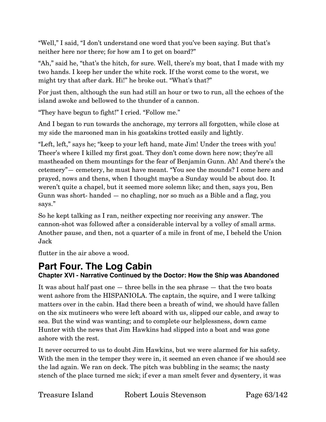"Well," I said, "I don't understand one word that you've been saying. But that's neither here nor there; for how am I to get on board?"

"Ah," said he, "that's the hitch, for sure. Well, there's my boat, that I made with my two hands. I keep her under the white rock. If the worst come to the worst, we might try that after dark. Hi!" he broke out. "What's that?"

For just then, although the sun had still an hour or two to run, all the echoes of the island awoke and bellowed to the thunder of a cannon.

"They have begun to fight!" I cried. "Follow me."

And I began to run towards the anchorage, my terrors all forgotten, while close at my side the marooned man in his goatskins trotted easily and lightly.

"Left, left," says he; "keep to your left hand, mate Jim! Under the trees with you! Theer's where I killed my first goat. They don't come down here now; they're all mastheaded on them mountings for the fear of Benjamin Gunn. Ah! And there's the cetemery"— cemetery, he must have meant. "You see the mounds? I come here and prayed, nows and thens, when I thought maybe a Sunday would be about doo. It weren't quite a chapel, but it seemed more solemn like; and then, says you, Ben Gunn was short- handed — no chapling, nor so much as a Bible and a flag, you says."

So he kept talking as I ran, neither expecting nor receiving any answer. The cannon-shot was followed after a considerable interval by a volley of small arms. Another pause, and then, not a quarter of a mile in front of me, I beheld the Union Jack

flutter in the air above a wood.

# **Part Four. The Log Cabin**

**Chapter XVI - Narrative Continued by the Doctor: How the Ship was Abandoned**

It was about half past one — three bells in the sea phrase — that the two boats went ashore from the HISPANIOLA. The captain, the squire, and I were talking matters over in the cabin. Had there been a breath of wind, we should have fallen on the six mutineers who were left aboard with us, slipped our cable, and away to sea. But the wind was wanting; and to complete our helplessness, down came Hunter with the news that Jim Hawkins had slipped into a boat and was gone ashore with the rest.

It never occurred to us to doubt Jim Hawkins, but we were alarmed for his safety. With the men in the temper they were in, it seemed an even chance if we should see the lad again. We ran on deck. The pitch was bubbling in the seams; the nasty stench of the place turned me sick; if ever a man smelt fever and dysentery, it was

Treasure Island Robert Louis Stevenson Page 63/142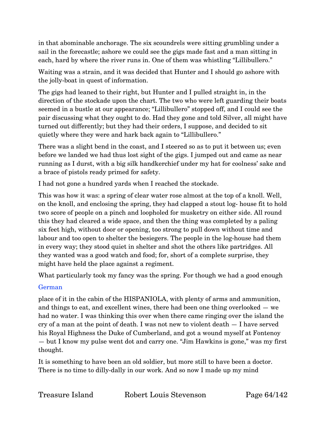in that abominable anchorage. The six scoundrels were sitting grumbling under a sail in the forecastle; ashore we could see the gigs made fast and a man sitting in each, hard by where the river runs in. One of them was whistling "Lillibullero."

Waiting was a strain, and it was decided that Hunter and I should go ashore with the jolly-boat in quest of information.

The gigs had leaned to their right, but Hunter and I pulled straight in, in the direction of the stockade upon the chart. The two who were left guarding their boats seemed in a bustle at our appearance; "Lillibullero" stopped off, and I could see the pair discussing what they ought to do. Had they gone and told Silver, all might have turned out differently; but they had their orders, I suppose, and decided to sit quietly where they were and hark back again to "Lillibullero."

There was a slight bend in the coast, and I steered so as to put it between us; even before we landed we had thus lost sight of the gigs. I jumped out and came as near running as I durst, with a big silk handkerchief under my hat for coolness' sake and a brace of pistols ready primed for safety.

I had not gone a hundred yards when I reached the stockade.

This was how it was: a spring of clear water rose almost at the top of a knoll. Well, on the knoll, and enclosing the spring, they had clapped a stout log- house fit to hold two score of people on a pinch and loopholed for musketry on either side. All round this they had cleared a wide space, and then the thing was completed by a paling six feet high, without door or opening, too strong to pull down without time and labour and too open to shelter the besiegers. The people in the log-house had them in every way; they stood quiet in shelter and shot the others like partridges. All they wanted was a good watch and food; for, short of a complete surprise, they might have held the place against a regiment.

What particularly took my fancy was the spring. For though we had a good enough

# German

place of it in the cabin of the HISPANIOLA, with plenty of arms and ammunition, and things to eat, and excellent wines, there had been one thing overlooked — we had no water. I was thinking this over when there came ringing over the island the cry of a man at the point of death. I was not new to violent death — I have served his Royal Highness the Duke of Cumberland, and got a wound myself at Fontenoy — but I know my pulse went dot and carry one. "Jim Hawkins is gone," was my first thought.

It is something to have been an old soldier, but more still to have been a doctor. There is no time to dilly-dally in our work. And so now I made up my mind

Treasure Island Robert Louis Stevenson Page 64/142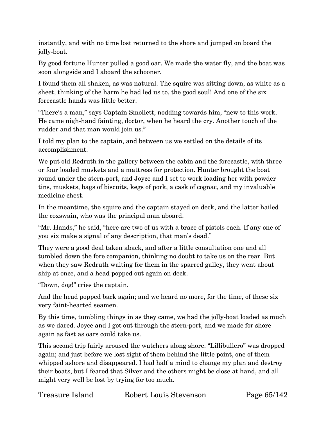instantly, and with no time lost returned to the shore and jumped on board the jolly-boat.

By good fortune Hunter pulled a good oar. We made the water fly, and the boat was soon alongside and I aboard the schooner.

I found them all shaken, as was natural. The squire was sitting down, as white as a sheet, thinking of the harm he had led us to, the good soul! And one of the six forecastle hands was little better.

"There's a man," says Captain Smollett, nodding towards him, "new to this work. He came nigh-hand fainting, doctor, when he heard the cry. Another touch of the rudder and that man would join us."

I told my plan to the captain, and between us we settled on the details of its accomplishment.

We put old Redruth in the gallery between the cabin and the forecastle, with three or four loaded muskets and a mattress for protection. Hunter brought the boat round under the stern-port, and Joyce and I set to work loading her with powder tins, muskets, bags of biscuits, kegs of pork, a cask of cognac, and my invaluable medicine chest.

In the meantime, the squire and the captain stayed on deck, and the latter hailed the coxswain, who was the principal man aboard.

"Mr. Hands," he said, "here are two of us with a brace of pistols each. If any one of you six make a signal of any description, that man's dead."

They were a good deal taken aback, and after a little consultation one and all tumbled down the fore companion, thinking no doubt to take us on the rear. But when they saw Redruth waiting for them in the sparred galley, they went about ship at once, and a head popped out again on deck.

"Down, dog!" cries the captain.

And the head popped back again; and we heard no more, for the time, of these six very faint-hearted seamen.

By this time, tumbling things in as they came, we had the jolly-boat loaded as much as we dared. Joyce and I got out through the stern-port, and we made for shore again as fast as oars could take us.

This second trip fairly aroused the watchers along shore. "Lillibullero" was dropped again; and just before we lost sight of them behind the little point, one of them whipped ashore and disappeared. I had half a mind to change my plan and destroy their boats, but I feared that Silver and the others might be close at hand, and all might very well be lost by trying for too much.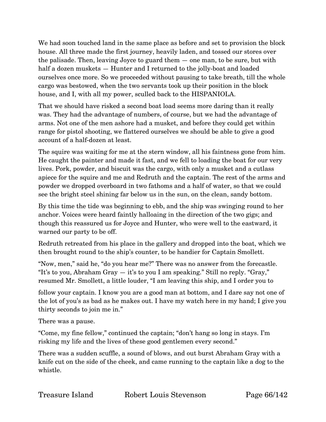We had soon touched land in the same place as before and set to provision the block house. All three made the first journey, heavily laden, and tossed our stores over the palisade. Then, leaving Joyce to guard them — one man, to be sure, but with half a dozen muskets  $-$  Hunter and I returned to the jolly-boat and loaded ourselves once more. So we proceeded without pausing to take breath, till the whole cargo was bestowed, when the two servants took up their position in the block house, and I, with all my power, sculled back to the HISPANIOLA.

That we should have risked a second boat load seems more daring than it really was. They had the advantage of numbers, of course, but we had the advantage of arms. Not one of the men ashore had a musket, and before they could get within range for pistol shooting, we flattered ourselves we should be able to give a good account of a half-dozen at least.

The squire was waiting for me at the stern window, all his faintness gone from him. He caught the painter and made it fast, and we fell to loading the boat for our very lives. Pork, powder, and biscuit was the cargo, with only a musket and a cutlass apiece for the squire and me and Redruth and the captain. The rest of the arms and powder we dropped overboard in two fathoms and a half of water, so that we could see the bright steel shining far below us in the sun, on the clean, sandy bottom.

By this time the tide was beginning to ebb, and the ship was swinging round to her anchor. Voices were heard faintly halloaing in the direction of the two gigs; and though this reassured us for Joyce and Hunter, who were well to the eastward, it warned our party to be off.

Redruth retreated from his place in the gallery and dropped into the boat, which we then brought round to the ship's counter, to be handier for Captain Smollett.

"Now, men," said he, "do you hear me?" There was no answer from the forecastle. "It's to you, Abraham Gray — it's to you I am speaking." Still no reply. "Gray," resumed Mr. Smollett, a little louder, "I am leaving this ship, and I order you to

follow your captain. I know you are a good man at bottom, and I dare say not one of the lot of you's as bad as he makes out. I have my watch here in my hand; I give you thirty seconds to join me in."

There was a pause.

"Come, my fine fellow," continued the captain; "don't hang so long in stays. I'm risking my life and the lives of these good gentlemen every second."

There was a sudden scuffle, a sound of blows, and out burst Abraham Gray with a knife cut on the side of the cheek, and came running to the captain like a dog to the whistle.

Treasure Island Robert Louis Stevenson Page 66/142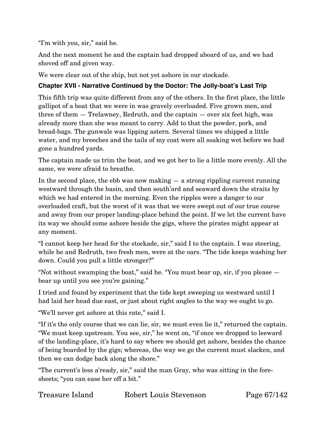"I'm with you, sir," said he.

And the next moment he and the captain had dropped aboard of us, and we had shoved off and given way.

We were clear out of the ship, but not yet ashore in our stockade.

#### **Chapter XVII - Narrative Continued by the Doctor: The Jolly-boat's Last Trip**

This fifth trip was quite different from any of the others. In the first place, the little gallipot of a boat that we were in was gravely overloaded. Five grown men, and three of them — Trelawney, Redruth, and the captain — over six feet high, was already more than she was meant to carry. Add to that the powder, pork, and bread-bags. The gunwale was lipping astern. Several times we shipped a little water, and my breeches and the tails of my coat were all soaking wet before we had gone a hundred yards.

The captain made us trim the boat, and we got her to lie a little more evenly. All the same, we were afraid to breathe.

In the second place, the ebb was now making — a strong rippling current running westward through the basin, and then south'ard and seaward down the straits by which we had entered in the morning. Even the ripples were a danger to our overloaded craft, but the worst of it was that we were swept out of our true course and away from our proper landing-place behind the point. If we let the current have its way we should come ashore beside the gigs, where the pirates might appear at any moment.

"I cannot keep her head for the stockade, sir," said I to the captain. I was steering, while he and Redruth, two fresh men, were at the oars. "The tide keeps washing her down. Could you pull a little stronger?"

"Not without swamping the boat," said he. "You must bear up, sir, if you please bear up until you see you're gaining."

I tried and found by experiment that the tide kept sweeping us westward until I had laid her head due east, or just about right angles to the way we ought to go.

"We'll never get ashore at this rate," said I.

"If it's the only course that we can lie, sir, we must even lie it," returned the captain. "We must keep upstream. You see, sir," he went on, "if once we dropped to leeward of the landing-place, it's hard to say where we should get ashore, besides the chance of being boarded by the gigs; whereas, the way we go the current must slacken, and then we can dodge back along the shore."

"The current's less a'ready, sir," said the man Gray, who was sitting in the foresheets; "you can ease her off a bit."

| <b>Treasure Island</b> | Robert Louis Stevenson |
|------------------------|------------------------|
|------------------------|------------------------|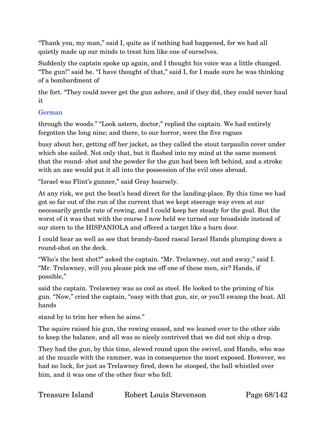"Thank you, my man," said I, quite as if nothing had happened, for we had all quietly made up our minds to treat him like one of ourselves.

Suddenly the captain spoke up again, and I thought his voice was a little changed. "The gun!" said he. "I have thought of that," said I, for I made sure he was thinking of a bombardment of

the fort. "They could never get the gun ashore, and if they did, they could never haul it

#### German

through the woods." "Look astern, doctor," replied the captain. We had entirely forgotten the long nine; and there, to our horror, were the five rogues

busy about her, getting off her jacket, as they called the stout tarpaulin cover under which she sailed. Not only that, but it flashed into my mind at the same moment that the round- shot and the powder for the gun had been left behind, and a stroke with an axe would put it all into the possession of the evil ones abroad.

"Israel was Flint's gunner," said Gray hoarsely.

At any risk, we put the boat's head direct for the landing-place. By this time we had got so far out of the run of the current that we kept steerage way even at our necessarily gentle rate of rowing, and I could keep her steady for the goal. But the worst of it was that with the course I now held we turned our broadside instead of our stern to the HISPANIOLA and offered a target like a barn door.

I could hear as well as see that brandy-faced rascal Israel Hands plumping down a round-shot on the deck.

"Who's the best shot?" asked the captain. "Mr. Trelawney, out and away," said I. "Mr. Trelawney, will you please pick me off one of these men, sir? Hands, if possible,"

said the captain. Trelawney was as cool as steel. He looked to the priming of his gun. "Now," cried the captain, "easy with that gun, sir, or you'll swamp the boat. All hands

stand by to trim her when he aims."

The squire raised his gun, the rowing ceased, and we leaned over to the other side to keep the balance, and all was so nicely contrived that we did not ship a drop.

They had the gun, by this time, slewed round upon the swivel, and Hands, who was at the muzzle with the rammer, was in consequence the most exposed. However, we had no luck, for just as Trelawney fired, down he stooped, the ball whistled over him, and it was one of the other four who fell.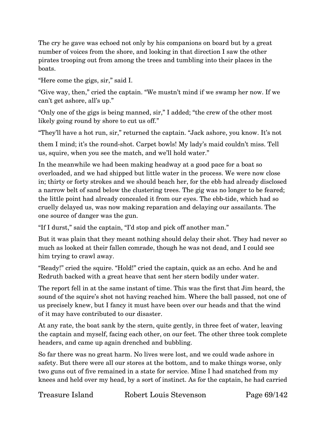The cry he gave was echoed not only by his companions on board but by a great number of voices from the shore, and looking in that direction I saw the other pirates trooping out from among the trees and tumbling into their places in the boats.

"Here come the gigs, sir," said I.

"Give way, then," cried the captain. "We mustn't mind if we swamp her now. If we can't get ashore, all's up."

"Only one of the gigs is being manned, sir," I added; "the crew of the other most likely going round by shore to cut us off."

"They'll have a hot run, sir," returned the captain. "Jack ashore, you know. It's not

them I mind; it's the round-shot. Carpet bowls! My lady's maid couldn't miss. Tell us, squire, when you see the match, and we'll hold water."

In the meanwhile we had been making headway at a good pace for a boat so overloaded, and we had shipped but little water in the process. We were now close in; thirty or forty strokes and we should beach her, for the ebb had already disclosed a narrow belt of sand below the clustering trees. The gig was no longer to be feared; the little point had already concealed it from our eyes. The ebb-tide, which had so cruelly delayed us, was now making reparation and delaying our assailants. The one source of danger was the gun.

"If I durst," said the captain, "I'd stop and pick off another man."

But it was plain that they meant nothing should delay their shot. They had never so much as looked at their fallen comrade, though he was not dead, and I could see him trying to crawl away.

"Ready!" cried the squire. "Hold!" cried the captain, quick as an echo. And he and Redruth backed with a great heave that sent her stern bodily under water.

The report fell in at the same instant of time. This was the first that Jim heard, the sound of the squire's shot not having reached him. Where the ball passed, not one of us precisely knew, but I fancy it must have been over our heads and that the wind of it may have contributed to our disaster.

At any rate, the boat sank by the stern, quite gently, in three feet of water, leaving the captain and myself, facing each other, on our feet. The other three took complete headers, and came up again drenched and bubbling.

So far there was no great harm. No lives were lost, and we could wade ashore in safety. But there were all our stores at the bottom, and to make things worse, only two guns out of five remained in a state for service. Mine I had snatched from my knees and held over my head, by a sort of instinct. As for the captain, he had carried

Treasure Island Robert Louis Stevenson Page 69/142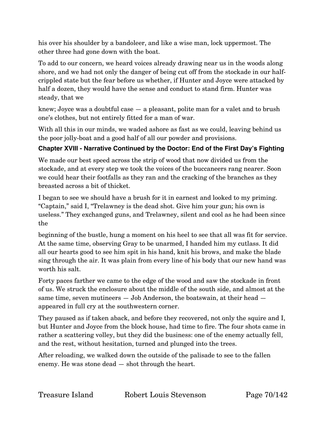his over his shoulder by a bandoleer, and like a wise man, lock uppermost. The other three had gone down with the boat.

To add to our concern, we heard voices already drawing near us in the woods along shore, and we had not only the danger of being cut off from the stockade in our halfcrippled state but the fear before us whether, if Hunter and Joyce were attacked by half a dozen, they would have the sense and conduct to stand firm. Hunter was steady, that we

knew; Joyce was a doubtful case — a pleasant, polite man for a valet and to brush one's clothes, but not entirely fitted for a man of war.

With all this in our minds, we waded ashore as fast as we could, leaving behind us the poor jolly-boat and a good half of all our powder and provisions.

#### **Chapter XVIII - Narrative Continued by the Doctor: End of the First Day's Fighting**

We made our best speed across the strip of wood that now divided us from the stockade, and at every step we took the voices of the buccaneers rang nearer. Soon we could hear their footfalls as they ran and the cracking of the branches as they breasted across a bit of thicket.

I began to see we should have a brush for it in earnest and looked to my priming. "Captain," said I, "Trelawney is the dead shot. Give him your gun; his own is useless." They exchanged guns, and Trelawney, silent and cool as he had been since the

beginning of the bustle, hung a moment on his heel to see that all was fit for service. At the same time, observing Gray to be unarmed, I handed him my cutlass. It did all our hearts good to see him spit in his hand, knit his brows, and make the blade sing through the air. It was plain from every line of his body that our new hand was worth his salt.

Forty paces farther we came to the edge of the wood and saw the stockade in front of us. We struck the enclosure about the middle of the south side, and almost at the same time, seven mutineers — Job Anderson, the boatswain, at their head appeared in full cry at the southwestern corner.

They paused as if taken aback, and before they recovered, not only the squire and I, but Hunter and Joyce from the block house, had time to fire. The four shots came in rather a scattering volley, but they did the business: one of the enemy actually fell, and the rest, without hesitation, turned and plunged into the trees.

After reloading, we walked down the outside of the palisade to see to the fallen enemy. He was stone dead — shot through the heart.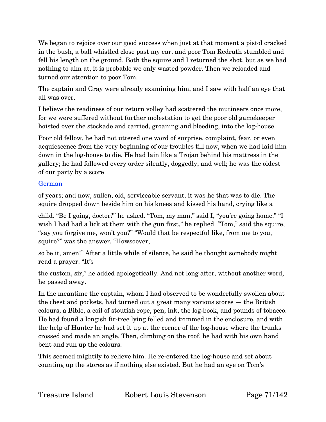We began to rejoice over our good success when just at that moment a pistol cracked in the bush, a ball whistled close past my ear, and poor Tom Redruth stumbled and fell his length on the ground. Both the squire and I returned the shot, but as we had nothing to aim at, it is probable we only wasted powder. Then we reloaded and turned our attention to poor Tom.

The captain and Gray were already examining him, and I saw with half an eye that all was over.

I believe the readiness of our return volley had scattered the mutineers once more, for we were suffered without further molestation to get the poor old gamekeeper hoisted over the stockade and carried, groaning and bleeding, into the log-house.

Poor old fellow, he had not uttered one word of surprise, complaint, fear, or even acquiescence from the very beginning of our troubles till now, when we had laid him down in the log-house to die. He had lain like a Trojan behind his mattress in the gallery; he had followed every order silently, doggedly, and well; he was the oldest of our party by a score

#### German

of years; and now, sullen, old, serviceable servant, it was he that was to die. The squire dropped down beside him on his knees and kissed his hand, crying like a

child. "Be I going, doctor?" he asked. "Tom, my man," said I, "you're going home." "I wish I had had a lick at them with the gun first," he replied. "Tom," said the squire, "say you forgive me, won't you?" "Would that be respectful like, from me to you, squire?" was the answer. "Howsoever,

so be it, amen!" After a little while of silence, he said he thought somebody might read a prayer. "It's

the custom, sir," he added apologetically. And not long after, without another word, he passed away.

In the meantime the captain, whom I had observed to be wonderfully swollen about the chest and pockets, had turned out a great many various stores — the British colours, a Bible, a coil of stoutish rope, pen, ink, the log-book, and pounds of tobacco. He had found a longish fir-tree lying felled and trimmed in the enclosure, and with the help of Hunter he had set it up at the corner of the log-house where the trunks crossed and made an angle. Then, climbing on the roof, he had with his own hand bent and run up the colours.

This seemed mightily to relieve him. He re-entered the log-house and set about counting up the stores as if nothing else existed. But he had an eye on Tom's

Treasure Island Robert Louis Stevenson Page 71/142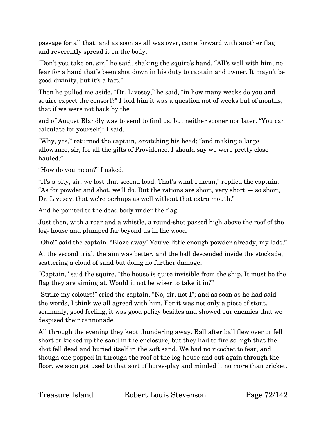passage for all that, and as soon as all was over, came forward with another flag and reverently spread it on the body.

"Don't you take on, sir," he said, shaking the squire's hand. "All's well with him; no fear for a hand that's been shot down in his duty to captain and owner. It mayn't be good divinity, but it's a fact."

Then he pulled me aside. "Dr. Livesey," he said, "in how many weeks do you and squire expect the consort?" I told him it was a question not of weeks but of months, that if we were not back by the

end of August Blandly was to send to find us, but neither sooner nor later. "You can calculate for yourself," I said.

"Why, yes," returned the captain, scratching his head; "and making a large allowance, sir, for all the gifts of Providence, I should say we were pretty close hauled."

"How do you mean?" I asked.

"It's a pity, sir, we lost that second load. That's what I mean," replied the captain. "As for powder and shot, we'll do. But the rations are short, very short — so short, Dr. Livesey, that we're perhaps as well without that extra mouth."

And he pointed to the dead body under the flag.

Just then, with a roar and a whistle, a round-shot passed high above the roof of the log- house and plumped far beyond us in the wood.

"Oho!" said the captain. "Blaze away! You've little enough powder already, my lads."

At the second trial, the aim was better, and the ball descended inside the stockade, scattering a cloud of sand but doing no further damage.

"Captain," said the squire, "the house is quite invisible from the ship. It must be the flag they are aiming at. Would it not be wiser to take it in?"

"Strike my colours!" cried the captain. "No, sir, not I"; and as soon as he had said the words, I think we all agreed with him. For it was not only a piece of stout, seamanly, good feeling; it was good policy besides and showed our enemies that we despised their cannonade.

All through the evening they kept thundering away. Ball after ball flew over or fell short or kicked up the sand in the enclosure, but they had to fire so high that the shot fell dead and buried itself in the soft sand. We had no ricochet to fear, and though one popped in through the roof of the log-house and out again through the floor, we soon got used to that sort of horse-play and minded it no more than cricket.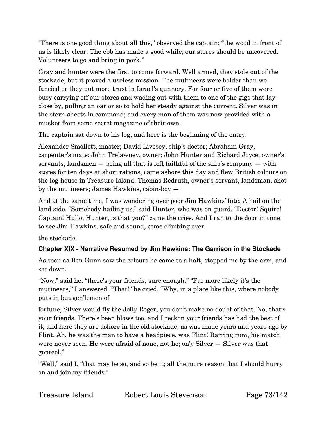"There is one good thing about all this," observed the captain; "the wood in front of us is likely clear. The ebb has made a good while; our stores should be uncovered. Volunteers to go and bring in pork."

Gray and hunter were the first to come forward. Well armed, they stole out of the stockade, but it proved a useless mission. The mutineers were bolder than we fancied or they put more trust in Israel's gunnery. For four or five of them were busy carrying off our stores and wading out with them to one of the gigs that lay close by, pulling an oar or so to hold her steady against the current. Silver was in the stern-sheets in command; and every man of them was now provided with a musket from some secret magazine of their own.

The captain sat down to his log, and here is the beginning of the entry:

Alexander Smollett, master; David Livesey, ship's doctor; Abraham Gray, carpenter's mate; John Trelawney, owner; John Hunter and Richard Joyce, owner's servants, landsmen — being all that is left faithful of the ship's company — with stores for ten days at short rations, came ashore this day and flew British colours on the log-house in Treasure Island. Thomas Redruth, owner's servant, landsman, shot by the mutineers; James Hawkins, cabin-boy —

And at the same time, I was wondering over poor Jim Hawkins' fate. A hail on the land side. "Somebody hailing us," said Hunter, who was on guard. "Doctor! Squire! Captain! Hullo, Hunter, is that you?" came the cries. And I ran to the door in time to see Jim Hawkins, safe and sound, come climbing over

the stockade.

## **Chapter XIX - Narrative Resumed by Jim Hawkins: The Garrison in the Stockade**

As soon as Ben Gunn saw the colours he came to a halt, stopped me by the arm, and sat down.

"Now," said he, "there's your friends, sure enough." "Far more likely it's the mutineers," I answered. "That!" he cried. "Why, in a place like this, where nobody puts in but gen'lemen of

fortune, Silver would fly the Jolly Roger, you don't make no doubt of that. No, that's your friends. There's been blows too, and I reckon your friends has had the best of it; and here they are ashore in the old stockade, as was made years and years ago by Flint. Ah, he was the man to have a headpiece, was Flint! Barring rum, his match were never seen. He were afraid of none, not he; on'y Silver — Silver was that genteel."

"Well," said I, "that may be so, and so be it; all the more reason that I should hurry on and join my friends."

| Treasure Island | Robert Louis Stevenson |
|-----------------|------------------------|
|                 |                        |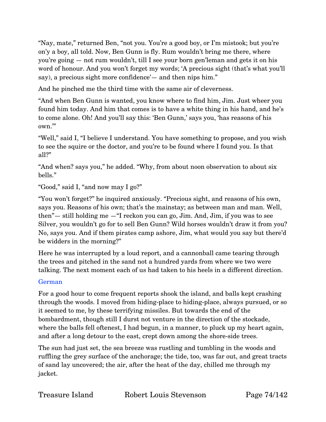"Nay, mate," returned Ben, "not you. You're a good boy, or I'm mistook; but you're on'y a boy, all told. Now, Ben Gunn is fly. Rum wouldn't bring me there, where you're going — not rum wouldn't, till I see your born gen'leman and gets it on his word of honour. And you won't forget my words; 'A precious sight (that's what you'll say), a precious sight more confidence'— and then nips him."

And he pinched me the third time with the same air of cleverness.

"And when Ben Gunn is wanted, you know where to find him, Jim. Just wheer you found him today. And him that comes is to have a white thing in his hand, and he's to come alone. Oh! And you'll say this: 'Ben Gunn,' says you, 'has reasons of his own.'"

"Well," said I, "I believe I understand. You have something to propose, and you wish to see the squire or the doctor, and you're to be found where I found you. Is that all?"

"And when? says you," he added. "Why, from about noon observation to about six bells."

"Good," said I, "and now may I go?"

"You won't forget?" he inquired anxiously. "Precious sight, and reasons of his own, says you. Reasons of his own; that's the mainstay; as between man and man. Well, then"— still holding me —"I reckon you can go, Jim. And, Jim, if you was to see Silver, you wouldn't go for to sell Ben Gunn? Wild horses wouldn't draw it from you? No, says you. And if them pirates camp ashore, Jim, what would you say but there'd be widders in the morning?"

Here he was interrupted by a loud report, and a cannonball came tearing through the trees and pitched in the sand not a hundred yards from where we two were talking. The next moment each of us had taken to his heels in a different direction.

### German

For a good hour to come frequent reports shook the island, and balls kept crashing through the woods. I moved from hiding-place to hiding-place, always pursued, or so it seemed to me, by these terrifying missiles. But towards the end of the bombardment, though still I durst not venture in the direction of the stockade, where the balls fell oftenest, I had begun, in a manner, to pluck up my heart again, and after a long detour to the east, crept down among the shore-side trees.

The sun had just set, the sea breeze was rustling and tumbling in the woods and ruffling the grey surface of the anchorage; the tide, too, was far out, and great tracts of sand lay uncovered; the air, after the heat of the day, chilled me through my jacket.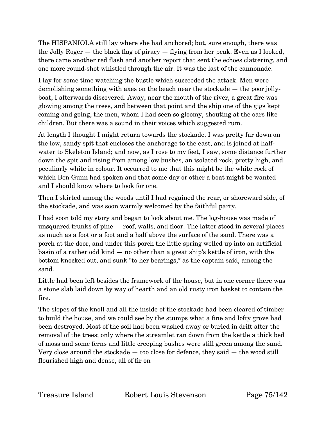The HISPANIOLA still lay where she had anchored; but, sure enough, there was the Jolly Roger — the black flag of piracy — flying from her peak. Even as I looked, there came another red flash and another report that sent the echoes clattering, and one more round-shot whistled through the air. It was the last of the cannonade.

I lay for some time watching the bustle which succeeded the attack. Men were demolishing something with axes on the beach near the stockade — the poor jollyboat, I afterwards discovered. Away, near the mouth of the river, a great fire was glowing among the trees, and between that point and the ship one of the gigs kept coming and going, the men, whom I had seen so gloomy, shouting at the oars like children. But there was a sound in their voices which suggested rum.

At length I thought I might return towards the stockade. I was pretty far down on the low, sandy spit that encloses the anchorage to the east, and is joined at halfwater to Skeleton Island; and now, as I rose to my feet, I saw, some distance further down the spit and rising from among low bushes, an isolated rock, pretty high, and peculiarly white in colour. It occurred to me that this might be the white rock of which Ben Gunn had spoken and that some day or other a boat might be wanted and I should know where to look for one.

Then I skirted among the woods until I had regained the rear, or shoreward side, of the stockade, and was soon warmly welcomed by the faithful party.

I had soon told my story and began to look about me. The log-house was made of unsquared trunks of pine — roof, walls, and floor. The latter stood in several places as much as a foot or a foot and a half above the surface of the sand. There was a porch at the door, and under this porch the little spring welled up into an artificial basin of a rather odd kind — no other than a great ship's kettle of iron, with the bottom knocked out, and sunk "to her bearings," as the captain said, among the sand.

Little had been left besides the framework of the house, but in one corner there was a stone slab laid down by way of hearth and an old rusty iron basket to contain the fire.

The slopes of the knoll and all the inside of the stockade had been cleared of timber to build the house, and we could see by the stumps what a fine and lofty grove had been destroyed. Most of the soil had been washed away or buried in drift after the removal of the trees; only where the streamlet ran down from the kettle a thick bed of moss and some ferns and little creeping bushes were still green among the sand. Very close around the stockade  $-$  too close for defence, they said  $-$  the wood still flourished high and dense, all of fir on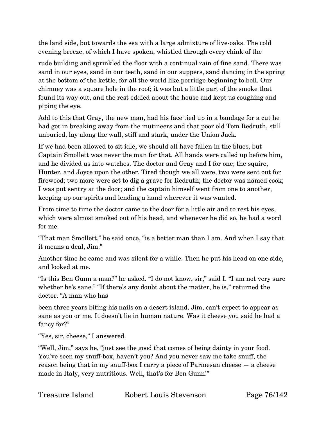the land side, but towards the sea with a large admixture of live-oaks. The cold evening breeze, of which I have spoken, whistled through every chink of the

rude building and sprinkled the floor with a continual rain of fine sand. There was sand in our eyes, sand in our teeth, sand in our suppers, sand dancing in the spring at the bottom of the kettle, for all the world like porridge beginning to boil. Our chimney was a square hole in the roof; it was but a little part of the smoke that found its way out, and the rest eddied about the house and kept us coughing and piping the eye.

Add to this that Gray, the new man, had his face tied up in a bandage for a cut he had got in breaking away from the mutineers and that poor old Tom Redruth, still unburied, lay along the wall, stiff and stark, under the Union Jack.

If we had been allowed to sit idle, we should all have fallen in the blues, but Captain Smollett was never the man for that. All hands were called up before him, and he divided us into watches. The doctor and Gray and I for one; the squire, Hunter, and Joyce upon the other. Tired though we all were, two were sent out for firewood; two more were set to dig a grave for Redruth; the doctor was named cook; I was put sentry at the door; and the captain himself went from one to another, keeping up our spirits and lending a hand wherever it was wanted.

From time to time the doctor came to the door for a little air and to rest his eyes, which were almost smoked out of his head, and whenever he did so, he had a word for me.

"That man Smollett," he said once, "is a better man than I am. And when I say that it means a deal, Jim."

Another time he came and was silent for a while. Then he put his head on one side, and looked at me.

"Is this Ben Gunn a man?" he asked. "I do not know, sir," said I. "I am not very sure whether he's sane." "If there's any doubt about the matter, he is," returned the doctor. "A man who has

been three years biting his nails on a desert island, Jim, can't expect to appear as sane as you or me. It doesn't lie in human nature. Was it cheese you said he had a fancy for?"

"Yes, sir, cheese," I answered.

"Well, Jim," says he, "just see the good that comes of being dainty in your food. You've seen my snuff-box, haven't you? And you never saw me take snuff, the reason being that in my snuff-box I carry a piece of Parmesan cheese — a cheese made in Italy, very nutritious. Well, that's for Ben Gunn!"

| Treasure Island | Robert Louis Stevenson |
|-----------------|------------------------|
|                 |                        |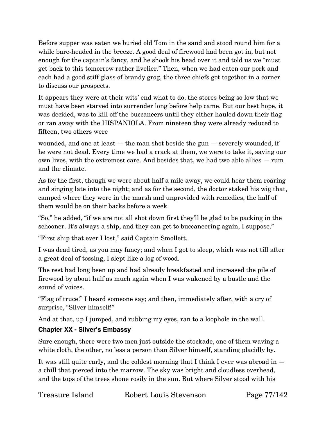Before supper was eaten we buried old Tom in the sand and stood round him for a while bare-headed in the breeze. A good deal of firewood had been got in, but not enough for the captain's fancy, and he shook his head over it and told us we "must get back to this tomorrow rather livelier." Then, when we had eaten our pork and each had a good stiff glass of brandy grog, the three chiefs got together in a corner to discuss our prospects.

It appears they were at their wits' end what to do, the stores being so low that we must have been starved into surrender long before help came. But our best hope, it was decided, was to kill off the buccaneers until they either hauled down their flag or ran away with the HISPANIOLA. From nineteen they were already reduced to fifteen, two others were

wounded, and one at least — the man shot beside the gun — severely wounded, if he were not dead. Every time we had a crack at them, we were to take it, saving our own lives, with the extremest care. And besides that, we had two able allies — rum and the climate.

As for the first, though we were about half a mile away, we could hear them roaring and singing late into the night; and as for the second, the doctor staked his wig that, camped where they were in the marsh and unprovided with remedies, the half of them would be on their backs before a week.

"So," he added, "if we are not all shot down first they'll be glad to be packing in the schooner. It's always a ship, and they can get to buccaneering again, I suppose."

"First ship that ever I lost," said Captain Smollett.

I was dead tired, as you may fancy; and when I got to sleep, which was not till after a great deal of tossing, I slept like a log of wood.

The rest had long been up and had already breakfasted and increased the pile of firewood by about half as much again when I was wakened by a bustle and the sound of voices.

"Flag of truce!" I heard someone say; and then, immediately after, with a cry of surprise, "Silver himself!"

And at that, up I jumped, and rubbing my eyes, ran to a loophole in the wall.

## **Chapter XX - Silver's Embassy**

Sure enough, there were two men just outside the stockade, one of them waving a white cloth, the other, no less a person than Silver himself, standing placidly by.

It was still quite early, and the coldest morning that I think I ever was abroad in a chill that pierced into the marrow. The sky was bright and cloudless overhead, and the tops of the trees shone rosily in the sun. But where Silver stood with his

| Treasure Island | Robert Louis Stevenson |
|-----------------|------------------------|
|                 |                        |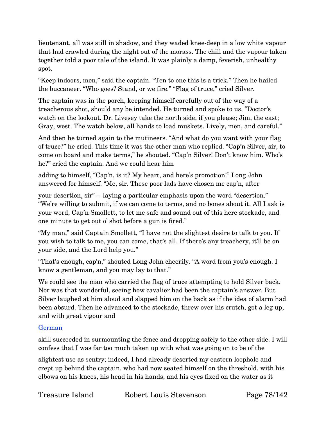lieutenant, all was still in shadow, and they waded knee-deep in a low white vapour that had crawled during the night out of the morass. The chill and the vapour taken together told a poor tale of the island. It was plainly a damp, feverish, unhealthy spot.

"Keep indoors, men," said the captain. "Ten to one this is a trick." Then he hailed the buccaneer. "Who goes? Stand, or we fire." "Flag of truce," cried Silver.

The captain was in the porch, keeping himself carefully out of the way of a treacherous shot, should any be intended. He turned and spoke to us, "Doctor's watch on the lookout. Dr. Livesey take the north side, if you please; Jim, the east; Gray, west. The watch below, all hands to load muskets. Lively, men, and careful."

And then he turned again to the mutineers. "And what do you want with your flag of truce?" he cried. This time it was the other man who replied. "Cap'n Silver, sir, to come on board and make terms," he shouted. "Cap'n Silver! Don't know him. Who's he?" cried the captain. And we could hear him

adding to himself, "Cap'n, is it? My heart, and here's promotion!" Long John answered for himself. "Me, sir. These poor lads have chosen me cap'n, after

your desertion, sir"— laying a particular emphasis upon the word "desertion." "We're willing to submit, if we can come to terms, and no bones about it. All I ask is your word, Cap'n Smollett, to let me safe and sound out of this here stockade, and one minute to get out o' shot before a gun is fired."

"My man," said Captain Smollett, "I have not the slightest desire to talk to you. If you wish to talk to me, you can come, that's all. If there's any treachery, it'll be on your side, and the Lord help you."

"That's enough, cap'n," shouted Long John cheerily. "A word from you's enough. I know a gentleman, and you may lay to that."

We could see the man who carried the flag of truce attempting to hold Silver back. Nor was that wonderful, seeing how cavalier had been the captain's answer. But Silver laughed at him aloud and slapped him on the back as if the idea of alarm had been absurd. Then he advanced to the stockade, threw over his crutch, got a leg up, and with great vigour and

### German

skill succeeded in surmounting the fence and dropping safely to the other side. I will confess that I was far too much taken up with what was going on to be of the

slightest use as sentry; indeed, I had already deserted my eastern loophole and crept up behind the captain, who had now seated himself on the threshold, with his elbows on his knees, his head in his hands, and his eyes fixed on the water as it

Treasure Island Robert Louis Stevenson Page 78/142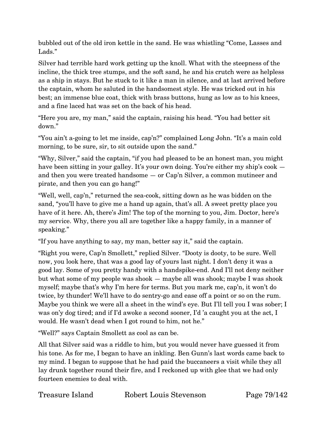bubbled out of the old iron kettle in the sand. He was whistling "Come, Lasses and Lads."

Silver had terrible hard work getting up the knoll. What with the steepness of the incline, the thick tree stumps, and the soft sand, he and his crutch were as helpless as a ship in stays. But he stuck to it like a man in silence, and at last arrived before the captain, whom he saluted in the handsomest style. He was tricked out in his best; an immense blue coat, thick with brass buttons, hung as low as to his knees, and a fine laced hat was set on the back of his head.

"Here you are, my man," said the captain, raising his head. "You had better sit down."

"You ain't a-going to let me inside, cap'n?" complained Long John. "It's a main cold morning, to be sure, sir, to sit outside upon the sand."

"Why, Silver," said the captain, "if you had pleased to be an honest man, you might have been sitting in your galley. It's your own doing. You're either my ship's cook and then you were treated handsome — or Cap'n Silver, a common mutineer and pirate, and then you can go hang!"

"Well, well, cap'n," returned the sea-cook, sitting down as he was bidden on the sand, "you'll have to give me a hand up again, that's all. A sweet pretty place you have of it here. Ah, there's Jim! The top of the morning to you, Jim. Doctor, here's my service. Why, there you all are together like a happy family, in a manner of speaking."

"If you have anything to say, my man, better say it," said the captain.

"Right you were, Cap'n Smollett," replied Silver. "Dooty is dooty, to be sure. Well now, you look here, that was a good lay of yours last night. I don't deny it was a good lay. Some of you pretty handy with a handspike-end. And I'll not deny neither but what some of my people was shook — maybe all was shook; maybe I was shook myself; maybe that's why I'm here for terms. But you mark me, cap'n, it won't do twice, by thunder! We'll have to do sentry-go and ease off a point or so on the rum. Maybe you think we were all a sheet in the wind's eye. But I'll tell you I was sober; I was on'y dog tired; and if I'd awoke a second sooner, I'd 'a caught you at the act, I would. He wasn't dead when I got round to him, not he."

"Well?" says Captain Smollett as cool as can be.

All that Silver said was a riddle to him, but you would never have guessed it from his tone. As for me, I began to have an inkling. Ben Gunn's last words came back to my mind. I began to suppose that he had paid the buccaneers a visit while they all lay drunk together round their fire, and I reckoned up with glee that we had only fourteen enemies to deal with.

| Treasure Island | Robert Louis Stevenson |
|-----------------|------------------------|
|-----------------|------------------------|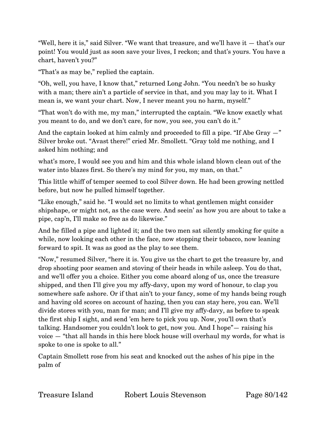"Well, here it is," said Silver. "We want that treasure, and we'll have it — that's our point! You would just as soon save your lives, I reckon; and that's yours. You have a chart, haven't you?"

"That's as may be," replied the captain.

"Oh, well, you have, I know that," returned Long John. "You needn't be so husky with a man; there ain't a particle of service in that, and you may lay to it. What I mean is, we want your chart. Now, I never meant you no harm, myself."

"That won't do with me, my man," interrupted the captain. "We know exactly what you meant to do, and we don't care, for now, you see, you can't do it."

And the captain looked at him calmly and proceeded to fill a pipe. "If Abe Gray  $-$ " Silver broke out. "Avast there!" cried Mr. Smollett. "Gray told me nothing, and I asked him nothing; and

what's more, I would see you and him and this whole island blown clean out of the water into blazes first. So there's my mind for you, my man, on that."

This little whiff of temper seemed to cool Silver down. He had been growing nettled before, but now he pulled himself together.

"Like enough," said he. "I would set no limits to what gentlemen might consider shipshape, or might not, as the case were. And seein' as how you are about to take a pipe, cap'n, I'll make so free as do likewise."

And he filled a pipe and lighted it; and the two men sat silently smoking for quite a while, now looking each other in the face, now stopping their tobacco, now leaning forward to spit. It was as good as the play to see them.

"Now," resumed Silver, "here it is. You give us the chart to get the treasure by, and drop shooting poor seamen and stoving of their heads in while asleep. You do that, and we'll offer you a choice. Either you come aboard along of us, once the treasure shipped, and then I'll give you my affy-davy, upon my word of honour, to clap you somewhere safe ashore. Or if that ain't to your fancy, some of my hands being rough and having old scores on account of hazing, then you can stay here, you can. We'll divide stores with you, man for man; and I'll give my affy-davy, as before to speak the first ship I sight, and send 'em here to pick you up. Now, you'll own that's talking. Handsomer you couldn't look to get, now you. And I hope"— raising his voice — "that all hands in this here block house will overhaul my words, for what is spoke to one is spoke to all."

Captain Smollett rose from his seat and knocked out the ashes of his pipe in the palm of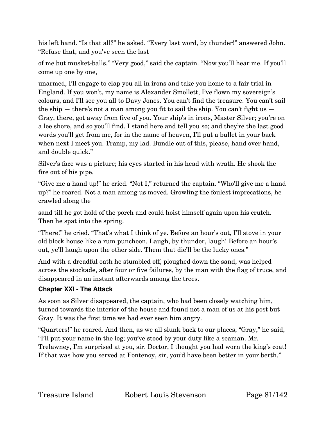his left hand. "Is that all?" he asked. "Every last word, by thunder!" answered John. "Refuse that, and you've seen the last

of me but musket-balls." "Very good," said the captain. "Now you'll hear me. If you'll come up one by one,

unarmed, I'll engage to clap you all in irons and take you home to a fair trial in England. If you won't, my name is Alexander Smollett, I've flown my sovereign's colours, and I'll see you all to Davy Jones. You can't find the treasure. You can't sail the ship  $-$  there's not a man among you fit to sail the ship. You can't fight us  $-$ Gray, there, got away from five of you. Your ship's in irons, Master Silver; you're on a lee shore, and so you'll find. I stand here and tell you so; and they're the last good words you'll get from me, for in the name of heaven, I'll put a bullet in your back when next I meet you. Tramp, my lad. Bundle out of this, please, hand over hand, and double quick."

Silver's face was a picture; his eyes started in his head with wrath. He shook the fire out of his pipe.

"Give me a hand up!" he cried. "Not I," returned the captain. "Who'll give me a hand up?" he roared. Not a man among us moved. Growling the foulest imprecations, he crawled along the

sand till he got hold of the porch and could hoist himself again upon his crutch. Then he spat into the spring.

"There!" he cried. "That's what I think of ye. Before an hour's out, I'll stove in your old block house like a rum puncheon. Laugh, by thunder, laugh! Before an hour's out, ye'll laugh upon the other side. Them that die'll be the lucky ones."

And with a dreadful oath he stumbled off, ploughed down the sand, was helped across the stockade, after four or five failures, by the man with the flag of truce, and disappeared in an instant afterwards among the trees.

### **Chapter XXI - The Attack**

As soon as Silver disappeared, the captain, who had been closely watching him, turned towards the interior of the house and found not a man of us at his post but Gray. It was the first time we had ever seen him angry.

"Quarters!" he roared. And then, as we all slunk back to our places, "Gray," he said, "I'll put your name in the log; you've stood by your duty like a seaman. Mr. Trelawney, I'm surprised at you, sir. Doctor, I thought you had worn the king's coat! If that was how you served at Fontenoy, sir, you'd have been better in your berth."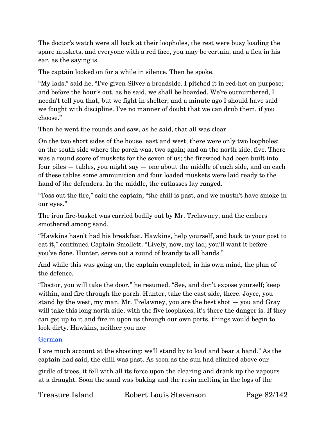The doctor's watch were all back at their loopholes, the rest were busy loading the spare muskets, and everyone with a red face, you may be certain, and a flea in his ear, as the saying is.

The captain looked on for a while in silence. Then he spoke.

"My lads," said he, "I've given Silver a broadside. I pitched it in red-hot on purpose; and before the hour's out, as he said, we shall be boarded. We're outnumbered, I needn't tell you that, but we fight in shelter; and a minute ago I should have said we fought with discipline. I've no manner of doubt that we can drub them, if you choose."

Then he went the rounds and saw, as he said, that all was clear.

On the two short sides of the house, east and west, there were only two loopholes; on the south side where the porch was, two again; and on the north side, five. There was a round score of muskets for the seven of us; the firewood had been built into four piles — tables, you might say — one about the middle of each side, and on each of these tables some ammunition and four loaded muskets were laid ready to the hand of the defenders. In the middle, the cutlasses lay ranged.

"Toss out the fire," said the captain; "the chill is past, and we mustn't have smoke in our eyes."

The iron fire-basket was carried bodily out by Mr. Trelawney, and the embers smothered among sand.

"Hawkins hasn't had his breakfast. Hawkins, help yourself, and back to your post to eat it," continued Captain Smollett. "Lively, now, my lad; you'll want it before you've done. Hunter, serve out a round of brandy to all hands."

And while this was going on, the captain completed, in his own mind, the plan of the defence.

"Doctor, you will take the door," he resumed. "See, and don't expose yourself; keep within, and fire through the porch. Hunter, take the east side, there. Joyce, you stand by the west, my man. Mr. Trelawney, you are the best shot — you and Gray will take this long north side, with the five loopholes; it's there the danger is. If they can get up to it and fire in upon us through our own ports, things would begin to look dirty. Hawkins, neither you nor

### German

I are much account at the shooting; we'll stand by to load and bear a hand." As the captain had said, the chill was past. As soon as the sun had climbed above our

girdle of trees, it fell with all its force upon the clearing and drank up the vapours at a draught. Soon the sand was baking and the resin melting in the logs of the

Treasure Island Robert Louis Stevenson Page 82/142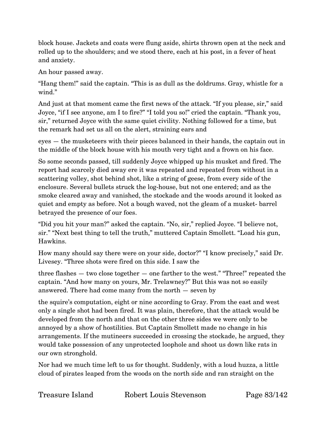block house. Jackets and coats were flung aside, shirts thrown open at the neck and rolled up to the shoulders; and we stood there, each at his post, in a fever of heat and anxiety.

An hour passed away.

"Hang them!" said the captain. "This is as dull as the doldrums. Gray, whistle for a wind."

And just at that moment came the first news of the attack. "If you please, sir," said Joyce, "if I see anyone, am I to fire?" "I told you so!" cried the captain. "Thank you, sir," returned Joyce with the same quiet civility. Nothing followed for a time, but the remark had set us all on the alert, straining ears and

eyes — the musketeers with their pieces balanced in their hands, the captain out in the middle of the block house with his mouth very tight and a frown on his face.

So some seconds passed, till suddenly Joyce whipped up his musket and fired. The report had scarcely died away ere it was repeated and repeated from without in a scattering volley, shot behind shot, like a string of geese, from every side of the enclosure. Several bullets struck the log-house, but not one entered; and as the smoke cleared away and vanished, the stockade and the woods around it looked as quiet and empty as before. Not a bough waved, not the gleam of a musket- barrel betrayed the presence of our foes.

"Did you hit your man?" asked the captain. "No, sir," replied Joyce. "I believe not, sir." "Next best thing to tell the truth," muttered Captain Smollett. "Load his gun, Hawkins.

How many should say there were on your side, doctor?" "I know precisely," said Dr. Livesey. "Three shots were fired on this side. I saw the

three flashes — two close together — one farther to the west." "Three!" repeated the captain. "And how many on yours, Mr. Trelawney?" But this was not so easily answered. There had come many from the north — seven by

the squire's computation, eight or nine according to Gray. From the east and west only a single shot had been fired. It was plain, therefore, that the attack would be developed from the north and that on the other three sides we were only to be annoyed by a show of hostilities. But Captain Smollett made no change in his arrangements. If the mutineers succeeded in crossing the stockade, he argued, they would take possession of any unprotected loophole and shoot us down like rats in our own stronghold.

Nor had we much time left to us for thought. Suddenly, with a loud huzza, a little cloud of pirates leaped from the woods on the north side and ran straight on the

Treasure Island Robert Louis Stevenson Page 83/142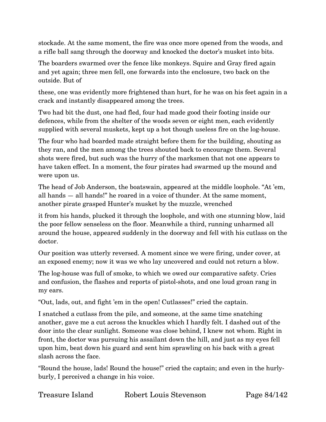stockade. At the same moment, the fire was once more opened from the woods, and a rifle ball sang through the doorway and knocked the doctor's musket into bits.

The boarders swarmed over the fence like monkeys. Squire and Gray fired again and yet again; three men fell, one forwards into the enclosure, two back on the outside. But of

these, one was evidently more frightened than hurt, for he was on his feet again in a crack and instantly disappeared among the trees.

Two had bit the dust, one had fled, four had made good their footing inside our defences, while from the shelter of the woods seven or eight men, each evidently supplied with several muskets, kept up a hot though useless fire on the log-house.

The four who had boarded made straight before them for the building, shouting as they ran, and the men among the trees shouted back to encourage them. Several shots were fired, but such was the hurry of the marksmen that not one appears to have taken effect. In a moment, the four pirates had swarmed up the mound and were upon us.

The head of Job Anderson, the boatswain, appeared at the middle loophole. "At 'em, all hands — all hands!" he roared in a voice of thunder. At the same moment, another pirate grasped Hunter's musket by the muzzle, wrenched

it from his hands, plucked it through the loophole, and with one stunning blow, laid the poor fellow senseless on the floor. Meanwhile a third, running unharmed all around the house, appeared suddenly in the doorway and fell with his cutlass on the doctor.

Our position was utterly reversed. A moment since we were firing, under cover, at an exposed enemy; now it was we who lay uncovered and could not return a blow.

The log-house was full of smoke, to which we owed our comparative safety. Cries and confusion, the flashes and reports of pistol-shots, and one loud groan rang in my ears.

"Out, lads, out, and fight 'em in the open! Cutlasses!" cried the captain.

I snatched a cutlass from the pile, and someone, at the same time snatching another, gave me a cut across the knuckles which I hardly felt. I dashed out of the door into the clear sunlight. Someone was close behind, I knew not whom. Right in front, the doctor was pursuing his assailant down the hill, and just as my eyes fell upon him, beat down his guard and sent him sprawling on his back with a great slash across the face.

"Round the house, lads! Round the house!" cried the captain; and even in the hurlyburly, I perceived a change in his voice.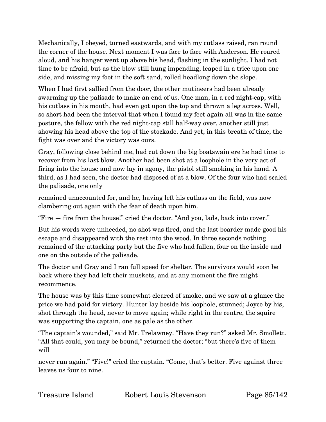Mechanically, I obeyed, turned eastwards, and with my cutlass raised, ran round the corner of the house. Next moment I was face to face with Anderson. He roared aloud, and his hanger went up above his head, flashing in the sunlight. I had not time to be afraid, but as the blow still hung impending, leaped in a trice upon one side, and missing my foot in the soft sand, rolled headlong down the slope.

When I had first sallied from the door, the other mutineers had been already swarming up the palisade to make an end of us. One man, in a red night-cap, with his cutlass in his mouth, had even got upon the top and thrown a leg across. Well, so short had been the interval that when I found my feet again all was in the same posture, the fellow with the red night-cap still half-way over, another still just showing his head above the top of the stockade. And yet, in this breath of time, the fight was over and the victory was ours.

Gray, following close behind me, had cut down the big boatswain ere he had time to recover from his last blow. Another had been shot at a loophole in the very act of firing into the house and now lay in agony, the pistol still smoking in his hand. A third, as I had seen, the doctor had disposed of at a blow. Of the four who had scaled the palisade, one only

remained unaccounted for, and he, having left his cutlass on the field, was now clambering out again with the fear of death upon him.

"Fire — fire from the house!" cried the doctor. "And you, lads, back into cover."

But his words were unheeded, no shot was fired, and the last boarder made good his escape and disappeared with the rest into the wood. In three seconds nothing remained of the attacking party but the five who had fallen, four on the inside and one on the outside of the palisade.

The doctor and Gray and I ran full speed for shelter. The survivors would soon be back where they had left their muskets, and at any moment the fire might recommence.

The house was by this time somewhat cleared of smoke, and we saw at a glance the price we had paid for victory. Hunter lay beside his loophole, stunned; Joyce by his, shot through the head, never to move again; while right in the centre, the squire was supporting the captain, one as pale as the other.

"The captain's wounded," said Mr. Trelawney. "Have they run?" asked Mr. Smollett. "All that could, you may be bound," returned the doctor; "but there's five of them will

never run again." "Five!" cried the captain. "Come, that's better. Five against three leaves us four to nine.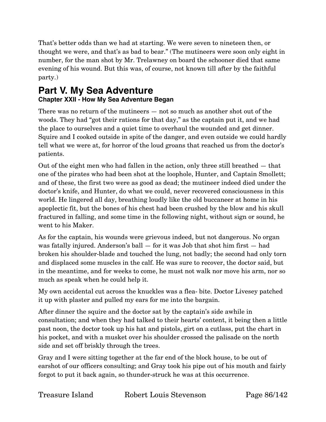That's better odds than we had at starting. We were seven to nineteen then, or thought we were, and that's as bad to bear." (The mutineers were soon only eight in number, for the man shot by Mr. Trelawney on board the schooner died that same evening of his wound. But this was, of course, not known till after by the faithful party.)

# **Part V. My Sea Adventure Chapter XXII - How My Sea Adventure Began**

There was no return of the mutineers — not so much as another shot out of the woods. They had "got their rations for that day," as the captain put it, and we had the place to ourselves and a quiet time to overhaul the wounded and get dinner. Squire and I cooked outside in spite of the danger, and even outside we could hardly tell what we were at, for horror of the loud groans that reached us from the doctor's patients.

Out of the eight men who had fallen in the action, only three still breathed — that one of the pirates who had been shot at the loophole, Hunter, and Captain Smollett; and of these, the first two were as good as dead; the mutineer indeed died under the doctor's knife, and Hunter, do what we could, never recovered consciousness in this world. He lingered all day, breathing loudly like the old buccaneer at home in his apoplectic fit, but the bones of his chest had been crushed by the blow and his skull fractured in falling, and some time in the following night, without sign or sound, he went to his Maker.

As for the captain, his wounds were grievous indeed, but not dangerous. No organ was fatally injured. Anderson's ball — for it was Job that shot him first — had broken his shoulder-blade and touched the lung, not badly; the second had only torn and displaced some muscles in the calf. He was sure to recover, the doctor said, but in the meantime, and for weeks to come, he must not walk nor move his arm, nor so much as speak when he could help it.

My own accidental cut across the knuckles was a flea- bite. Doctor Livesey patched it up with plaster and pulled my ears for me into the bargain.

After dinner the squire and the doctor sat by the captain's side awhile in consultation; and when they had talked to their hearts' content, it being then a little past noon, the doctor took up his hat and pistols, girt on a cutlass, put the chart in his pocket, and with a musket over his shoulder crossed the palisade on the north side and set off briskly through the trees.

Gray and I were sitting together at the far end of the block house, to be out of earshot of our officers consulting; and Gray took his pipe out of his mouth and fairly forgot to put it back again, so thunder-struck he was at this occurrence.

| Treasure Island | Robert Louis S |
|-----------------|----------------|
|                 |                |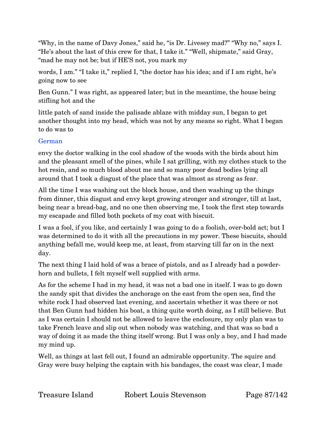"Why, in the name of Davy Jones," said he, "is Dr. Livesey mad?" "Why no," says I. "He's about the last of this crew for that, I take it." "Well, shipmate," said Gray, "mad he may not be; but if HE'S not, you mark my

words, I am." "I take it," replied I, "the doctor has his idea; and if I am right, he's going now to see

Ben Gunn." I was right, as appeared later; but in the meantime, the house being stifling hot and the

little patch of sand inside the palisade ablaze with midday sun, I began to get another thought into my head, which was not by any means so right. What I began to do was to

### German

envy the doctor walking in the cool shadow of the woods with the birds about him and the pleasant smell of the pines, while I sat grilling, with my clothes stuck to the hot resin, and so much blood about me and so many poor dead bodies lying all around that I took a disgust of the place that was almost as strong as fear.

All the time I was washing out the block house, and then washing up the things from dinner, this disgust and envy kept growing stronger and stronger, till at last, being near a bread-bag, and no one then observing me, I took the first step towards my escapade and filled both pockets of my coat with biscuit.

I was a fool, if you like, and certainly I was going to do a foolish, over-bold act; but I was determined to do it with all the precautions in my power. These biscuits, should anything befall me, would keep me, at least, from starving till far on in the next day.

The next thing I laid hold of was a brace of pistols, and as I already had a powderhorn and bullets, I felt myself well supplied with arms.

As for the scheme I had in my head, it was not a bad one in itself. I was to go down the sandy spit that divides the anchorage on the east from the open sea, find the white rock I had observed last evening, and ascertain whether it was there or not that Ben Gunn had hidden his boat, a thing quite worth doing, as I still believe. But as I was certain I should not be allowed to leave the enclosure, my only plan was to take French leave and slip out when nobody was watching, and that was so bad a way of doing it as made the thing itself wrong. But I was only a boy, and I had made my mind up.

Well, as things at last fell out, I found an admirable opportunity. The squire and Gray were busy helping the captain with his bandages, the coast was clear, I made

Treasure Island Robert Louis Stevenson Page 87/142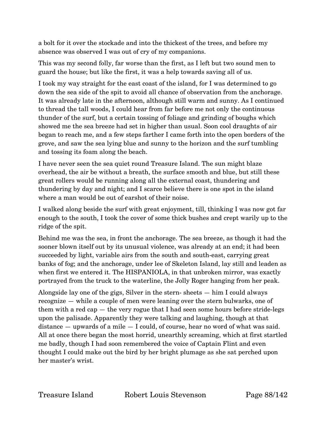a bolt for it over the stockade and into the thickest of the trees, and before my absence was observed I was out of cry of my companions.

This was my second folly, far worse than the first, as I left but two sound men to guard the house; but like the first, it was a help towards saving all of us.

I took my way straight for the east coast of the island, for I was determined to go down the sea side of the spit to avoid all chance of observation from the anchorage. It was already late in the afternoon, although still warm and sunny. As I continued to thread the tall woods, I could hear from far before me not only the continuous thunder of the surf, but a certain tossing of foliage and grinding of boughs which showed me the sea breeze had set in higher than usual. Soon cool draughts of air began to reach me, and a few steps farther I came forth into the open borders of the grove, and saw the sea lying blue and sunny to the horizon and the surf tumbling and tossing its foam along the beach.

I have never seen the sea quiet round Treasure Island. The sun might blaze overhead, the air be without a breath, the surface smooth and blue, but still these great rollers would be running along all the external coast, thundering and thundering by day and night; and I scarce believe there is one spot in the island where a man would be out of earshot of their noise.

I walked along beside the surf with great enjoyment, till, thinking I was now got far enough to the south, I took the cover of some thick bushes and crept warily up to the ridge of the spit.

Behind me was the sea, in front the anchorage. The sea breeze, as though it had the sooner blown itself out by its unusual violence, was already at an end; it had been succeeded by light, variable airs from the south and south-east, carrying great banks of fog; and the anchorage, under lee of Skeleton Island, lay still and leaden as when first we entered it. The HISPANIOLA, in that unbroken mirror, was exactly portrayed from the truck to the waterline, the Jolly Roger hanging from her peak.

Alongside lay one of the gigs, Silver in the stern- sheets — him I could always recognize — while a couple of men were leaning over the stern bulwarks, one of them with a red cap — the very rogue that I had seen some hours before stride-legs upon the palisade. Apparently they were talking and laughing, though at that distance — upwards of a mile — I could, of course, hear no word of what was said. All at once there began the most horrid, unearthly screaming, which at first startled me badly, though I had soon remembered the voice of Captain Flint and even thought I could make out the bird by her bright plumage as she sat perched upon her master's wrist.

Treasure Island Robert Louis Stevenson Page 88/142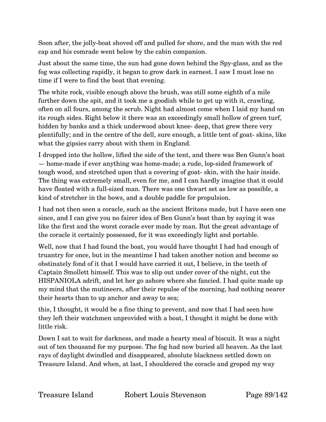Soon after, the jolly-boat shoved off and pulled for shore, and the man with the red cap and his comrade went below by the cabin companion.

Just about the same time, the sun had gone down behind the Spy-glass, and as the fog was collecting rapidly, it began to grow dark in earnest. I saw I must lose no time if I were to find the boat that evening.

The white rock, visible enough above the brush, was still some eighth of a mile further down the spit, and it took me a goodish while to get up with it, crawling, often on all fours, among the scrub. Night had almost come when I laid my hand on its rough sides. Right below it there was an exceedingly small hollow of green turf, hidden by banks and a thick underwood about knee- deep, that grew there very plentifully; and in the centre of the dell, sure enough, a little tent of goat- skins, like what the gipsies carry about with them in England.

I dropped into the hollow, lifted the side of the tent, and there was Ben Gunn's boat — home-made if ever anything was home-made; a rude, lop-sided framework of tough wood, and stretched upon that a covering of goat- skin, with the hair inside. The thing was extremely small, even for me, and I can hardly imagine that it could have floated with a full-sized man. There was one thwart set as low as possible, a kind of stretcher in the bows, and a double paddle for propulsion.

I had not then seen a coracle, such as the ancient Britons made, but I have seen one since, and I can give you no fairer idea of Ben Gunn's boat than by saying it was like the first and the worst coracle ever made by man. But the great advantage of the coracle it certainly possessed, for it was exceedingly light and portable.

Well, now that I had found the boat, you would have thought I had had enough of truantry for once, but in the meantime I had taken another notion and become so obstinately fond of it that I would have carried it out, I believe, in the teeth of Captain Smollett himself. This was to slip out under cover of the night, cut the HISPANIOLA adrift, and let her go ashore where she fancied. I had quite made up my mind that the mutineers, after their repulse of the morning, had nothing nearer their hearts than to up anchor and away to sea;

this, I thought, it would be a fine thing to prevent, and now that I had seen how they left their watchmen unprovided with a boat, I thought it might be done with little risk.

Down I sat to wait for darkness, and made a hearty meal of biscuit. It was a night out of ten thousand for my purpose. The fog had now buried all heaven. As the last rays of daylight dwindled and disappeared, absolute blackness settled down on Treasure Island. And when, at last, I shouldered the coracle and groped my way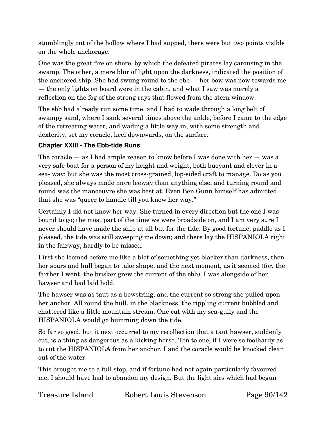stumblingly out of the hollow where I had supped, there were but two points visible on the whole anchorage.

One was the great fire on shore, by which the defeated pirates lay carousing in the swamp. The other, a mere blur of light upon the darkness, indicated the position of the anchored ship. She had swung round to the ebb — her bow was now towards me — the only lights on board were in the cabin, and what I saw was merely a reflection on the fog of the strong rays that flowed from the stern window.

The ebb had already run some time, and I had to wade through a long belt of swampy sand, where I sank several times above the ankle, before I came to the edge of the retreating water, and wading a little way in, with some strength and dexterity, set my coracle, keel downwards, on the surface.

### **Chapter XXIII - The Ebb-tide Runs**

The coracle — as I had ample reason to know before I was done with her — was a very safe boat for a person of my height and weight, both buoyant and clever in a sea- way; but she was the most cross-grained, lop-sided craft to manage. Do as you pleased, she always made more leeway than anything else, and turning round and round was the manoeuvre she was best at. Even Ben Gunn himself has admitted that she was "queer to handle till you knew her way."

Certainly I did not know her way. She turned in every direction but the one I was bound to go; the most part of the time we were broadside on, and I am very sure I never should have made the ship at all but for the tide. By good fortune, paddle as I pleased, the tide was still sweeping me down; and there lay the HISPANIOLA right in the fairway, hardly to be missed.

First she loomed before me like a blot of something yet blacker than darkness, then her spars and hull began to take shape, and the next moment, as it seemed (for, the farther I went, the brisker grew the current of the ebb), I was alongside of her hawser and had laid hold.

The hawser was as taut as a bowstring, and the current so strong she pulled upon her anchor. All round the hull, in the blackness, the rippling current bubbled and chattered like a little mountain stream. One cut with my sea-gully and the HISPANIOLA would go humming down the tide.

So far so good, but it next occurred to my recollection that a taut hawser, suddenly cut, is a thing as dangerous as a kicking horse. Ten to one, if I were so foolhardy as to cut the HISPANIOLA from her anchor, I and the coracle would be knocked clean out of the water.

This brought me to a full stop, and if fortune had not again particularly favoured me, I should have had to abandon my design. But the light airs which had begun

Treasure Island Robert Louis Stevenson Page 90/142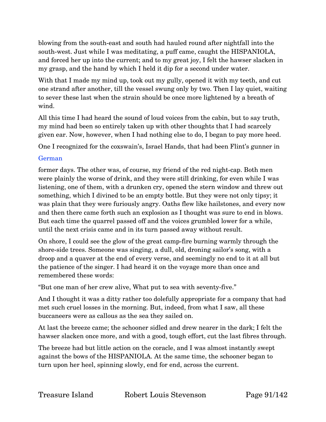blowing from the south-east and south had hauled round after nightfall into the south-west. Just while I was meditating, a puff came, caught the HISPANIOLA, and forced her up into the current; and to my great joy, I felt the hawser slacken in my grasp, and the hand by which I held it dip for a second under water.

With that I made my mind up, took out my gully, opened it with my teeth, and cut one strand after another, till the vessel swung only by two. Then I lay quiet, waiting to sever these last when the strain should be once more lightened by a breath of wind.

All this time I had heard the sound of loud voices from the cabin, but to say truth, my mind had been so entirely taken up with other thoughts that I had scarcely given ear. Now, however, when I had nothing else to do, I began to pay more heed.

One I recognized for the coxswain's, Israel Hands, that had been Flint's gunner in

## German

former days. The other was, of course, my friend of the red night-cap. Both men were plainly the worse of drink, and they were still drinking, for even while I was listening, one of them, with a drunken cry, opened the stern window and threw out something, which I divined to be an empty bottle. But they were not only tipsy; it was plain that they were furiously angry. Oaths flew like hailstones, and every now and then there came forth such an explosion as I thought was sure to end in blows. But each time the quarrel passed off and the voices grumbled lower for a while, until the next crisis came and in its turn passed away without result.

On shore, I could see the glow of the great camp-fire burning warmly through the shore-side trees. Someone was singing, a dull, old, droning sailor's song, with a droop and a quaver at the end of every verse, and seemingly no end to it at all but the patience of the singer. I had heard it on the voyage more than once and remembered these words:

"But one man of her crew alive, What put to sea with seventy-five."

And I thought it was a ditty rather too dolefully appropriate for a company that had met such cruel losses in the morning. But, indeed, from what I saw, all these buccaneers were as callous as the sea they sailed on.

At last the breeze came; the schooner sidled and drew nearer in the dark; I felt the hawser slacken once more, and with a good, tough effort, cut the last fibres through.

The breeze had but little action on the coracle, and I was almost instantly swept against the bows of the HISPANIOLA. At the same time, the schooner began to turn upon her heel, spinning slowly, end for end, across the current.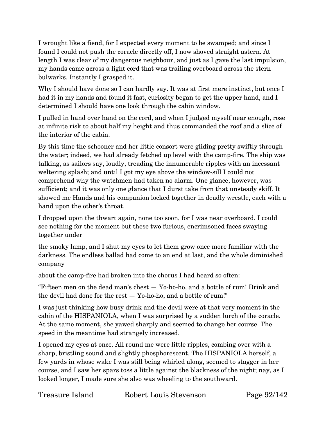I wrought like a fiend, for I expected every moment to be swamped; and since I found I could not push the coracle directly off, I now shoved straight astern. At length I was clear of my dangerous neighbour, and just as I gave the last impulsion, my hands came across a light cord that was trailing overboard across the stern bulwarks. Instantly I grasped it.

Why I should have done so I can hardly say. It was at first mere instinct, but once I had it in my hands and found it fast, curiosity began to get the upper hand, and I determined I should have one look through the cabin window.

I pulled in hand over hand on the cord, and when I judged myself near enough, rose at infinite risk to about half my height and thus commanded the roof and a slice of the interior of the cabin.

By this time the schooner and her little consort were gliding pretty swiftly through the water; indeed, we had already fetched up level with the camp-fire. The ship was talking, as sailors say, loudly, treading the innumerable ripples with an incessant weltering splash; and until I got my eye above the window-sill I could not comprehend why the watchmen had taken no alarm. One glance, however, was sufficient; and it was only one glance that I durst take from that unsteady skiff. It showed me Hands and his companion locked together in deadly wrestle, each with a hand upon the other's throat.

I dropped upon the thwart again, none too soon, for I was near overboard. I could see nothing for the moment but these two furious, encrimsoned faces swaying together under

the smoky lamp, and I shut my eyes to let them grow once more familiar with the darkness. The endless ballad had come to an end at last, and the whole diminished company

about the camp-fire had broken into the chorus I had heard so often:

"Fifteen men on the dead man's chest — Yo-ho-ho, and a bottle of rum! Drink and the devil had done for the rest — Yo-ho-ho, and a bottle of rum!"

I was just thinking how busy drink and the devil were at that very moment in the cabin of the HISPANIOLA, when I was surprised by a sudden lurch of the coracle. At the same moment, she yawed sharply and seemed to change her course. The speed in the meantime had strangely increased.

I opened my eyes at once. All round me were little ripples, combing over with a sharp, bristling sound and slightly phosphorescent. The HISPANIOLA herself, a few yards in whose wake I was still being whirled along, seemed to stagger in her course, and I saw her spars toss a little against the blackness of the night; nay, as I looked longer, I made sure she also was wheeling to the southward.

Treasure Island Robert Louis Stevenson Page 92/142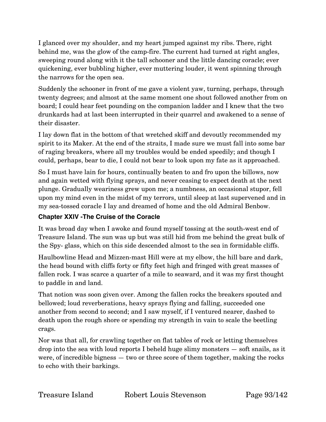I glanced over my shoulder, and my heart jumped against my ribs. There, right behind me, was the glow of the camp-fire. The current had turned at right angles, sweeping round along with it the tall schooner and the little dancing coracle; ever quickening, ever bubbling higher, ever muttering louder, it went spinning through the narrows for the open sea.

Suddenly the schooner in front of me gave a violent yaw, turning, perhaps, through twenty degrees; and almost at the same moment one shout followed another from on board; I could hear feet pounding on the companion ladder and I knew that the two drunkards had at last been interrupted in their quarrel and awakened to a sense of their disaster.

I lay down flat in the bottom of that wretched skiff and devoutly recommended my spirit to its Maker. At the end of the straits, I made sure we must fall into some bar of raging breakers, where all my troubles would be ended speedily; and though I could, perhaps, bear to die, I could not bear to look upon my fate as it approached.

So I must have lain for hours, continually beaten to and fro upon the billows, now and again wetted with flying sprays, and never ceasing to expect death at the next plunge. Gradually weariness grew upon me; a numbness, an occasional stupor, fell upon my mind even in the midst of my terrors, until sleep at last supervened and in my sea-tossed coracle I lay and dreamed of home and the old Admiral Benbow.

### **Chapter XXIV -The Cruise of the Coracle**

It was broad day when I awoke and found myself tossing at the south-west end of Treasure Island. The sun was up but was still hid from me behind the great bulk of the Spy- glass, which on this side descended almost to the sea in formidable cliffs.

Haulbowline Head and Mizzen-mast Hill were at my elbow, the hill bare and dark, the head bound with cliffs forty or fifty feet high and fringed with great masses of fallen rock. I was scarce a quarter of a mile to seaward, and it was my first thought to paddle in and land.

That notion was soon given over. Among the fallen rocks the breakers spouted and bellowed; loud reverberations, heavy sprays flying and falling, succeeded one another from second to second; and I saw myself, if I ventured nearer, dashed to death upon the rough shore or spending my strength in vain to scale the beetling crags.

Nor was that all, for crawling together on flat tables of rock or letting themselves drop into the sea with loud reports I beheld huge slimy monsters — soft snails, as it were, of incredible bigness — two or three score of them together, making the rocks to echo with their barkings.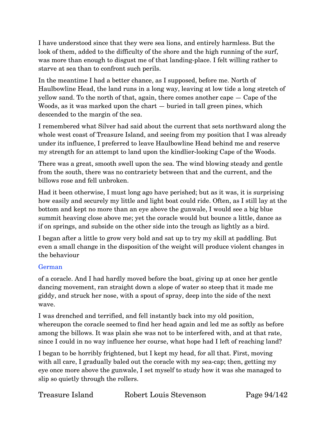I have understood since that they were sea lions, and entirely harmless. But the look of them, added to the difficulty of the shore and the high running of the surf, was more than enough to disgust me of that landing-place. I felt willing rather to starve at sea than to confront such perils.

In the meantime I had a better chance, as I supposed, before me. North of Haulbowline Head, the land runs in a long way, leaving at low tide a long stretch of yellow sand. To the north of that, again, there comes another cape — Cape of the Woods, as it was marked upon the chart — buried in tall green pines, which descended to the margin of the sea.

I remembered what Silver had said about the current that sets northward along the whole west coast of Treasure Island, and seeing from my position that I was already under its influence, I preferred to leave Haulbowline Head behind me and reserve my strength for an attempt to land upon the kindlier-looking Cape of the Woods.

There was a great, smooth swell upon the sea. The wind blowing steady and gentle from the south, there was no contrariety between that and the current, and the billows rose and fell unbroken.

Had it been otherwise, I must long ago have perished; but as it was, it is surprising how easily and securely my little and light boat could ride. Often, as I still lay at the bottom and kept no more than an eye above the gunwale, I would see a big blue summit heaving close above me; yet the coracle would but bounce a little, dance as if on springs, and subside on the other side into the trough as lightly as a bird.

I began after a little to grow very bold and sat up to try my skill at paddling. But even a small change in the disposition of the weight will produce violent changes in the behaviour

### German

of a coracle. And I had hardly moved before the boat, giving up at once her gentle dancing movement, ran straight down a slope of water so steep that it made me giddy, and struck her nose, with a spout of spray, deep into the side of the next wave.

I was drenched and terrified, and fell instantly back into my old position, whereupon the coracle seemed to find her head again and led me as softly as before among the billows. It was plain she was not to be interfered with, and at that rate, since I could in no way influence her course, what hope had I left of reaching land?

I began to be horribly frightened, but I kept my head, for all that. First, moving with all care, I gradually baled out the coracle with my sea-cap; then, getting my eye once more above the gunwale, I set myself to study how it was she managed to slip so quietly through the rollers.

| Treasure Island | Robert Louis Stevenson |
|-----------------|------------------------|
|                 |                        |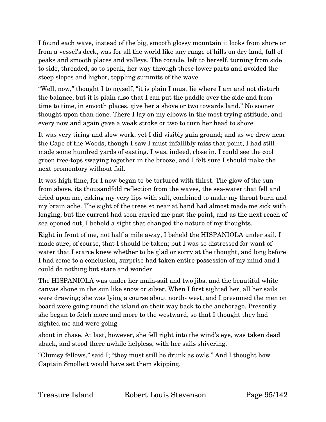I found each wave, instead of the big, smooth glossy mountain it looks from shore or from a vessel's deck, was for all the world like any range of hills on dry land, full of peaks and smooth places and valleys. The coracle, left to herself, turning from side to side, threaded, so to speak, her way through these lower parts and avoided the steep slopes and higher, toppling summits of the wave.

"Well, now," thought I to myself, "it is plain I must lie where I am and not disturb the balance; but it is plain also that I can put the paddle over the side and from time to time, in smooth places, give her a shove or two towards land." No sooner thought upon than done. There I lay on my elbows in the most trying attitude, and every now and again gave a weak stroke or two to turn her head to shore.

It was very tiring and slow work, yet I did visibly gain ground; and as we drew near the Cape of the Woods, though I saw I must infallibly miss that point, I had still made some hundred yards of easting. I was, indeed, close in. I could see the cool green tree-tops swaying together in the breeze, and I felt sure I should make the next promontory without fail.

It was high time, for I now began to be tortured with thirst. The glow of the sun from above, its thousandfold reflection from the waves, the sea-water that fell and dried upon me, caking my very lips with salt, combined to make my throat burn and my brain ache. The sight of the trees so near at hand had almost made me sick with longing, but the current had soon carried me past the point, and as the next reach of sea opened out, I beheld a sight that changed the nature of my thoughts.

Right in front of me, not half a mile away, I beheld the HISPANIOLA under sail. I made sure, of course, that I should be taken; but I was so distressed for want of water that I scarce knew whether to be glad or sorry at the thought, and long before I had come to a conclusion, surprise had taken entire possession of my mind and I could do nothing but stare and wonder.

The HISPANIOLA was under her main-sail and two jibs, and the beautiful white canvas shone in the sun like snow or silver. When I first sighted her, all her sails were drawing; she was lying a course about north- west, and I presumed the men on board were going round the island on their way back to the anchorage. Presently she began to fetch more and more to the westward, so that I thought they had sighted me and were going

about in chase. At last, however, she fell right into the wind's eye, was taken dead aback, and stood there awhile helpless, with her sails shivering.

"Clumsy fellows," said I; "they must still be drunk as owls." And I thought how Captain Smollett would have set them skipping.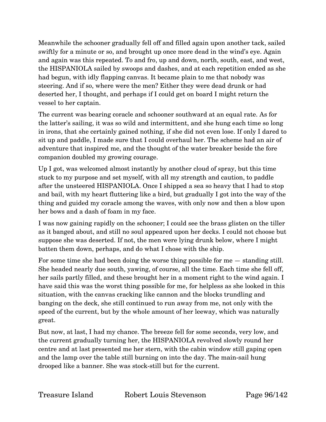Meanwhile the schooner gradually fell off and filled again upon another tack, sailed swiftly for a minute or so, and brought up once more dead in the wind's eye. Again and again was this repeated. To and fro, up and down, north, south, east, and west, the HISPANIOLA sailed by swoops and dashes, and at each repetition ended as she had begun, with idly flapping canvas. It became plain to me that nobody was steering. And if so, where were the men? Either they were dead drunk or had deserted her, I thought, and perhaps if I could get on board I might return the vessel to her captain.

The current was bearing coracle and schooner southward at an equal rate. As for the latter's sailing, it was so wild and intermittent, and she hung each time so long in irons, that she certainly gained nothing, if she did not even lose. If only I dared to sit up and paddle, I made sure that I could overhaul her. The scheme had an air of adventure that inspired me, and the thought of the water breaker beside the fore companion doubled my growing courage.

Up I got, was welcomed almost instantly by another cloud of spray, but this time stuck to my purpose and set myself, with all my strength and caution, to paddle after the unsteered HISPANIOLA. Once I shipped a sea so heavy that I had to stop and bail, with my heart fluttering like a bird, but gradually I got into the way of the thing and guided my coracle among the waves, with only now and then a blow upon her bows and a dash of foam in my face.

I was now gaining rapidly on the schooner; I could see the brass glisten on the tiller as it banged about, and still no soul appeared upon her decks. I could not choose but suppose she was deserted. If not, the men were lying drunk below, where I might batten them down, perhaps, and do what I chose with the ship.

For some time she had been doing the worse thing possible for me — standing still. She headed nearly due south, yawing, of course, all the time. Each time she fell off, her sails partly filled, and these brought her in a moment right to the wind again. I have said this was the worst thing possible for me, for helpless as she looked in this situation, with the canvas cracking like cannon and the blocks trundling and banging on the deck, she still continued to run away from me, not only with the speed of the current, but by the whole amount of her leeway, which was naturally great.

But now, at last, I had my chance. The breeze fell for some seconds, very low, and the current gradually turning her, the HISPANIOLA revolved slowly round her centre and at last presented me her stern, with the cabin window still gaping open and the lamp over the table still burning on into the day. The main-sail hung drooped like a banner. She was stock-still but for the current.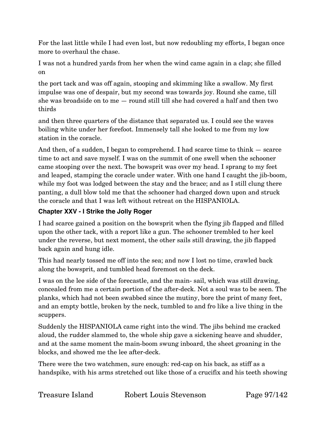For the last little while I had even lost, but now redoubling my efforts, I began once more to overhaul the chase.

I was not a hundred yards from her when the wind came again in a clap; she filled on

the port tack and was off again, stooping and skimming like a swallow. My first impulse was one of despair, but my second was towards joy. Round she came, till she was broadside on to me — round still till she had covered a half and then two thirds

and then three quarters of the distance that separated us. I could see the waves boiling white under her forefoot. Immensely tall she looked to me from my low station in the coracle.

And then, of a sudden, I began to comprehend. I had scarce time to think — scarce time to act and save myself. I was on the summit of one swell when the schooner came stooping over the next. The bowsprit was over my head. I sprang to my feet and leaped, stamping the coracle under water. With one hand I caught the jib-boom, while my foot was lodged between the stay and the brace; and as I still clung there panting, a dull blow told me that the schooner had charged down upon and struck the coracle and that I was left without retreat on the HISPANIOLA.

### **Chapter XXV - I Strike the Jolly Roger**

I had scarce gained a position on the bowsprit when the flying jib flapped and filled upon the other tack, with a report like a gun. The schooner trembled to her keel under the reverse, but next moment, the other sails still drawing, the jib flapped back again and hung idle.

This had nearly tossed me off into the sea; and now I lost no time, crawled back along the bowsprit, and tumbled head foremost on the deck.

I was on the lee side of the forecastle, and the main- sail, which was still drawing, concealed from me a certain portion of the after-deck. Not a soul was to be seen. The planks, which had not been swabbed since the mutiny, bore the print of many feet, and an empty bottle, broken by the neck, tumbled to and fro like a live thing in the scuppers.

Suddenly the HISPANIOLA came right into the wind. The jibs behind me cracked aloud, the rudder slammed to, the whole ship gave a sickening heave and shudder, and at the same moment the main-boom swung inboard, the sheet groaning in the blocks, and showed me the lee after-deck.

There were the two watchmen, sure enough: red-cap on his back, as stiff as a handspike, with his arms stretched out like those of a crucifix and his teeth showing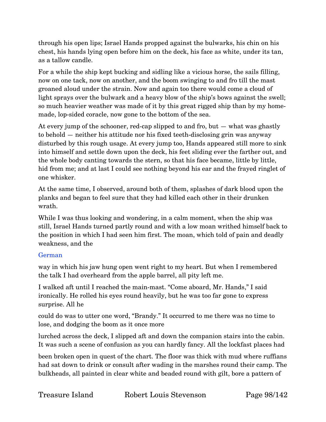through his open lips; Israel Hands propped against the bulwarks, his chin on his chest, his hands lying open before him on the deck, his face as white, under its tan, as a tallow candle.

For a while the ship kept bucking and sidling like a vicious horse, the sails filling, now on one tack, now on another, and the boom swinging to and fro till the mast groaned aloud under the strain. Now and again too there would come a cloud of light sprays over the bulwark and a heavy blow of the ship's bows against the swell; so much heavier weather was made of it by this great rigged ship than by my homemade, lop-sided coracle, now gone to the bottom of the sea.

At every jump of the schooner, red-cap slipped to and fro, but — what was ghastly to behold — neither his attitude nor his fixed teeth-disclosing grin was anyway disturbed by this rough usage. At every jump too, Hands appeared still more to sink into himself and settle down upon the deck, his feet sliding ever the farther out, and the whole body canting towards the stern, so that his face became, little by little, hid from me; and at last I could see nothing beyond his ear and the frayed ringlet of one whisker.

At the same time, I observed, around both of them, splashes of dark blood upon the planks and began to feel sure that they had killed each other in their drunken wrath.

While I was thus looking and wondering, in a calm moment, when the ship was still, Israel Hands turned partly round and with a low moan writhed himself back to the position in which I had seen him first. The moan, which told of pain and deadly weakness, and the

### German

way in which his jaw hung open went right to my heart. But when I remembered the talk I had overheard from the apple barrel, all pity left me.

I walked aft until I reached the main-mast. "Come aboard, Mr. Hands," I said ironically. He rolled his eyes round heavily, but he was too far gone to express surprise. All he

could do was to utter one word, "Brandy." It occurred to me there was no time to lose, and dodging the boom as it once more

lurched across the deck, I slipped aft and down the companion stairs into the cabin. It was such a scene of confusion as you can hardly fancy. All the lockfast places had

been broken open in quest of the chart. The floor was thick with mud where ruffians had sat down to drink or consult after wading in the marshes round their camp. The bulkheads, all painted in clear white and beaded round with gilt, bore a pattern of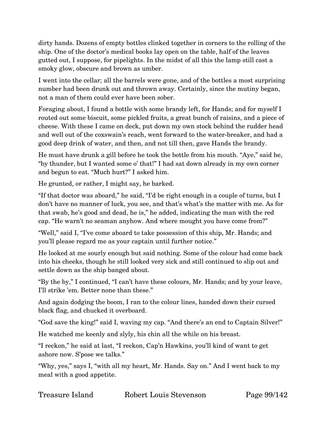dirty hands. Dozens of empty bottles clinked together in corners to the rolling of the ship. One of the doctor's medical books lay open on the table, half of the leaves gutted out, I suppose, for pipelights. In the midst of all this the lamp still cast a smoky glow, obscure and brown as umber.

I went into the cellar; all the barrels were gone, and of the bottles a most surprising number had been drunk out and thrown away. Certainly, since the mutiny began, not a man of them could ever have been sober.

Foraging about, I found a bottle with some brandy left, for Hands; and for myself I routed out some biscuit, some pickled fruits, a great bunch of raisins, and a piece of cheese. With these I came on deck, put down my own stock behind the rudder head and well out of the coxswain's reach, went forward to the water-breaker, and had a good deep drink of water, and then, and not till then, gave Hands the brandy.

He must have drunk a gill before he took the bottle from his mouth. "Aye," said he, "by thunder, but I wanted some o' that!" I had sat down already in my own corner and begun to eat. "Much hurt?" I asked him.

He grunted, or rather, I might say, he barked.

"If that doctor was aboard," he said, "I'd be right enough in a couple of turns, but I don't have no manner of luck, you see, and that's what's the matter with me. As for that swab, he's good and dead, he is," he added, indicating the man with the red cap. "He warn't no seaman anyhow. And where mought you have come from?"

"Well," said I, "I've come aboard to take possession of this ship, Mr. Hands; and you'll please regard me as your captain until further notice."

He looked at me sourly enough but said nothing. Some of the colour had come back into his cheeks, though he still looked very sick and still continued to slip out and settle down as the ship banged about.

"By the by," I continued, "I can't have these colours, Mr. Hands; and by your leave, I'll strike 'em. Better none than these."

And again dodging the boom, I ran to the colour lines, handed down their cursed black flag, and chucked it overboard.

"God save the king!" said I, waving my cap. "And there's an end to Captain Silver!"

He watched me keenly and slyly, his chin all the while on his breast.

"I reckon," he said at last, "I reckon, Cap'n Hawkins, you'll kind of want to get ashore now. S'pose we talks."

"Why, yes," says I, "with all my heart, Mr. Hands. Say on." And I went back to my meal with a good appetite.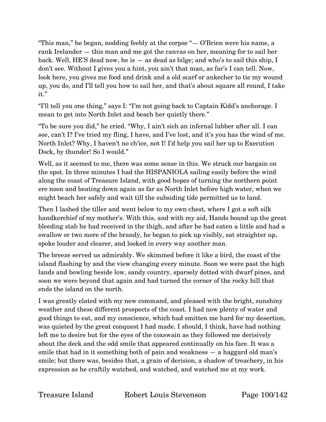"This man," he began, nodding feebly at the corpse "— O'Brien were his name, a rank Irelander — this man and me got the canvas on her, meaning for to sail her back. Well, HE'S dead now, he is — as dead as bilge; and who's to sail this ship, I don't see. Without I gives you a hint, you ain't that man, as far's I can tell. Now, look here, you gives me food and drink and a old scarf or ankecher to tie my wound up, you do, and I'll tell you how to sail her, and that's about square all round, I take it."

"I'll tell you one thing," says I: "I'm not going back to Captain Kidd's anchorage. I mean to get into North Inlet and beach her quietly there."

"To be sure you did," he cried. "Why, I ain't sich an infernal lubber after all. I can see, can't I? I've tried my fling, I have, and I've lost, and it's you has the wind of me. North Inlet? Why, I haven't no ch'ice, not I! I'd help you sail her up to Execution Dock, by thunder! So I would."

Well, as it seemed to me, there was some sense in this. We struck our bargain on the spot. In three minutes I had the HISPANIOLA sailing easily before the wind along the coast of Treasure Island, with good hopes of turning the northern point ere noon and beating down again as far as North Inlet before high water, when we might beach her safely and wait till the subsiding tide permitted us to land.

Then I lashed the tiller and went below to my own chest, where I got a soft silk handkerchief of my mother's. With this, and with my aid, Hands bound up the great bleeding stab he had received in the thigh, and after he had eaten a little and had a swallow or two more of the brandy, he began to pick up visibly, sat straighter up, spoke louder and clearer, and looked in every way another man.

The breeze served us admirably. We skimmed before it like a bird, the coast of the island flashing by and the view changing every minute. Soon we were past the high lands and bowling beside low, sandy country, sparsely dotted with dwarf pines, and soon we were beyond that again and had turned the corner of the rocky hill that ends the island on the north.

I was greatly elated with my new command, and pleased with the bright, sunshiny weather and these different prospects of the coast. I had now plenty of water and good things to eat, and my conscience, which had smitten me hard for my desertion, was quieted by the great conquest I had made. I should, I think, have had nothing left me to desire but for the eyes of the coxswain as they followed me derisively about the deck and the odd smile that appeared continually on his face. It was a smile that had in it something both of pain and weakness — a haggard old man's smile; but there was, besides that, a grain of derision, a shadow of treachery, in his expression as he craftily watched, and watched, and watched me at my work.

Treasure Island Robert Louis Stevenson Page 100/142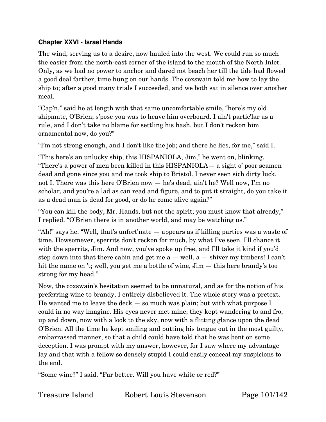#### **Chapter XXVI - Israel Hands**

The wind, serving us to a desire, now hauled into the west. We could run so much the easier from the north-east corner of the island to the mouth of the North Inlet. Only, as we had no power to anchor and dared not beach her till the tide had flowed a good deal farther, time hung on our hands. The coxswain told me how to lay the ship to; after a good many trials I succeeded, and we both sat in silence over another meal.

"Cap'n," said he at length with that same uncomfortable smile, "here's my old shipmate, O'Brien; s'pose you was to heave him overboard. I ain't partic'lar as a rule, and I don't take no blame for settling his hash, but I don't reckon him ornamental now, do you?"

"I'm not strong enough, and I don't like the job; and there he lies, for me," said I.

"This here's an unlucky ship, this HISPANIOLA, Jim," he went on, blinking. "There's a power of men been killed in this HISPANIOLA— a sight o' poor seamen dead and gone since you and me took ship to Bristol. I never seen sich dirty luck, not I. There was this here O'Brien now — he's dead, ain't he? Well now, I'm no scholar, and you're a lad as can read and figure, and to put it straight, do you take it as a dead man is dead for good, or do he come alive again?"

"You can kill the body, Mr. Hands, but not the spirit; you must know that already," I replied. "O'Brien there is in another world, and may be watching us."

"Ah!" says he. "Well, that's unfort'nate — appears as if killing parties was a waste of time. Howsomever, sperrits don't reckon for much, by what I've seen. I'll chance it with the sperrits, Jim. And now, you've spoke up free, and I'll take it kind if you'd step down into that there cabin and get me  $a$  — well,  $a$  — shiver my timbers! I can't hit the name on 't; well, you get me a bottle of wine, Jim — this here brandy's too strong for my head."

Now, the coxswain's hesitation seemed to be unnatural, and as for the notion of his preferring wine to brandy, I entirely disbelieved it. The whole story was a pretext. He wanted me to leave the deck  $-$  so much was plain; but with what purpose I could in no way imagine. His eyes never met mine; they kept wandering to and fro, up and down, now with a look to the sky, now with a flitting glance upon the dead O'Brien. All the time he kept smiling and putting his tongue out in the most guilty, embarrassed manner, so that a child could have told that he was bent on some deception. I was prompt with my answer, however, for I saw where my advantage lay and that with a fellow so densely stupid I could easily conceal my suspicions to the end.

"Some wine?" I said. "Far better. Will you have white or red?"

Treasure Island Robert Louis Stevenson Page 101/142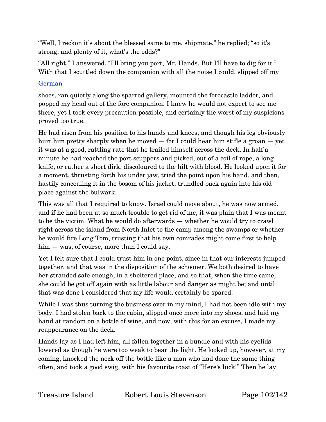"Well, I reckon it's about the blessed same to me, shipmate," he replied; "so it's strong, and plenty of it, what's the odds?"

"All right," I answered. "I'll bring you port, Mr. Hands. But I'll have to dig for it." With that I scuttled down the companion with all the noise I could, slipped off my

### German

shoes, ran quietly along the sparred gallery, mounted the forecastle ladder, and popped my head out of the fore companion. I knew he would not expect to see me there, yet I took every precaution possible, and certainly the worst of my suspicions proved too true.

He had risen from his position to his hands and knees, and though his leg obviously hurt him pretty sharply when he moved — for I could hear him stifle a groan — yet it was at a good, rattling rate that he trailed himself across the deck. In half a minute he had reached the port scuppers and picked, out of a coil of rope, a long knife, or rather a short dirk, discoloured to the hilt with blood. He looked upon it for a moment, thrusting forth his under jaw, tried the point upon his hand, and then, hastily concealing it in the bosom of his jacket, trundled back again into his old place against the bulwark.

This was all that I required to know. Israel could move about, he was now armed, and if he had been at so much trouble to get rid of me, it was plain that I was meant to be the victim. What he would do afterwards — whether he would try to crawl right across the island from North Inlet to the camp among the swamps or whether he would fire Long Tom, trusting that his own comrades might come first to help him – was, of course, more than I could say.

Yet I felt sure that I could trust him in one point, since in that our interests jumped together, and that was in the disposition of the schooner. We both desired to have her stranded safe enough, in a sheltered place, and so that, when the time came, she could be got off again with as little labour and danger as might be; and until that was done I considered that my life would certainly be spared.

While I was thus turning the business over in my mind, I had not been idle with my body. I had stolen back to the cabin, slipped once more into my shoes, and laid my hand at random on a bottle of wine, and now, with this for an excuse, I made my reappearance on the deck.

Hands lay as I had left him, all fallen together in a bundle and with his eyelids lowered as though he were too weak to bear the light. He looked up, however, at my coming, knocked the neck off the bottle like a man who had done the same thing often, and took a good swig, with his favourite toast of "Here's luck!" Then he lay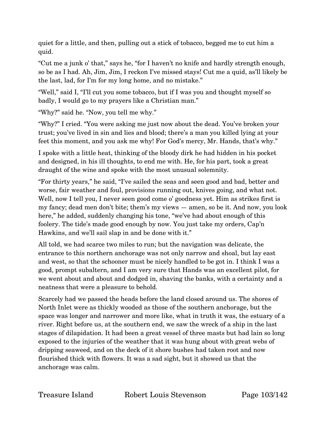quiet for a little, and then, pulling out a stick of tobacco, begged me to cut him a quid.

"Cut me a junk o' that," says he, "for I haven't no knife and hardly strength enough, so be as I had. Ah, Jim, Jim, I reckon I've missed stays! Cut me a quid, as'll likely be the last, lad, for I'm for my long home, and no mistake."

"Well," said I, "I'll cut you some tobacco, but if I was you and thought myself so badly, I would go to my prayers like a Christian man."

"Why?" said he. "Now, you tell me why."

"Why?" I cried. "You were asking me just now about the dead. You've broken your trust; you've lived in sin and lies and blood; there's a man you killed lying at your feet this moment, and you ask me why! For God's mercy, Mr. Hands, that's why."

I spoke with a little heat, thinking of the bloody dirk he had hidden in his pocket and designed, in his ill thoughts, to end me with. He, for his part, took a great draught of the wine and spoke with the most unusual solemnity.

"For thirty years," he said, "I've sailed the seas and seen good and bad, better and worse, fair weather and foul, provisions running out, knives going, and what not. Well, now I tell you, I never seen good come o' goodness yet. Him as strikes first is my fancy; dead men don't bite; them's my views — amen, so be it. And now, you look here," he added, suddenly changing his tone, "we've had about enough of this foolery. The tide's made good enough by now. You just take my orders, Cap'n Hawkins, and we'll sail slap in and be done with it."

All told, we had scarce two miles to run; but the navigation was delicate, the entrance to this northern anchorage was not only narrow and shoal, but lay east and west, so that the schooner must be nicely handled to be got in. I think I was a good, prompt subaltern, and I am very sure that Hands was an excellent pilot, for we went about and about and dodged in, shaving the banks, with a certainty and a neatness that were a pleasure to behold.

Scarcely had we passed the heads before the land closed around us. The shores of North Inlet were as thickly wooded as those of the southern anchorage, but the space was longer and narrower and more like, what in truth it was, the estuary of a river. Right before us, at the southern end, we saw the wreck of a ship in the last stages of dilapidation. It had been a great vessel of three masts but had lain so long exposed to the injuries of the weather that it was hung about with great webs of dripping seaweed, and on the deck of it shore bushes had taken root and now flourished thick with flowers. It was a sad sight, but it showed us that the anchorage was calm.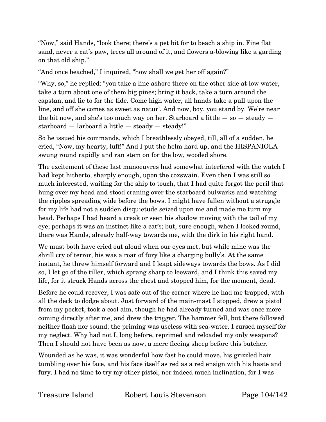"Now," said Hands, "look there; there's a pet bit for to beach a ship in. Fine flat sand, never a cat's paw, trees all around of it, and flowers a-blowing like a garding on that old ship."

"And once beached," I inquired, "how shall we get her off again?"

"Why, so," he replied: "you take a line ashore there on the other side at low water, take a turn about one of them big pines; bring it back, take a turn around the capstan, and lie to for the tide. Come high water, all hands take a pull upon the line, and off she comes as sweet as natur'. And now, boy, you stand by. We're near the bit now, and she's too much way on her. Starboard a little  $-$  so  $-$  steady  $$ starboard  $-$  larboard a little  $-$  steady  $-$  steady!"

So he issued his commands, which I breathlessly obeyed, till, all of a sudden, he cried, "Now, my hearty, luff!" And I put the helm hard up, and the HISPANIOLA swung round rapidly and ran stem on for the low, wooded shore.

The excitement of these last manoeuvres had somewhat interfered with the watch I had kept hitherto, sharply enough, upon the coxswain. Even then I was still so much interested, waiting for the ship to touch, that I had quite forgot the peril that hung over my head and stood craning over the starboard bulwarks and watching the ripples spreading wide before the bows. I might have fallen without a struggle for my life had not a sudden disquietude seized upon me and made me turn my head. Perhaps I had heard a creak or seen his shadow moving with the tail of my eye; perhaps it was an instinct like a cat's; but, sure enough, when I looked round, there was Hands, already half-way towards me, with the dirk in his right hand.

We must both have cried out aloud when our eyes met, but while mine was the shrill cry of terror, his was a roar of fury like a charging bully's. At the same instant, he threw himself forward and I leapt sideways towards the bows. As I did so, I let go of the tiller, which sprang sharp to leeward, and I think this saved my life, for it struck Hands across the chest and stopped him, for the moment, dead.

Before he could recover, I was safe out of the corner where he had me trapped, with all the deck to dodge about. Just forward of the main-mast I stopped, drew a pistol from my pocket, took a cool aim, though he had already turned and was once more coming directly after me, and drew the trigger. The hammer fell, but there followed neither flash nor sound; the priming was useless with sea-water. I cursed myself for my neglect. Why had not I, long before, reprimed and reloaded my only weapons? Then I should not have been as now, a mere fleeing sheep before this butcher.

Wounded as he was, it was wonderful how fast he could move, his grizzled hair tumbling over his face, and his face itself as red as a red ensign with his haste and fury. I had no time to try my other pistol, nor indeed much inclination, for I was

Treasure Island Robert Louis Stevenson Page 104/142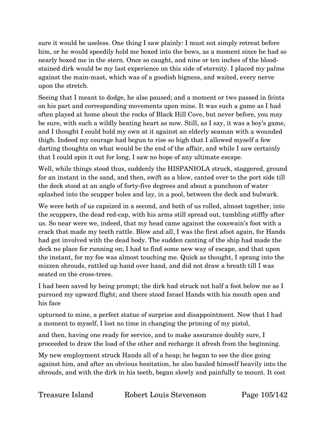sure it would be useless. One thing I saw plainly: I must not simply retreat before him, or he would speedily hold me boxed into the bows, as a moment since he had so nearly boxed me in the stern. Once so caught, and nine or ten inches of the bloodstained dirk would be my last experience on this side of eternity. I placed my palms against the main-mast, which was of a goodish bigness, and waited, every nerve upon the stretch.

Seeing that I meant to dodge, he also paused; and a moment or two passed in feints on his part and corresponding movements upon mine. It was such a game as I had often played at home about the rocks of Black Hill Cove, but never before, you may be sure, with such a wildly beating heart as now. Still, as I say, it was a boy's game, and I thought I could hold my own at it against an elderly seaman with a wounded thigh. Indeed my courage had begun to rise so high that I allowed myself a few darting thoughts on what would be the end of the affair, and while I saw certainly that I could spin it out for long, I saw no hope of any ultimate escape.

Well, while things stood thus, suddenly the HISPANIOLA struck, staggered, ground for an instant in the sand, and then, swift as a blow, canted over to the port side till the deck stood at an angle of forty-five degrees and about a puncheon of water splashed into the scupper holes and lay, in a pool, between the deck and bulwark.

We were both of us capsized in a second, and both of us rolled, almost together, into the scuppers, the dead red-cap, with his arms still spread out, tumbling stiffly after us. So near were we, indeed, that my head came against the coxswain's foot with a crack that made my teeth rattle. Blow and all, I was the first afoot again, for Hands had got involved with the dead body. The sudden canting of the ship had made the deck no place for running on; I had to find some new way of escape, and that upon the instant, for my foe was almost touching me. Quick as thought, I sprang into the mizzen shrouds, rattled up hand over hand, and did not draw a breath till I was seated on the cross-trees.

I had been saved by being prompt; the dirk had struck not half a foot below me as I pursued my upward flight; and there stood Israel Hands with his mouth open and his face

upturned to mine, a perfect statue of surprise and disappointment. Now that I had a moment to myself, I lost no time in changing the priming of my pistol,

and then, having one ready for service, and to make assurance doubly sure, I proceeded to draw the load of the other and recharge it afresh from the beginning.

My new employment struck Hands all of a heap; he began to see the dice going against him, and after an obvious hesitation, he also hauled himself heavily into the shrouds, and with the dirk in his teeth, began slowly and painfully to mount. It cost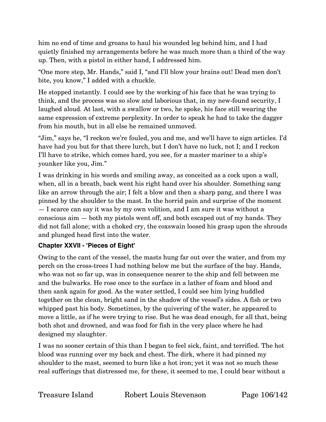him no end of time and groans to haul his wounded leg behind him, and I had quietly finished my arrangements before he was much more than a third of the way up. Then, with a pistol in either hand, I addressed him.

"One more step, Mr. Hands," said I, "and I'll blow your brains out! Dead men don't bite, you know," I added with a chuckle.

He stopped instantly. I could see by the working of his face that he was trying to think, and the process was so slow and laborious that, in my new-found security, I laughed aloud. At last, with a swallow or two, he spoke, his face still wearing the same expression of extreme perplexity. In order to speak he had to take the dagger from his mouth, but in all else he remained unmoved.

"Jim," says he, "I reckon we're fouled, you and me, and we'll have to sign articles. I'd have had you but for that there lurch, but I don't have no luck, not I; and I reckon I'll have to strike, which comes hard, you see, for a master mariner to a ship's younker like you, Jim."

I was drinking in his words and smiling away, as conceited as a cock upon a wall, when, all in a breath, back went his right hand over his shoulder. Something sang like an arrow through the air; I felt a blow and then a sharp pang, and there I was pinned by the shoulder to the mast. In the horrid pain and surprise of the moment — I scarce can say it was by my own volition, and I am sure it was without a conscious aim — both my pistols went off, and both escaped out of my hands. They did not fall alone; with a choked cry, the coxswain loosed his grasp upon the shrouds and plunged head first into the water.

## **Chapter XXVII - 'Pieces of Eight'**

Owing to the cant of the vessel, the masts hung far out over the water, and from my perch on the cross-trees I had nothing below me but the surface of the bay. Hands, who was not so far up, was in consequence nearer to the ship and fell between me and the bulwarks. He rose once to the surface in a lather of foam and blood and then sank again for good. As the water settled, I could see him lying huddled together on the clean, bright sand in the shadow of the vessel's sides. A fish or two whipped past his body. Sometimes, by the quivering of the water, he appeared to move a little, as if he were trying to rise. But he was dead enough, for all that, being both shot and drowned, and was food for fish in the very place where he had designed my slaughter.

I was no sooner certain of this than I began to feel sick, faint, and terrified. The hot blood was running over my back and chest. The dirk, where it had pinned my shoulder to the mast, seemed to burn like a hot iron; yet it was not so much these real sufferings that distressed me, for these, it seemed to me, I could bear without a

Treasure Island Robert Louis Stevenson Page 106/142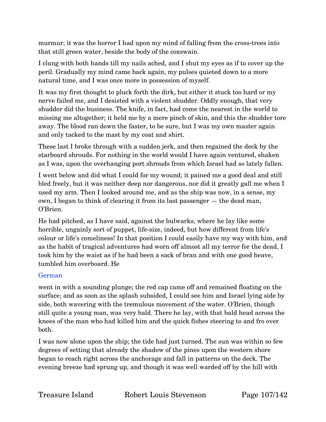murmur; it was the horror I had upon my mind of falling from the cross-trees into that still green water, beside the body of the coxswain.

I clung with both hands till my nails ached, and I shut my eyes as if to cover up the peril. Gradually my mind came back again, my pulses quieted down to a more natural time, and I was once more in possession of myself.

It was my first thought to pluck forth the dirk, but either it stuck too hard or my nerve failed me, and I desisted with a violent shudder. Oddly enough, that very shudder did the business. The knife, in fact, had come the nearest in the world to missing me altogether; it held me by a mere pinch of skin, and this the shudder tore away. The blood ran down the faster, to be sure, but I was my own master again and only tacked to the mast by my coat and shirt.

These last I broke through with a sudden jerk, and then regained the deck by the starboard shrouds. For nothing in the world would I have again ventured, shaken as I was, upon the overhanging port shrouds from which Israel had so lately fallen.

I went below and did what I could for my wound; it pained me a good deal and still bled freely, but it was neither deep nor dangerous, nor did it greatly gall me when I used my arm. Then I looked around me, and as the ship was now, in a sense, my own, I began to think of clearing it from its last passenger — the dead man, O'Brien.

He had pitched, as I have said, against the bulwarks, where he lay like some horrible, ungainly sort of puppet, life-size, indeed, but how different from life's colour or life's comeliness! In that position I could easily have my way with him, and as the habit of tragical adventures had worn off almost all my terror for the dead, I took him by the waist as if he had been a sack of bran and with one good heave, tumbled him overboard. He

### German

went in with a sounding plunge; the red cap came off and remained floating on the surface; and as soon as the splash subsided, I could see him and Israel lying side by side, both wavering with the tremulous movement of the water. O'Brien, though still quite a young man, was very bald. There he lay, with that bald head across the knees of the man who had killed him and the quick fishes steering to and fro over both.

I was now alone upon the ship; the tide had just turned. The sun was within so few degrees of setting that already the shadow of the pines upon the western shore began to reach right across the anchorage and fall in patterns on the deck. The evening breeze had sprung up, and though it was well warded off by the hill with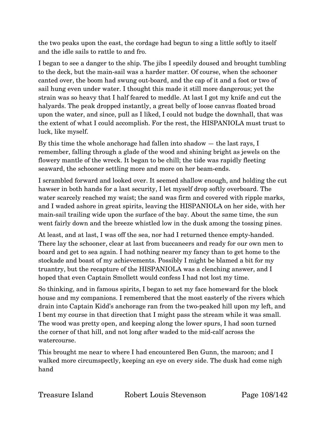the two peaks upon the east, the cordage had begun to sing a little softly to itself and the idle sails to rattle to and fro.

I began to see a danger to the ship. The jibs I speedily doused and brought tumbling to the deck, but the main-sail was a harder matter. Of course, when the schooner canted over, the boom had swung out-board, and the cap of it and a foot or two of sail hung even under water. I thought this made it still more dangerous; yet the strain was so heavy that I half feared to meddle. At last I got my knife and cut the halyards. The peak dropped instantly, a great belly of loose canvas floated broad upon the water, and since, pull as I liked, I could not budge the downhall, that was the extent of what I could accomplish. For the rest, the HISPANIOLA must trust to luck, like myself.

By this time the whole anchorage had fallen into shadow — the last rays, I remember, falling through a glade of the wood and shining bright as jewels on the flowery mantle of the wreck. It began to be chill; the tide was rapidly fleeting seaward, the schooner settling more and more on her beam-ends.

I scrambled forward and looked over. It seemed shallow enough, and holding the cut hawser in both hands for a last security, I let myself drop softly overboard. The water scarcely reached my waist; the sand was firm and covered with ripple marks, and I waded ashore in great spirits, leaving the HISPANIOLA on her side, with her main-sail trailing wide upon the surface of the bay. About the same time, the sun went fairly down and the breeze whistled low in the dusk among the tossing pines.

At least, and at last, I was off the sea, nor had I returned thence empty-handed. There lay the schooner, clear at last from buccaneers and ready for our own men to board and get to sea again. I had nothing nearer my fancy than to get home to the stockade and boast of my achievements. Possibly I might be blamed a bit for my truantry, but the recapture of the HISPANIOLA was a clenching answer, and I hoped that even Captain Smollett would confess I had not lost my time.

So thinking, and in famous spirits, I began to set my face homeward for the block house and my companions. I remembered that the most easterly of the rivers which drain into Captain Kidd's anchorage ran from the two-peaked hill upon my left, and I bent my course in that direction that I might pass the stream while it was small. The wood was pretty open, and keeping along the lower spurs, I had soon turned the corner of that hill, and not long after waded to the mid-calf across the watercourse.

This brought me near to where I had encountered Ben Gunn, the maroon; and I walked more circumspectly, keeping an eye on every side. The dusk had come nigh hand

Treasure Island Robert Louis Stevenson Page 108/142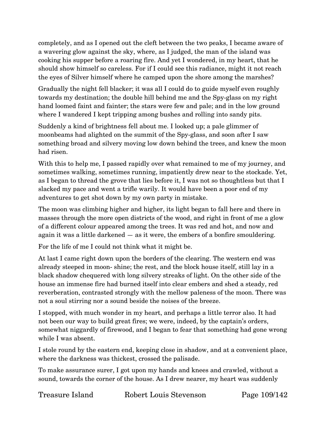completely, and as I opened out the cleft between the two peaks, I became aware of a wavering glow against the sky, where, as I judged, the man of the island was cooking his supper before a roaring fire. And yet I wondered, in my heart, that he should show himself so careless. For if I could see this radiance, might it not reach the eyes of Silver himself where he camped upon the shore among the marshes?

Gradually the night fell blacker; it was all I could do to guide myself even roughly towards my destination; the double hill behind me and the Spy-glass on my right hand loomed faint and fainter; the stars were few and pale; and in the low ground where I wandered I kept tripping among bushes and rolling into sandy pits.

Suddenly a kind of brightness fell about me. I looked up; a pale glimmer of moonbeams had alighted on the summit of the Spy-glass, and soon after I saw something broad and silvery moving low down behind the trees, and knew the moon had risen.

With this to help me, I passed rapidly over what remained to me of my journey, and sometimes walking, sometimes running, impatiently drew near to the stockade. Yet, as I began to thread the grove that lies before it, I was not so thoughtless but that I slacked my pace and went a trifle warily. It would have been a poor end of my adventures to get shot down by my own party in mistake.

The moon was climbing higher and higher, its light began to fall here and there in masses through the more open districts of the wood, and right in front of me a glow of a different colour appeared among the trees. It was red and hot, and now and again it was a little darkened — as it were, the embers of a bonfire smouldering.

For the life of me I could not think what it might be.

At last I came right down upon the borders of the clearing. The western end was already steeped in moon- shine; the rest, and the block house itself, still lay in a black shadow chequered with long silvery streaks of light. On the other side of the house an immense fire had burned itself into clear embers and shed a steady, red reverberation, contrasted strongly with the mellow paleness of the moon. There was not a soul stirring nor a sound beside the noises of the breeze.

I stopped, with much wonder in my heart, and perhaps a little terror also. It had not been our way to build great fires; we were, indeed, by the captain's orders, somewhat niggardly of firewood, and I began to fear that something had gone wrong while I was absent.

I stole round by the eastern end, keeping close in shadow, and at a convenient place, where the darkness was thickest, crossed the palisade.

To make assurance surer, I got upon my hands and knees and crawled, without a sound, towards the corner of the house. As I drew nearer, my heart was suddenly

Treasure Island Robert Louis Stevenson Page 109/142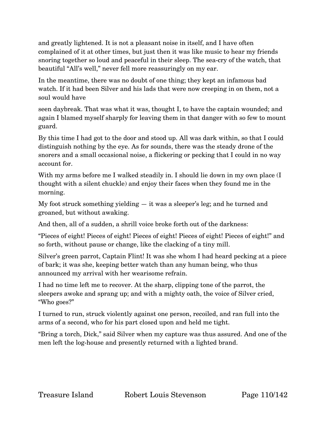and greatly lightened. It is not a pleasant noise in itself, and I have often complained of it at other times, but just then it was like music to hear my friends snoring together so loud and peaceful in their sleep. The sea-cry of the watch, that beautiful "All's well," never fell more reassuringly on my ear.

In the meantime, there was no doubt of one thing; they kept an infamous bad watch. If it had been Silver and his lads that were now creeping in on them, not a soul would have

seen daybreak. That was what it was, thought I, to have the captain wounded; and again I blamed myself sharply for leaving them in that danger with so few to mount guard.

By this time I had got to the door and stood up. All was dark within, so that I could distinguish nothing by the eye. As for sounds, there was the steady drone of the snorers and a small occasional noise, a flickering or pecking that I could in no way account for.

With my arms before me I walked steadily in. I should lie down in my own place (I thought with a silent chuckle) and enjoy their faces when they found me in the morning.

My foot struck something yielding — it was a sleeper's leg; and he turned and groaned, but without awaking.

And then, all of a sudden, a shrill voice broke forth out of the darkness:

"Pieces of eight! Pieces of eight! Pieces of eight! Pieces of eight! Pieces of eight!" and so forth, without pause or change, like the clacking of a tiny mill.

Silver's green parrot, Captain Flint! It was she whom I had heard pecking at a piece of bark; it was she, keeping better watch than any human being, who thus announced my arrival with her wearisome refrain.

I had no time left me to recover. At the sharp, clipping tone of the parrot, the sleepers awoke and sprang up; and with a mighty oath, the voice of Silver cried, "Who goes?"

I turned to run, struck violently against one person, recoiled, and ran full into the arms of a second, who for his part closed upon and held me tight.

"Bring a torch, Dick," said Silver when my capture was thus assured. And one of the men left the log-house and presently returned with a lighted brand.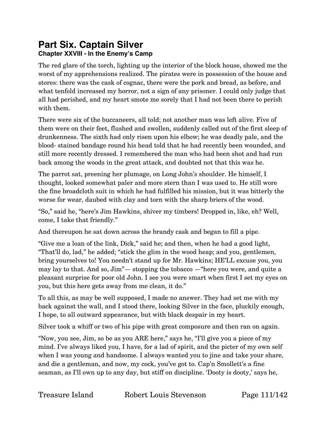# **Part Six. Captain Silver Chapter XXVIII - In the Enemy's Camp**

The red glare of the torch, lighting up the interior of the block house, showed me the worst of my apprehensions realized. The pirates were in possession of the house and stores: there was the cask of cognac, there were the pork and bread, as before, and what tenfold increased my horror, not a sign of any prisoner. I could only judge that all had perished, and my heart smote me sorely that I had not been there to perish with them.

There were six of the buccaneers, all told; not another man was left alive. Five of them were on their feet, flushed and swollen, suddenly called out of the first sleep of drunkenness. The sixth had only risen upon his elbow; he was deadly pale, and the blood- stained bandage round his head told that he had recently been wounded, and still more recently dressed. I remembered the man who had been shot and had run back among the woods in the great attack, and doubted not that this was he.

The parrot sat, preening her plumage, on Long John's shoulder. He himself, I thought, looked somewhat paler and more stern than I was used to. He still wore the fine broadcloth suit in which he had fulfilled his mission, but it was bitterly the worse for wear, daubed with clay and torn with the sharp briers of the wood.

"So," said he, "here's Jim Hawkins, shiver my timbers! Dropped in, like, eh? Well, come, I take that friendly."

And thereupon he sat down across the brandy cask and began to fill a pipe.

"Give me a loan of the link, Dick," said he; and then, when he had a good light, "That'll do, lad," he added; "stick the glim in the wood heap; and you, gentlemen, bring yourselves to! You needn't stand up for Mr. Hawkins; HE'LL excuse you, you may lay to that. And so, Jim"— stopping the tobacco —"here you were, and quite a pleasant surprise for poor old John. I see you were smart when first I set my eyes on you, but this here gets away from me clean, it do."

To all this, as may be well supposed, I made no answer. They had set me with my back against the wall, and I stood there, looking Silver in the face, pluckily enough, I hope, to all outward appearance, but with black despair in my heart.

Silver took a whiff or two of his pipe with great composure and then ran on again.

"Now, you see, Jim, so be as you ARE here," says he, "I'll give you a piece of my mind. I've always liked you, I have, for a lad of spirit, and the picter of my own self when I was young and handsome. I always wanted you to jine and take your share, and die a gentleman, and now, my cock, you've got to. Cap'n Smollett's a fine seaman, as I'll own up to any day, but stiff on discipline. 'Dooty is dooty,' says he,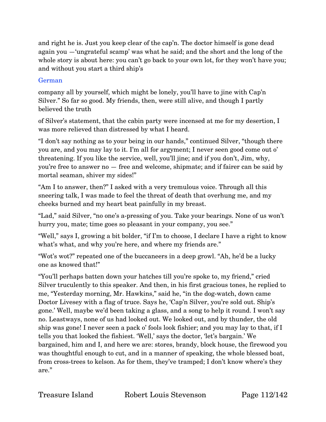and right he is. Just you keep clear of the cap'n. The doctor himself is gone dead again you —'ungrateful scamp' was what he said; and the short and the long of the whole story is about here: you can't go back to your own lot, for they won't have you; and without you start a third ship's

### German

company all by yourself, which might be lonely, you'll have to jine with Cap'n Silver." So far so good. My friends, then, were still alive, and though I partly believed the truth

of Silver's statement, that the cabin party were incensed at me for my desertion, I was more relieved than distressed by what I heard.

"I don't say nothing as to your being in our hands," continued Silver, "though there you are, and you may lay to it. I'm all for argyment; I never seen good come out o' threatening. If you like the service, well, you'll jine; and if you don't, Jim, why, you're free to answer no — free and welcome, shipmate; and if fairer can be said by mortal seaman, shiver my sides!"

"Am I to answer, then?" I asked with a very tremulous voice. Through all this sneering talk, I was made to feel the threat of death that overhung me, and my cheeks burned and my heart beat painfully in my breast.

"Lad," said Silver, "no one's a-pressing of you. Take your bearings. None of us won't hurry you, mate; time goes so pleasant in your company, you see."

"Well," says I, growing a bit bolder, "if I'm to choose, I declare I have a right to know what's what, and why you're here, and where my friends are."

"Wot's wot?" repeated one of the buccaneers in a deep growl. "Ah, he'd be a lucky one as knowed that!"

"You'll perhaps batten down your hatches till you're spoke to, my friend," cried Silver truculently to this speaker. And then, in his first gracious tones, he replied to me, "Yesterday morning, Mr. Hawkins," said he, "in the dog-watch, down came Doctor Livesey with a flag of truce. Says he, 'Cap'n Silver, you're sold out. Ship's gone.' Well, maybe we'd been taking a glass, and a song to help it round. I won't say no. Leastways, none of us had looked out. We looked out, and by thunder, the old ship was gone! I never seen a pack o' fools look fishier; and you may lay to that, if I tells you that looked the fishiest. 'Well,' says the doctor, 'let's bargain.' We bargained, him and I, and here we are: stores, brandy, block house, the firewood you was thoughtful enough to cut, and in a manner of speaking, the whole blessed boat, from cross-trees to kelson. As for them, they've tramped; I don't know where's they are."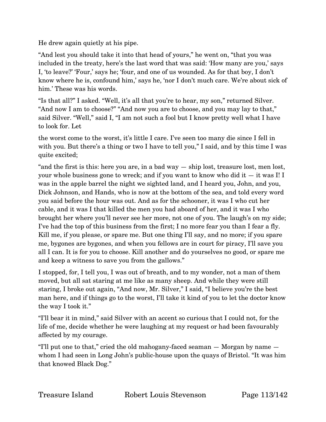He drew again quietly at his pipe.

"And lest you should take it into that head of yours," he went on, "that you was included in the treaty, here's the last word that was said: 'How many are you,' says I, 'to leave?' 'Four,' says he; 'four, and one of us wounded. As for that boy, I don't know where he is, confound him,' says he, 'nor I don't much care. We're about sick of him.' These was his words.

"Is that all?" I asked. "Well, it's all that you're to hear, my son," returned Silver. "And now I am to choose?" "And now you are to choose, and you may lay to that," said Silver. "Well," said I, "I am not such a fool but I know pretty well what I have to look for. Let

the worst come to the worst, it's little I care. I've seen too many die since I fell in with you. But there's a thing or two I have to tell you," I said, and by this time I was quite excited;

"and the first is this: here you are, in a bad way — ship lost, treasure lost, men lost, your whole business gone to wreck; and if you want to know who did it — it was I! I was in the apple barrel the night we sighted land, and I heard you, John, and you, Dick Johnson, and Hands, who is now at the bottom of the sea, and told every word you said before the hour was out. And as for the schooner, it was I who cut her cable, and it was I that killed the men you had aboard of her, and it was I who brought her where you'll never see her more, not one of you. The laugh's on my side; I've had the top of this business from the first; I no more fear you than I fear a fly. Kill me, if you please, or spare me. But one thing I'll say, and no more; if you spare me, bygones are bygones, and when you fellows are in court for piracy, I'll save you all I can. It is for you to choose. Kill another and do yourselves no good, or spare me and keep a witness to save you from the gallows."

I stopped, for, I tell you, I was out of breath, and to my wonder, not a man of them moved, but all sat staring at me like as many sheep. And while they were still staring, I broke out again, "And now, Mr. Silver," I said, "I believe you're the best man here, and if things go to the worst, I'll take it kind of you to let the doctor know the way I took it."

"I'll bear it in mind," said Silver with an accent so curious that I could not, for the life of me, decide whether he were laughing at my request or had been favourably affected by my courage.

"I'll put one to that," cried the old mahogany-faced seaman — Morgan by name whom I had seen in Long John's public-house upon the quays of Bristol. "It was him that knowed Black Dog."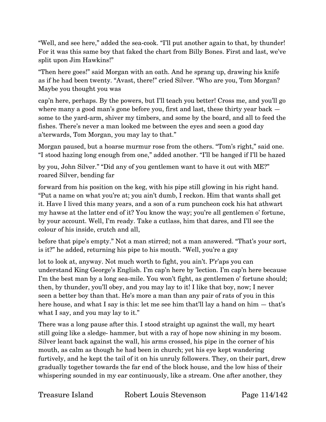"Well, and see here," added the sea-cook. "I'll put another again to that, by thunder! For it was this same boy that faked the chart from Billy Bones. First and last, we've split upon Jim Hawkins!"

"Then here goes!" said Morgan with an oath. And he sprang up, drawing his knife as if he had been twenty. "Avast, there!" cried Silver. "Who are you, Tom Morgan? Maybe you thought you was

cap'n here, perhaps. By the powers, but I'll teach you better! Cross me, and you'll go where many a good man's gone before you, first and last, these thirty year back  $$ some to the yard-arm, shiver my timbers, and some by the board, and all to feed the fishes. There's never a man looked me between the eyes and seen a good day a'terwards, Tom Morgan, you may lay to that."

Morgan paused, but a hoarse murmur rose from the others. "Tom's right," said one. "I stood hazing long enough from one," added another. "I'll be hanged if I'll be hazed

by you, John Silver." "Did any of you gentlemen want to have it out with ME?" roared Silver, bending far

forward from his position on the keg, with his pipe still glowing in his right hand. "Put a name on what you're at; you ain't dumb, I reckon. Him that wants shall get it. Have I lived this many years, and a son of a rum puncheon cock his hat athwart my hawse at the latter end of it? You know the way; you're all gentlemen o' fortune, by your account. Well, I'm ready. Take a cutlass, him that dares, and I'll see the colour of his inside, crutch and all,

before that pipe's empty." Not a man stirred; not a man answered. "That's your sort, is it?" he added, returning his pipe to his mouth. "Well, you're a gay

lot to look at, anyway. Not much worth to fight, you ain't. P'r'aps you can understand King George's English. I'm cap'n here by 'lection. I'm cap'n here because I'm the best man by a long sea-mile. You won't fight, as gentlemen o' fortune should; then, by thunder, you'll obey, and you may lay to it! I like that boy, now; I never seen a better boy than that. He's more a man than any pair of rats of you in this here house, and what I say is this: let me see him that'll lay a hand on him — that's what I say, and you may lay to it."

There was a long pause after this. I stood straight up against the wall, my heart still going like a sledge- hammer, but with a ray of hope now shining in my bosom. Silver leant back against the wall, his arms crossed, his pipe in the corner of his mouth, as calm as though he had been in church; yet his eye kept wandering furtively, and he kept the tail of it on his unruly followers. They, on their part, drew gradually together towards the far end of the block house, and the low hiss of their whispering sounded in my ear continuously, like a stream. One after another, they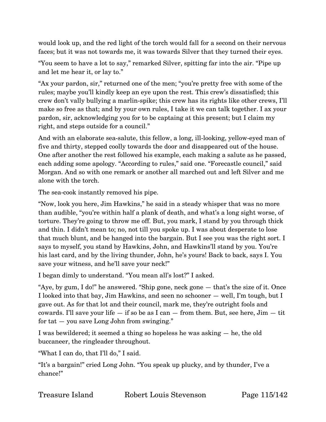would look up, and the red light of the torch would fall for a second on their nervous faces; but it was not towards me, it was towards Silver that they turned their eyes.

"You seem to have a lot to say," remarked Silver, spitting far into the air. "Pipe up and let me hear it, or lay to."

"Ax your pardon, sir," returned one of the men; "you're pretty free with some of the rules; maybe you'll kindly keep an eye upon the rest. This crew's dissatisfied; this crew don't vally bullying a marlin-spike; this crew has its rights like other crews, I'll make so free as that; and by your own rules, I take it we can talk together. I ax your pardon, sir, acknowledging you for to be captaing at this present; but I claim my right, and steps outside for a council."

And with an elaborate sea-salute, this fellow, a long, ill-looking, yellow-eyed man of five and thirty, stepped coolly towards the door and disappeared out of the house. One after another the rest followed his example, each making a salute as he passed, each adding some apology. "According to rules," said one. "Forecastle council," said Morgan. And so with one remark or another all marched out and left Silver and me alone with the torch.

The sea-cook instantly removed his pipe.

"Now, look you here, Jim Hawkins," he said in a steady whisper that was no more than audible, "you're within half a plank of death, and what's a long sight worse, of torture. They're going to throw me off. But, you mark, I stand by you through thick and thin. I didn't mean to; no, not till you spoke up. I was about desperate to lose that much blunt, and be hanged into the bargain. But I see you was the right sort. I says to myself, you stand by Hawkins, John, and Hawkins'll stand by you. You're his last card, and by the living thunder, John, he's yours! Back to back, says I. You save your witness, and he'll save your neck!"

I began dimly to understand. "You mean all's lost?" I asked.

"Aye, by gum, I do!" he answered. "Ship gone, neck gone — that's the size of it. Once I looked into that bay, Jim Hawkins, and seen no schooner — well, I'm tough, but I gave out. As for that lot and their council, mark me, they're outright fools and cowards. I'll save your life  $-$  if so be as I can  $-$  from them. But, see here, Jim  $-$  tit for tat  $-$  you save Long John from swinging."

I was bewildered; it seemed a thing so hopeless he was asking — he, the old buccaneer, the ringleader throughout.

"What I can do, that I'll do," I said.

"It's a bargain!" cried Long John. "You speak up plucky, and by thunder, I've a chance!"

| Treasure Island<br>Robert Louis Steve |
|---------------------------------------|
|---------------------------------------|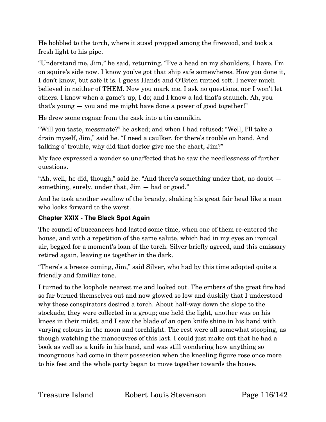He hobbled to the torch, where it stood propped among the firewood, and took a fresh light to his pipe.

"Understand me, Jim," he said, returning. "I've a head on my shoulders, I have. I'm on squire's side now. I know you've got that ship safe somewheres. How you done it, I don't know, but safe it is. I guess Hands and O'Brien turned soft. I never much believed in neither of THEM. Now you mark me. I ask no questions, nor I won't let others. I know when a game's up, I do; and I know a lad that's staunch. Ah, you that's young — you and me might have done a power of good together!"

He drew some cognac from the cask into a tin cannikin.

"Will you taste, messmate?" he asked; and when I had refused: "Well, I'll take a drain myself, Jim," said he. "I need a caulker, for there's trouble on hand. And talking o' trouble, why did that doctor give me the chart, Jim?"

My face expressed a wonder so unaffected that he saw the needlessness of further questions.

"Ah, well, he did, though," said he. "And there's something under that, no doubt something, surely, under that,  $\text{Jim} - \text{bad}$  or good."

And he took another swallow of the brandy, shaking his great fair head like a man who looks forward to the worst.

# **Chapter XXIX - The Black Spot Again**

The council of buccaneers had lasted some time, when one of them re-entered the house, and with a repetition of the same salute, which had in my eyes an ironical air, begged for a moment's loan of the torch. Silver briefly agreed, and this emissary retired again, leaving us together in the dark.

"There's a breeze coming, Jim," said Silver, who had by this time adopted quite a friendly and familiar tone.

I turned to the loophole nearest me and looked out. The embers of the great fire had so far burned themselves out and now glowed so low and duskily that I understood why these conspirators desired a torch. About half-way down the slope to the stockade, they were collected in a group; one held the light, another was on his knees in their midst, and I saw the blade of an open knife shine in his hand with varying colours in the moon and torchlight. The rest were all somewhat stooping, as though watching the manoeuvres of this last. I could just make out that he had a book as well as a knife in his hand, and was still wondering how anything so incongruous had come in their possession when the kneeling figure rose once more to his feet and the whole party began to move together towards the house.

Treasure Island Robert Louis Stevenson Page 116/142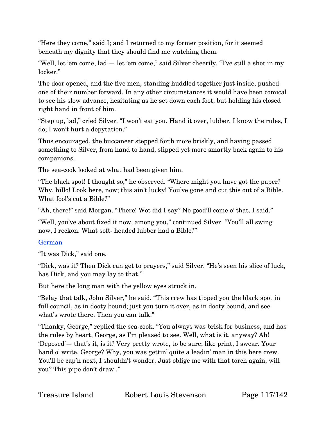"Here they come," said I; and I returned to my former position, for it seemed beneath my dignity that they should find me watching them.

"Well, let 'em come, lad — let 'em come," said Silver cheerily. "I've still a shot in my locker."

The door opened, and the five men, standing huddled together just inside, pushed one of their number forward. In any other circumstances it would have been comical to see his slow advance, hesitating as he set down each foot, but holding his closed right hand in front of him.

"Step up, lad," cried Silver. "I won't eat you. Hand it over, lubber. I know the rules, I do; I won't hurt a depytation."

Thus encouraged, the buccaneer stepped forth more briskly, and having passed something to Silver, from hand to hand, slipped yet more smartly back again to his companions.

The sea-cook looked at what had been given him.

"The black spot! I thought so," he observed. "Where might you have got the paper? Why, hillo! Look here, now; this ain't lucky! You've gone and cut this out of a Bible. What fool's cut a Bible?"

"Ah, there!" said Morgan. "There! Wot did I say? No good'll come o' that, I said."

"Well, you've about fixed it now, among you," continued Silver. "You'll all swing now, I reckon. What soft- headed lubber had a Bible?"

# German

"It was Dick," said one.

"Dick, was it? Then Dick can get to prayers," said Silver. "He's seen his slice of luck, has Dick, and you may lay to that."

But here the long man with the yellow eyes struck in.

"Belay that talk, John Silver," he said. "This crew has tipped you the black spot in full council, as in dooty bound; just you turn it over, as in dooty bound, and see what's wrote there. Then you can talk."

"Thanky, George," replied the sea-cook. "You always was brisk for business, and has the rules by heart, George, as I'm pleased to see. Well, what is it, anyway? Ah! 'Deposed'— that's it, is it? Very pretty wrote, to be sure; like print, I swear. Your hand o' write, George? Why, you was gettin' quite a leadin' man in this here crew. You'll be cap'n next, I shouldn't wonder. Just oblige me with that torch again, will you? This pipe don't draw ."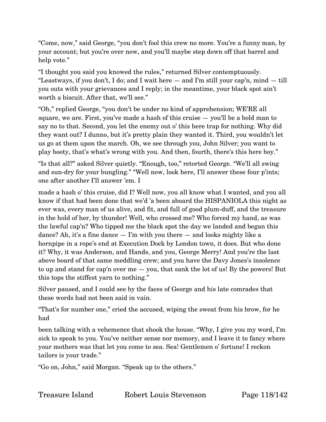"Come, now," said George, "you don't fool this crew no more. You're a funny man, by your account; but you're over now, and you'll maybe step down off that barrel and help vote."

"I thought you said you knowed the rules," returned Silver contemptuously. "Leastways, if you don't, I do; and I wait here — and I'm still your cap'n, mind — till you outs with your grievances and I reply; in the meantime, your black spot ain't worth a biscuit. After that, we'll see."

"Oh," replied George, "you don't be under no kind of apprehension; WE'RE all square, we are. First, you've made a hash of this cruise — you'll be a bold man to say no to that. Second, you let the enemy out o' this here trap for nothing. Why did they want out? I dunno, but it's pretty plain they wanted it. Third, you wouldn't let us go at them upon the march. Oh, we see through you, John Silver; you want to play booty, that's what's wrong with you. And then, fourth, there's this here boy."

"Is that all?" asked Silver quietly. "Enough, too," retorted George. "We'll all swing and sun-dry for your bungling." "Well now, look here, I'll answer these four p'ints; one after another I'll answer 'em. I

made a hash o' this cruise, did I? Well now, you all know what I wanted, and you all know if that had been done that we'd 'a been aboard the HISPANIOLA this night as ever was, every man of us alive, and fit, and full of good plum-duff, and the treasure in the hold of her, by thunder! Well, who crossed me? Who forced my hand, as was the lawful cap'n? Who tipped me the black spot the day we landed and began this dance? Ah, it's a fine dance  $-$  I'm with you there  $-$  and looks mighty like a hornpipe in a rope's end at Execution Dock by London town, it does. But who done it? Why, it was Anderson, and Hands, and you, George Merry! And you're the last above board of that same meddling crew; and you have the Davy Jones's insolence to up and stand for cap'n over me — you, that sank the lot of us! By the powers! But this tops the stiffest yarn to nothing."

Silver paused, and I could see by the faces of George and his late comrades that these words had not been said in vain.

"That's for number one," cried the accused, wiping the sweat from his brow, for he had

been talking with a vehemence that shook the house. "Why, I give you my word, I'm sick to speak to you. You've neither sense nor memory, and I leave it to fancy where your mothers was that let you come to sea. Sea! Gentlemen o' fortune! I reckon tailors is your trade."

"Go on, John," said Morgan. "Speak up to the others."

Treasure Island Robert Louis Stevenson Page 118/142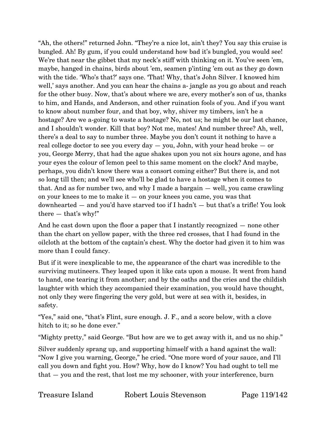"Ah, the others!" returned John. "They're a nice lot, ain't they? You say this cruise is bungled. Ah! By gum, if you could understand how bad it's bungled, you would see! We're that near the gibbet that my neck's stiff with thinking on it. You've seen 'em, maybe, hanged in chains, birds about 'em, seamen p'inting 'em out as they go down with the tide. 'Who's that?' says one. 'That! Why, that's John Silver. I knowed him well,' says another. And you can hear the chains a-jangle as you go about and reach for the other buoy. Now, that's about where we are, every mother's son of us, thanks to him, and Hands, and Anderson, and other ruination fools of you. And if you want to know about number four, and that boy, why, shiver my timbers, isn't he a hostage? Are we a-going to waste a hostage? No, not us; he might be our last chance, and I shouldn't wonder. Kill that boy? Not me, mates! And number three? Ah, well, there's a deal to say to number three. Maybe you don't count it nothing to have a real college doctor to see you every day — you, John, with your head broke — or you, George Merry, that had the ague shakes upon you not six hours agone, and has your eyes the colour of lemon peel to this same moment on the clock? And maybe, perhaps, you didn't know there was a consort coming either? But there is, and not so long till then; and we'll see who'll be glad to have a hostage when it comes to that. And as for number two, and why I made a bargain — well, you came crawling on your knees to me to make  $it -$  on your knees you came, you was that downhearted — and you'd have starved too if I hadn't — but that's a trifle! You look there — that's why!"

And he cast down upon the floor a paper that I instantly recognized — none other than the chart on yellow paper, with the three red crosses, that I had found in the oilcloth at the bottom of the captain's chest. Why the doctor had given it to him was more than I could fancy.

But if it were inexplicable to me, the appearance of the chart was incredible to the surviving mutineers. They leaped upon it like cats upon a mouse. It went from hand to hand, one tearing it from another; and by the oaths and the cries and the childish laughter with which they accompanied their examination, you would have thought, not only they were fingering the very gold, but were at sea with it, besides, in safety.

"Yes," said one, "that's Flint, sure enough. J. F., and a score below, with a clove hitch to it; so he done ever."

"Mighty pretty," said George. "But how are we to get away with it, and us no ship."

Silver suddenly sprang up, and supporting himself with a hand against the wall: "Now I give you warning, George," he cried. "One more word of your sauce, and I'll call you down and fight you. How? Why, how do I know? You had ought to tell me that — you and the rest, that lost me my schooner, with your interference, burn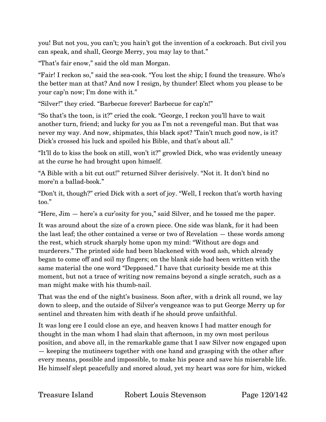you! But not you, you can't; you hain't got the invention of a cockroach. But civil you can speak, and shall, George Merry, you may lay to that."

"That's fair enow," said the old man Morgan.

"Fair! I reckon so," said the sea-cook. "You lost the ship; I found the treasure. Who's the better man at that? And now I resign, by thunder! Elect whom you please to be your cap'n now; I'm done with it."

"Silver!" they cried. "Barbecue forever! Barbecue for cap'n!"

"So that's the toon, is it?" cried the cook. "George, I reckon you'll have to wait another turn, friend; and lucky for you as I'm not a revengeful man. But that was never my way. And now, shipmates, this black spot? 'Tain't much good now, is it? Dick's crossed his luck and spoiled his Bible, and that's about all."

"It'll do to kiss the book on still, won't it?" growled Dick, who was evidently uneasy at the curse he had brought upon himself.

"A Bible with a bit cut out!" returned Silver derisively. "Not it. It don't bind no more'n a ballad-book."

"Don't it, though?" cried Dick with a sort of joy. "Well, I reckon that's worth having too."

"Here, Jim — here's a cur'osity for you," said Silver, and he tossed me the paper.

It was around about the size of a crown piece. One side was blank, for it had been the last leaf; the other contained a verse or two of Revelation — these words among the rest, which struck sharply home upon my mind: "Without are dogs and murderers." The printed side had been blackened with wood ash, which already began to come off and soil my fingers; on the blank side had been written with the same material the one word "Depposed." I have that curiosity beside me at this moment, but not a trace of writing now remains beyond a single scratch, such as a man might make with his thumb-nail.

That was the end of the night's business. Soon after, with a drink all round, we lay down to sleep, and the outside of Silver's vengeance was to put George Merry up for sentinel and threaten him with death if he should prove unfaithful.

It was long ere I could close an eye, and heaven knows I had matter enough for thought in the man whom I had slain that afternoon, in my own most perilous position, and above all, in the remarkable game that I saw Silver now engaged upon — keeping the mutineers together with one hand and grasping with the other after every means, possible and impossible, to make his peace and save his miserable life. He himself slept peacefully and snored aloud, yet my heart was sore for him, wicked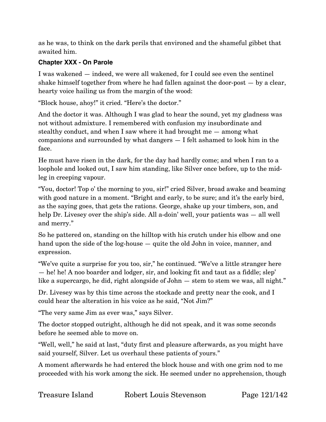as he was, to think on the dark perils that environed and the shameful gibbet that awaited him.

### **Chapter XXX - On Parole**

I was wakened — indeed, we were all wakened, for I could see even the sentinel shake himself together from where he had fallen against the door-post — by a clear, hearty voice hailing us from the margin of the wood:

"Block house, ahoy!" it cried. "Here's the doctor."

And the doctor it was. Although I was glad to hear the sound, yet my gladness was not without admixture. I remembered with confusion my insubordinate and stealthy conduct, and when I saw where it had brought me — among what companions and surrounded by what dangers — I felt ashamed to look him in the face.

He must have risen in the dark, for the day had hardly come; and when I ran to a loophole and looked out, I saw him standing, like Silver once before, up to the midleg in creeping vapour.

"You, doctor! Top o' the morning to you, sir!" cried Silver, broad awake and beaming with good nature in a moment. "Bright and early, to be sure; and it's the early bird, as the saying goes, that gets the rations. George, shake up your timbers, son, and help Dr. Livesey over the ship's side. All a-doin' well, your patients was — all well and merry."

So he pattered on, standing on the hilltop with his crutch under his elbow and one hand upon the side of the log-house — quite the old John in voice, manner, and expression.

"We've quite a surprise for you too, sir," he continued. "We've a little stranger here — he! he! A noo boarder and lodger, sir, and looking fit and taut as a fiddle; slep' like a supercargo, he did, right alongside of John — stem to stem we was, all night."

Dr. Livesey was by this time across the stockade and pretty near the cook, and I could hear the alteration in his voice as he said, "Not Jim?"

"The very same Jim as ever was," says Silver.

The doctor stopped outright, although he did not speak, and it was some seconds before he seemed able to move on.

"Well, well," he said at last, "duty first and pleasure afterwards, as you might have said yourself, Silver. Let us overhaul these patients of yours."

A moment afterwards he had entered the block house and with one grim nod to me proceeded with his work among the sick. He seemed under no apprehension, though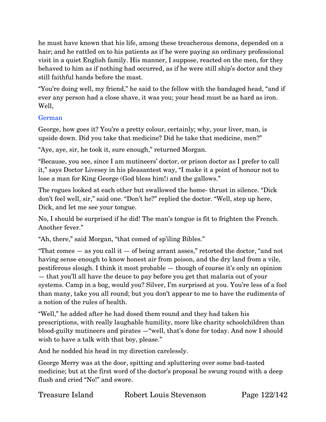he must have known that his life, among these treacherous demons, depended on a hair; and he rattled on to his patients as if he were paying an ordinary professional visit in a quiet English family. His manner, I suppose, reacted on the men, for they behaved to him as if nothing had occurred, as if he were still ship's doctor and they still faithful hands before the mast.

"You're doing well, my friend," he said to the fellow with the bandaged head, "and if ever any person had a close shave, it was you; your head must be as hard as iron. Well,

### German

George, how goes it? You're a pretty colour, certainly; why, your liver, man, is upside down. Did you take that medicine? Did he take that medicine, men?"

"Aye, aye, sir, he took it, sure enough," returned Morgan.

"Because, you see, since I am mutineers' doctor, or prison doctor as I prefer to call it," says Doctor Livesey in his pleasantest way, "I make it a point of honour not to lose a man for King George (God bless him!) and the gallows."

The rogues looked at each other but swallowed the home- thrust in silence. "Dick don't feel well, sir," said one. "Don't he?" replied the doctor. "Well, step up here, Dick, and let me see your tongue.

No, I should be surprised if he did! The man's tongue is fit to frighten the French. Another fever."

"Ah, there," said Morgan, "that comed of sp'iling Bibles."

"That comes  $-$  as you call it  $-$  of being arrant asses," retorted the doctor, "and not having sense enough to know honest air from poison, and the dry land from a vile, pestiferous slough. I think it most probable — though of course it's only an opinion — that you'll all have the deuce to pay before you get that malaria out of your systems. Camp in a bog, would you? Silver, I'm surprised at you. You're less of a fool than many, take you all round; but you don't appear to me to have the rudiments of a notion of the rules of health.

"Well," he added after he had dosed them round and they had taken his prescriptions, with really laughable humility, more like charity schoolchildren than blood-guilty mutineers and pirates —"well, that's done for today. And now I should wish to have a talk with that boy, please."

And he nodded his head in my direction carelessly.

George Merry was at the door, spitting and spluttering over some bad-tasted medicine; but at the first word of the doctor's proposal he swung round with a deep flush and cried "No!" and swore.

Treasure Island Robert Louis Stevenson Page 122/142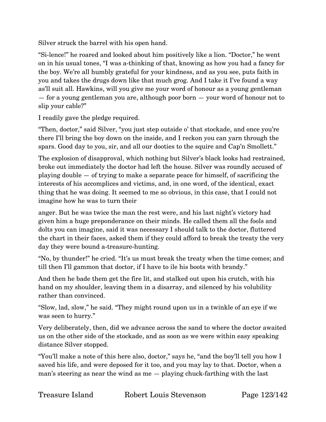Silver struck the barrel with his open hand.

"Si-lence!" he roared and looked about him positively like a lion. "Doctor," he went on in his usual tones, "I was a-thinking of that, knowing as how you had a fancy for the boy. We're all humbly grateful for your kindness, and as you see, puts faith in you and takes the drugs down like that much grog. And I take it I've found a way as'll suit all. Hawkins, will you give me your word of honour as a young gentleman — for a young gentleman you are, although poor born — your word of honour not to slip your cable?"

I readily gave the pledge required.

"Then, doctor," said Silver, "you just step outside o' that stockade, and once you're there I'll bring the boy down on the inside, and I reckon you can yarn through the spars. Good day to you, sir, and all our dooties to the squire and Cap'n Smollett."

The explosion of disapproval, which nothing but Silver's black looks had restrained, broke out immediately the doctor had left the house. Silver was roundly accused of playing double — of trying to make a separate peace for himself, of sacrificing the interests of his accomplices and victims, and, in one word, of the identical, exact thing that he was doing. It seemed to me so obvious, in this case, that I could not imagine how he was to turn their

anger. But he was twice the man the rest were, and his last night's victory had given him a huge preponderance on their minds. He called them all the fools and dolts you can imagine, said it was necessary I should talk to the doctor, fluttered the chart in their faces, asked them if they could afford to break the treaty the very day they were bound a-treasure-hunting.

"No, by thunder!" he cried. "It's us must break the treaty when the time comes; and till then I'll gammon that doctor, if I have to ile his boots with brandy."

And then he bade them get the fire lit, and stalked out upon his crutch, with his hand on my shoulder, leaving them in a disarray, and silenced by his volubility rather than convinced.

"Slow, lad, slow," he said. "They might round upon us in a twinkle of an eye if we was seen to hurry."

Very deliberately, then, did we advance across the sand to where the doctor awaited us on the other side of the stockade, and as soon as we were within easy speaking distance Silver stopped.

"You'll make a note of this here also, doctor," says he, "and the boy'll tell you how I saved his life, and were deposed for it too, and you may lay to that. Doctor, when a man's steering as near the wind as me — playing chuck-farthing with the last

Treasure Island Robert Louis Stevenson Page 123/142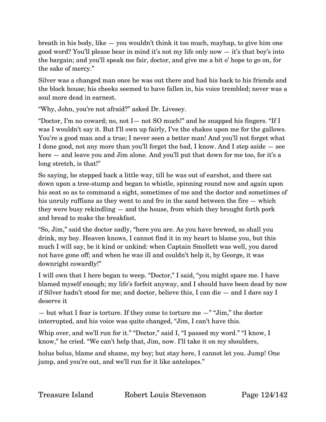breath in his body, like — you wouldn't think it too much, mayhap, to give him one good word? You'll please bear in mind it's not my life only now — it's that boy's into the bargain; and you'll speak me fair, doctor, and give me a bit o' hope to go on, for the sake of mercy."

Silver was a changed man once he was out there and had his back to his friends and the block house; his cheeks seemed to have fallen in, his voice trembled; never was a soul more dead in earnest.

"Why, John, you're not afraid?" asked Dr. Livesey.

"Doctor, I'm no coward; no, not I— not SO much!" and he snapped his fingers. "If I was I wouldn't say it. But I'll own up fairly, I've the shakes upon me for the gallows. You're a good man and a true; I never seen a better man! And you'll not forget what I done good, not any more than you'll forget the bad, I know. And I step aside — see here — and leave you and Jim alone. And you'll put that down for me too, for it's a long stretch, is that!"

So saying, he stepped back a little way, till he was out of earshot, and there sat down upon a tree-stump and began to whistle, spinning round now and again upon his seat so as to command a sight, sometimes of me and the doctor and sometimes of his unruly ruffians as they went to and fro in the sand between the fire — which they were busy rekindling — and the house, from which they brought forth pork and bread to make the breakfast.

"So, Jim," said the doctor sadly, "here you are. As you have brewed, so shall you drink, my boy. Heaven knows, I cannot find it in my heart to blame you, but this much I will say, be it kind or unkind: when Captain Smollett was well, you dared not have gone off; and when he was ill and couldn't help it, by George, it was downright cowardly!"

I will own that I here began to weep. "Doctor," I said, "you might spare me. I have blamed myself enough; my life's forfeit anyway, and I should have been dead by now if Silver hadn't stood for me; and doctor, believe this, I can die — and I dare say I deserve it

— but what I fear is torture. If they come to torture me  $-$ " "Jim," the doctor interrupted, and his voice was quite changed, "Jim, I can't have this.

Whip over, and we'll run for it." "Doctor," said I, "I passed my word." "I know, I know," he cried. "We can't help that, Jim, now. I'll take it on my shoulders,

holus bolus, blame and shame, my boy; but stay here, I cannot let you. Jump! One jump, and you're out, and we'll run for it like antelopes."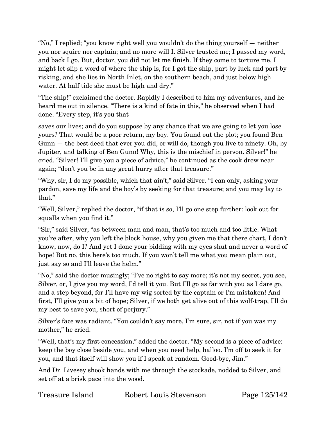"No," I replied; "you know right well you wouldn't do the thing yourself — neither you nor squire nor captain; and no more will I. Silver trusted me; I passed my word, and back I go. But, doctor, you did not let me finish. If they come to torture me, I might let slip a word of where the ship is, for I got the ship, part by luck and part by risking, and she lies in North Inlet, on the southern beach, and just below high water. At half tide she must be high and dry."

"The ship!" exclaimed the doctor. Rapidly I described to him my adventures, and he heard me out in silence. "There is a kind of fate in this," he observed when I had done. "Every step, it's you that

saves our lives; and do you suppose by any chance that we are going to let you lose yours? That would be a poor return, my boy. You found out the plot; you found Ben Gunn — the best deed that ever you did, or will do, though you live to ninety. Oh, by Jupiter, and talking of Ben Gunn! Why, this is the mischief in person. Silver!" he cried. "Silver! I'll give you a piece of advice," he continued as the cook drew near again; "don't you be in any great hurry after that treasure."

"Why, sir, I do my possible, which that ain't," said Silver. "I can only, asking your pardon, save my life and the boy's by seeking for that treasure; and you may lay to that."

"Well, Silver," replied the doctor, "if that is so, I'll go one step further: look out for squalls when you find it."

"Sir," said Silver, "as between man and man, that's too much and too little. What you're after, why you left the block house, why you given me that there chart, I don't know, now, do I? And yet I done your bidding with my eyes shut and never a word of hope! But no, this here's too much. If you won't tell me what you mean plain out, just say so and I'll leave the helm."

"No," said the doctor musingly; "I've no right to say more; it's not my secret, you see, Silver, or, I give you my word, I'd tell it you. But I'll go as far with you as I dare go, and a step beyond, for I'll have my wig sorted by the captain or I'm mistaken! And first, I'll give you a bit of hope; Silver, if we both get alive out of this wolf-trap, I'll do my best to save you, short of perjury."

Silver's face was radiant. "You couldn't say more, I'm sure, sir, not if you was my mother," he cried.

"Well, that's my first concession," added the doctor. "My second is a piece of advice: keep the boy close beside you, and when you need help, halloo. I'm off to seek it for you, and that itself will show you if I speak at random. Good-bye, Jim."

And Dr. Livesey shook hands with me through the stockade, nodded to Silver, and set off at a brisk pace into the wood.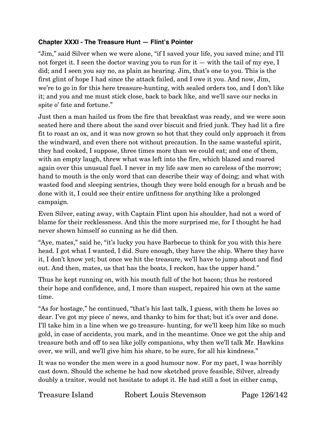#### **Chapter XXXI - The Treasure Hunt — Flint's Pointer**

"Jim," said Silver when we were alone, "if I saved your life, you saved mine; and I'll not forget it. I seen the doctor waving you to run for  $it -$  with the tail of my eye, I did; and I seen you say no, as plain as hearing. Jim, that's one to you. This is the first glint of hope I had since the attack failed, and I owe it you. And now, Jim, we're to go in for this here treasure-hunting, with sealed orders too, and I don't like it; and you and me must stick close, back to back like, and we'll save our necks in spite o' fate and fortune."

Just then a man hailed us from the fire that breakfast was ready, and we were soon seated here and there about the sand over biscuit and fried junk. They had lit a fire fit to roast an ox, and it was now grown so hot that they could only approach it from the windward, and even there not without precaution. In the same wasteful spirit, they had cooked, I suppose, three times more than we could eat; and one of them, with an empty laugh, threw what was left into the fire, which blazed and roared again over this unusual fuel. I never in my life saw men so careless of the morrow; hand to mouth is the only word that can describe their way of doing; and what with wasted food and sleeping sentries, though they were bold enough for a brush and be done with it, I could see their entire unfitness for anything like a prolonged campaign.

Even Silver, eating away, with Captain Flint upon his shoulder, had not a word of blame for their recklessness. And this the more surprised me, for I thought he had never shown himself so cunning as he did then.

"Aye, mates," said he, "it's lucky you have Barbecue to think for you with this here head. I got what I wanted, I did. Sure enough, they have the ship. Where they have it, I don't know yet; but once we hit the treasure, we'll have to jump about and find out. And then, mates, us that has the boats, I reckon, has the upper hand."

Thus he kept running on, with his mouth full of the hot bacon; thus he restored their hope and confidence, and, I more than suspect, repaired his own at the same time.

"As for hostage," he continued, "that's his last talk, I guess, with them he loves so dear. I've got my piece o' news, and thanky to him for that; but it's over and done. I'll take him in a line when we go treasure- hunting, for we'll keep him like so much gold, in case of accidents, you mark, and in the meantime. Once we got the ship and treasure both and off to sea like jolly companions, why then we'll talk Mr. Hawkins over, we will, and we'll give him his share, to be sure, for all his kindness."

It was no wonder the men were in a good humour now. For my part, I was horribly cast down. Should the scheme he had now sketched prove feasible, Silver, already doubly a traitor, would not hesitate to adopt it. He had still a foot in either camp,

Treasure Island Robert Louis Stevenson Page 126/142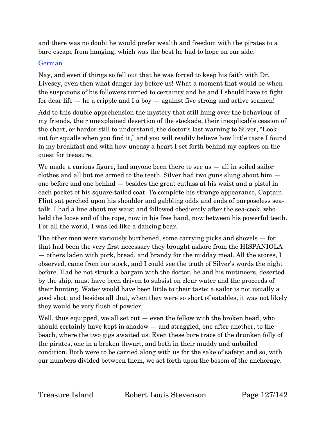and there was no doubt he would prefer wealth and freedom with the pirates to a bare escape from hanging, which was the best he had to hope on our side.

#### German

Nay, and even if things so fell out that he was forced to keep his faith with Dr. Livesey, even then what danger lay before us! What a moment that would be when the suspicions of his followers turned to certainty and he and I should have to fight for dear life  $-$  he a cripple and I a boy  $-$  against five strong and active seamen!

Add to this double apprehension the mystery that still hung over the behaviour of my friends, their unexplained desertion of the stockade, their inexplicable cession of the chart, or harder still to understand, the doctor's last warning to Silver, "Look out for squalls when you find it," and you will readily believe how little taste I found in my breakfast and with how uneasy a heart I set forth behind my captors on the quest for treasure.

We made a curious figure, had anyone been there to see us – all in soiled sailor clothes and all but me armed to the teeth. Silver had two guns slung about him one before and one behind — besides the great cutlass at his waist and a pistol in each pocket of his square-tailed coat. To complete his strange appearance, Captain Flint sat perched upon his shoulder and gabbling odds and ends of purposeless seatalk. I had a line about my waist and followed obediently after the sea-cook, who held the loose end of the rope, now in his free hand, now between his powerful teeth. For all the world, I was led like a dancing bear.

The other men were variously burthened, some carrying picks and shovels — for that had been the very first necessary they brought ashore from the HISPANIOLA — others laden with pork, bread, and brandy for the midday meal. All the stores, I observed, came from our stock, and I could see the truth of Silver's words the night before. Had he not struck a bargain with the doctor, he and his mutineers, deserted by the ship, must have been driven to subsist on clear water and the proceeds of their hunting. Water would have been little to their taste; a sailor is not usually a good shot; and besides all that, when they were so short of eatables, it was not likely they would be very flush of powder.

Well, thus equipped, we all set out — even the fellow with the broken head, who should certainly have kept in shadow — and straggled, one after another, to the beach, where the two gigs awaited us. Even these bore trace of the drunken folly of the pirates, one in a broken thwart, and both in their muddy and unbailed condition. Both were to be carried along with us for the sake of safety; and so, with our numbers divided between them, we set forth upon the bosom of the anchorage.

Treasure Island Robert Louis Stevenson Page 127/142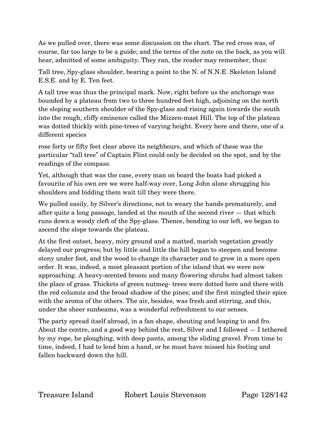As we pulled over, there was some discussion on the chart. The red cross was, of course, far too large to be a guide; and the terms of the note on the back, as you will hear, admitted of some ambiguity. They ran, the reader may remember, thus:

Tall tree, Spy-glass shoulder, bearing a point to the N. of N.N.E. Skeleton Island E.S.E. and by E. Ten feet.

A tall tree was thus the principal mark. Now, right before us the anchorage was bounded by a plateau from two to three hundred feet high, adjoining on the north the sloping southern shoulder of the Spy-glass and rising again towards the south into the rough, cliffy eminence called the Mizzen-mast Hill. The top of the plateau was dotted thickly with pine-trees of varying height. Every here and there, one of a different species

rose forty or fifty feet clear above its neighbours, and which of these was the particular "tall tree" of Captain Flint could only be decided on the spot, and by the readings of the compass.

Yet, although that was the case, every man on board the boats had picked a favourite of his own ere we were half-way over, Long John alone shrugging his shoulders and bidding them wait till they were there.

We pulled easily, by Silver's directions, not to weary the hands prematurely, and after quite a long passage, landed at the mouth of the second river — that which runs down a woody cleft of the Spy-glass. Thence, bending to our left, we began to ascend the slope towards the plateau.

At the first outset, heavy, miry ground and a matted, marish vegetation greatly delayed our progress; but by little and little the hill began to steepen and become stony under foot, and the wood to change its character and to grow in a more open order. It was, indeed, a most pleasant portion of the island that we were now approaching. A heavy-scented broom and many flowering shrubs had almost taken the place of grass. Thickets of green nutmeg- trees were dotted here and there with the red columns and the broad shadow of the pines; and the first mingled their spice with the aroma of the others. The air, besides, was fresh and stirring, and this, under the sheer sunbeams, was a wonderful refreshment to our senses.

The party spread itself abroad, in a fan shape, shouting and leaping to and fro. About the centre, and a good way behind the rest, Silver and I followed — I tethered by my rope, he ploughing, with deep pants, among the sliding gravel. From time to time, indeed, I had to lend him a hand, or he must have missed his footing and fallen backward down the hill.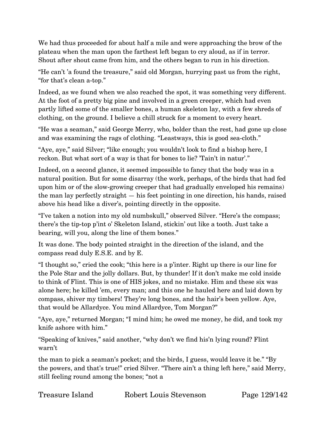We had thus proceeded for about half a mile and were approaching the brow of the plateau when the man upon the farthest left began to cry aloud, as if in terror. Shout after shout came from him, and the others began to run in his direction.

"He can't 'a found the treasure," said old Morgan, hurrying past us from the right, "for that's clean a-top."

Indeed, as we found when we also reached the spot, it was something very different. At the foot of a pretty big pine and involved in a green creeper, which had even partly lifted some of the smaller bones, a human skeleton lay, with a few shreds of clothing, on the ground. I believe a chill struck for a moment to every heart.

"He was a seaman," said George Merry, who, bolder than the rest, had gone up close and was examining the rags of clothing. "Leastways, this is good sea-cloth."

"Aye, aye," said Silver; "like enough; you wouldn't look to find a bishop here, I reckon. But what sort of a way is that for bones to lie? 'Tain't in natur'."

Indeed, on a second glance, it seemed impossible to fancy that the body was in a natural position. But for some disarray (the work, perhaps, of the birds that had fed upon him or of the slow-growing creeper that had gradually enveloped his remains) the man lay perfectly straight — his feet pointing in one direction, his hands, raised above his head like a diver's, pointing directly in the opposite.

"I've taken a notion into my old numbskull," observed Silver. "Here's the compass; there's the tip-top p'int o' Skeleton Island, stickin' out like a tooth. Just take a bearing, will you, along the line of them bones."

It was done. The body pointed straight in the direction of the island, and the compass read duly E.S.E. and by E.

"I thought so," cried the cook; "this here is a p'inter. Right up there is our line for the Pole Star and the jolly dollars. But, by thunder! If it don't make me cold inside to think of Flint. This is one of HIS jokes, and no mistake. Him and these six was alone here; he killed 'em, every man; and this one he hauled here and laid down by compass, shiver my timbers! They're long bones, and the hair's been yellow. Aye, that would be Allardyce. You mind Allardyce, Tom Morgan?"

"Aye, aye," returned Morgan; "I mind him; he owed me money, he did, and took my knife ashore with him."

"Speaking of knives," said another, "why don't we find his'n lying round? Flint warn't

the man to pick a seaman's pocket; and the birds, I guess, would leave it be." "By the powers, and that's true!" cried Silver. "There ain't a thing left here," said Merry, still feeling round among the bones; "not a

| Treasure Island | Robert Lo |
|-----------------|-----------|
|                 |           |

ouis Stevenson Page 129/142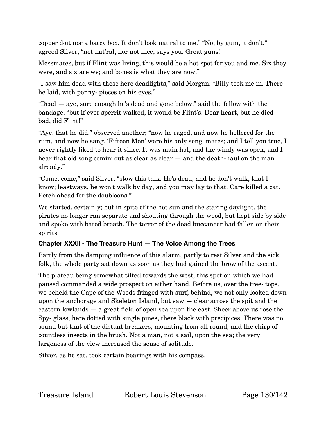copper doit nor a baccy box. It don't look nat'ral to me." "No, by gum, it don't," agreed Silver; "not nat'ral, nor not nice, says you. Great guns!

Messmates, but if Flint was living, this would be a hot spot for you and me. Six they were, and six are we; and bones is what they are now."

"I saw him dead with these here deadlights," said Morgan. "Billy took me in. There he laid, with penny- pieces on his eyes."

"Dead — aye, sure enough he's dead and gone below," said the fellow with the bandage; "but if ever sperrit walked, it would be Flint's. Dear heart, but he died bad, did Flint!"

"Aye, that he did," observed another; "now he raged, and now he hollered for the rum, and now he sang. 'Fifteen Men' were his only song, mates; and I tell you true, I never rightly liked to hear it since. It was main hot, and the windy was open, and I hear that old song comin' out as clear as clear  $-$  and the death-haul on the man already."

"Come, come," said Silver; "stow this talk. He's dead, and he don't walk, that I know; leastways, he won't walk by day, and you may lay to that. Care killed a cat. Fetch ahead for the doubloons."

We started, certainly; but in spite of the hot sun and the staring daylight, the pirates no longer ran separate and shouting through the wood, but kept side by side and spoke with bated breath. The terror of the dead buccaneer had fallen on their spirits.

### **Chapter XXXII - The Treasure Hunt — The Voice Among the Trees**

Partly from the damping influence of this alarm, partly to rest Silver and the sick folk, the whole party sat down as soon as they had gained the brow of the ascent.

The plateau being somewhat tilted towards the west, this spot on which we had paused commanded a wide prospect on either hand. Before us, over the tree- tops, we beheld the Cape of the Woods fringed with surf; behind, we not only looked down upon the anchorage and Skeleton Island, but saw — clear across the spit and the eastern lowlands — a great field of open sea upon the east. Sheer above us rose the Spy- glass, here dotted with single pines, there black with precipices. There was no sound but that of the distant breakers, mounting from all round, and the chirp of countless insects in the brush. Not a man, not a sail, upon the sea; the very largeness of the view increased the sense of solitude.

Silver, as he sat, took certain bearings with his compass.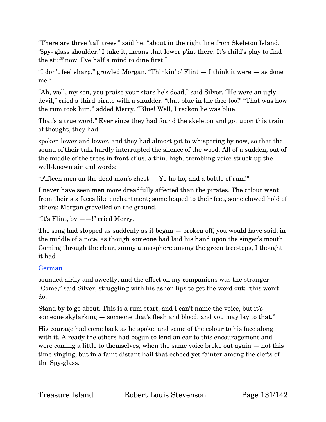"There are three 'tall trees'" said he, "about in the right line from Skeleton Island. 'Spy- glass shoulder,' I take it, means that lower p'int there. It's child's play to find the stuff now. I've half a mind to dine first."

"I don't feel sharp," growled Morgan. "Thinkin' o' Flint — I think it were — as done me."

"Ah, well, my son, you praise your stars he's dead," said Silver. "He were an ugly devil," cried a third pirate with a shudder; "that blue in the face too!" "That was how the rum took him," added Merry. "Blue! Well, I reckon he was blue.

That's a true word." Ever since they had found the skeleton and got upon this train of thought, they had

spoken lower and lower, and they had almost got to whispering by now, so that the sound of their talk hardly interrupted the silence of the wood. All of a sudden, out of the middle of the trees in front of us, a thin, high, trembling voice struck up the well-known air and words:

"Fifteen men on the dead man's chest — Yo-ho-ho, and a bottle of rum!"

I never have seen men more dreadfully affected than the pirates. The colour went from their six faces like enchantment; some leaped to their feet, some clawed hold of others; Morgan grovelled on the ground.

"It's Flint, by  $--$ !" cried Merry.

The song had stopped as suddenly as it began — broken off, you would have said, in the middle of a note, as though someone had laid his hand upon the singer's mouth. Coming through the clear, sunny atmosphere among the green tree-tops, I thought it had

# German

sounded airily and sweetly; and the effect on my companions was the stranger. "Come," said Silver, struggling with his ashen lips to get the word out; "this won't do.

Stand by to go about. This is a rum start, and I can't name the voice, but it's someone skylarking — someone that's flesh and blood, and you may lay to that."

His courage had come back as he spoke, and some of the colour to his face along with it. Already the others had begun to lend an ear to this encouragement and were coming a little to themselves, when the same voice broke out again — not this time singing, but in a faint distant hail that echoed yet fainter among the clefts of the Spy-glass.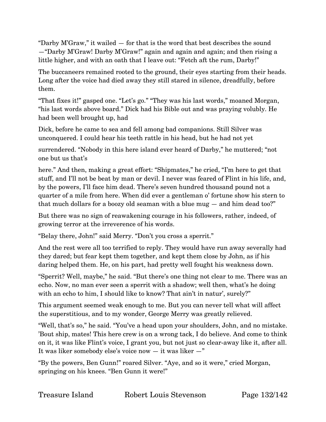"Darby M'Graw," it wailed — for that is the word that best describes the sound —"Darby M'Graw! Darby M'Graw!" again and again and again; and then rising a little higher, and with an oath that I leave out: "Fetch aft the rum, Darby!"

The buccaneers remained rooted to the ground, their eyes starting from their heads. Long after the voice had died away they still stared in silence, dreadfully, before them.

"That fixes it!" gasped one. "Let's go." "They was his last words," moaned Morgan, "his last words above board." Dick had his Bible out and was praying volubly. He had been well brought up, had

Dick, before he came to sea and fell among bad companions. Still Silver was unconquered. I could hear his teeth rattle in his head, but he had not yet

surrendered. "Nobody in this here island ever heard of Darby," he muttered; "not one but us that's

here." And then, making a great effort: "Shipmates," he cried, "I'm here to get that stuff, and I'll not be beat by man or devil. I never was feared of Flint in his life, and, by the powers, I'll face him dead. There's seven hundred thousand pound not a quarter of a mile from here. When did ever a gentleman o' fortune show his stern to that much dollars for a boozy old seaman with a blue mug — and him dead too?"

But there was no sign of reawakening courage in his followers, rather, indeed, of growing terror at the irreverence of his words.

"Belay there, John!" said Merry. "Don't you cross a sperrit."

And the rest were all too terrified to reply. They would have run away severally had they dared; but fear kept them together, and kept them close by John, as if his daring helped them. He, on his part, had pretty well fought his weakness down.

"Sperrit? Well, maybe," he said. "But there's one thing not clear to me. There was an echo. Now, no man ever seen a sperrit with a shadow; well then, what's he doing with an echo to him, I should like to know? That ain't in natur', surely?"

This argument seemed weak enough to me. But you can never tell what will affect the superstitious, and to my wonder, George Merry was greatly relieved.

"Well, that's so," he said. "You've a head upon your shoulders, John, and no mistake. 'Bout ship, mates! This here crew is on a wrong tack, I do believe. And come to think on it, it was like Flint's voice, I grant you, but not just so clear-away like it, after all. It was liker somebody else's voice now — it was liker —"

"By the powers, Ben Gunn!" roared Silver. "Aye, and so it were," cried Morgan, springing on his knees. "Ben Gunn it were!"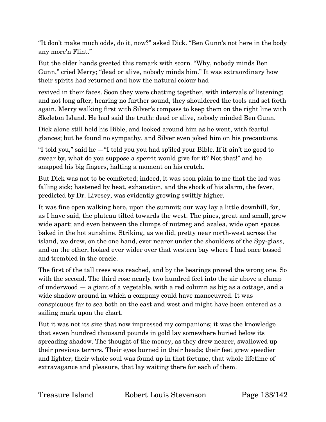"It don't make much odds, do it, now?" asked Dick. "Ben Gunn's not here in the body any more'n Flint."

But the older hands greeted this remark with scorn. "Why, nobody minds Ben Gunn," cried Merry; "dead or alive, nobody minds him." It was extraordinary how their spirits had returned and how the natural colour had

revived in their faces. Soon they were chatting together, with intervals of listening; and not long after, hearing no further sound, they shouldered the tools and set forth again, Merry walking first with Silver's compass to keep them on the right line with Skeleton Island. He had said the truth: dead or alive, nobody minded Ben Gunn.

Dick alone still held his Bible, and looked around him as he went, with fearful glances; but he found no sympathy, and Silver even joked him on his precautions.

"I told you," said he —"I told you you had sp'iled your Bible. If it ain't no good to swear by, what do you suppose a sperrit would give for it? Not that!" and he snapped his big fingers, halting a moment on his crutch.

But Dick was not to be comforted; indeed, it was soon plain to me that the lad was falling sick; hastened by heat, exhaustion, and the shock of his alarm, the fever, predicted by Dr. Livesey, was evidently growing swiftly higher.

It was fine open walking here, upon the summit; our way lay a little downhill, for, as I have said, the plateau tilted towards the west. The pines, great and small, grew wide apart; and even between the clumps of nutmeg and azalea, wide open spaces baked in the hot sunshine. Striking, as we did, pretty near north-west across the island, we drew, on the one hand, ever nearer under the shoulders of the Spy-glass, and on the other, looked ever wider over that western bay where I had once tossed and trembled in the oracle.

The first of the tall trees was reached, and by the bearings proved the wrong one. So with the second. The third rose nearly two hundred feet into the air above a clump of underwood — a giant of a vegetable, with a red column as big as a cottage, and a wide shadow around in which a company could have manoeuvred. It was conspicuous far to sea both on the east and west and might have been entered as a sailing mark upon the chart.

But it was not its size that now impressed my companions; it was the knowledge that seven hundred thousand pounds in gold lay somewhere buried below its spreading shadow. The thought of the money, as they drew nearer, swallowed up their previous terrors. Their eyes burned in their heads; their feet grew speedier and lighter; their whole soul was found up in that fortune, that whole lifetime of extravagance and pleasure, that lay waiting there for each of them.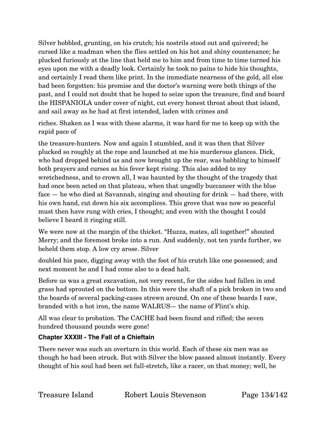Silver hobbled, grunting, on his crutch; his nostrils stood out and quivered; he cursed like a madman when the flies settled on his hot and shiny countenance; he plucked furiously at the line that held me to him and from time to time turned his eyes upon me with a deadly look. Certainly he took no pains to hide his thoughts, and certainly I read them like print. In the immediate nearness of the gold, all else had been forgotten: his promise and the doctor's warning were both things of the past, and I could not doubt that he hoped to seize upon the treasure, find and board the HISPANIOLA under cover of night, cut every honest throat about that island, and sail away as he had at first intended, laden with crimes and

riches. Shaken as I was with these alarms, it was hard for me to keep up with the rapid pace of

the treasure-hunters. Now and again I stumbled, and it was then that Silver plucked so roughly at the rope and launched at me his murderous glances. Dick, who had dropped behind us and now brought up the rear, was babbling to himself both prayers and curses as his fever kept rising. This also added to my wretchedness, and to crown all, I was haunted by the thought of the tragedy that had once been acted on that plateau, when that ungodly buccaneer with the blue face — he who died at Savannah, singing and shouting for drink — had there, with his own hand, cut down his six accomplices. This grove that was now so peaceful must then have rung with cries, I thought; and even with the thought I could believe I heard it ringing still.

We were now at the margin of the thicket. "Huzza, mates, all together!" shouted Merry; and the foremost broke into a run. And suddenly, not ten yards further, we beheld them stop. A low cry arose. Silver

doubled his pace, digging away with the foot of his crutch like one possessed; and next moment he and I had come also to a dead halt.

Before us was a great excavation, not very recent, for the sides had fallen in and grass had sprouted on the bottom. In this were the shaft of a pick broken in two and the boards of several packing-cases strewn around. On one of these boards I saw, branded with a hot iron, the name WALRUS— the name of Flint's ship.

All was clear to probation. The CACHE had been found and rifled; the seven hundred thousand pounds were gone!

# **Chapter XXXIII - The Fall of a Chieftain**

There never was such an overturn in this world. Each of these six men was as though he had been struck. But with Silver the blow passed almost instantly. Every thought of his soul had been set full-stretch, like a racer, on that money; well, he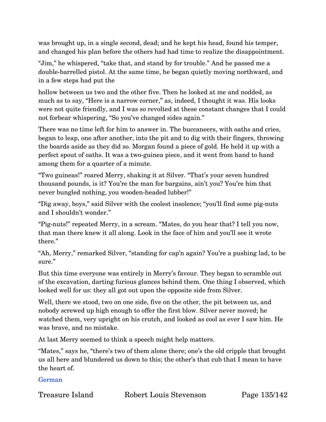was brought up, in a single second, dead; and he kept his head, found his temper, and changed his plan before the others had had time to realize the disappointment.

"Jim," he whispered, "take that, and stand by for trouble." And he passed me a double-barrelled pistol. At the same time, he began quietly moving northward, and in a few steps had put the

hollow between us two and the other five. Then he looked at me and nodded, as much as to say, "Here is a narrow corner," as, indeed, I thought it was. His looks were not quite friendly, and I was so revolted at these constant changes that I could not forbear whispering, "So you've changed sides again."

There was no time left for him to answer in. The buccaneers, with oaths and cries, began to leap, one after another, into the pit and to dig with their fingers, throwing the boards aside as they did so. Morgan found a piece of gold. He held it up with a perfect spout of oaths. It was a two-guinea piece, and it went from hand to hand among them for a quarter of a minute.

"Two guineas!" roared Merry, shaking it at Silver. "That's your seven hundred thousand pounds, is it? You're the man for bargains, ain't you? You're him that never bungled nothing, you wooden-headed lubber!"

"Dig away, boys," said Silver with the coolest insolence; "you'll find some pig-nuts and I shouldn't wonder."

"Pig-nuts!" repeated Merry, in a scream. "Mates, do you hear that? I tell you now, that man there knew it all along. Look in the face of him and you'll see it wrote there."

"Ah, Merry," remarked Silver, "standing for cap'n again? You're a pushing lad, to be sure."

But this time everyone was entirely in Merry's favour. They began to scramble out of the excavation, darting furious glances behind them. One thing I observed, which looked well for us: they all got out upon the opposite side from Silver.

Well, there we stood, two on one side, five on the other, the pit between us, and nobody screwed up high enough to offer the first blow. Silver never moved; he watched them, very upright on his crutch, and looked as cool as ever I saw him. He was brave, and no mistake.

At last Merry seemed to think a speech might help matters.

"Mates," says he, "there's two of them alone there; one's the old cripple that brought us all here and blundered us down to this; the other's that cub that I mean to have the heart of.

German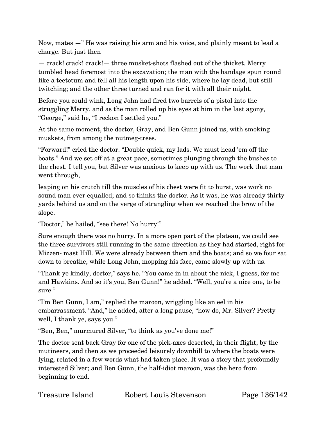Now, mates —" He was raising his arm and his voice, and plainly meant to lead a charge. But just then

— crack! crack! crack!— three musket-shots flashed out of the thicket. Merry tumbled head foremost into the excavation; the man with the bandage spun round like a teetotum and fell all his length upon his side, where he lay dead, but still twitching; and the other three turned and ran for it with all their might.

Before you could wink, Long John had fired two barrels of a pistol into the struggling Merry, and as the man rolled up his eyes at him in the last agony, "George," said he, "I reckon I settled you."

At the same moment, the doctor, Gray, and Ben Gunn joined us, with smoking muskets, from among the nutmeg-trees.

"Forward!" cried the doctor. "Double quick, my lads. We must head 'em off the boats." And we set off at a great pace, sometimes plunging through the bushes to the chest. I tell you, but Silver was anxious to keep up with us. The work that man went through,

leaping on his crutch till the muscles of his chest were fit to burst, was work no sound man ever equalled; and so thinks the doctor. As it was, he was already thirty yards behind us and on the verge of strangling when we reached the brow of the slope.

"Doctor," he hailed, "see there! No hurry!"

Sure enough there was no hurry. In a more open part of the plateau, we could see the three survivors still running in the same direction as they had started, right for Mizzen- mast Hill. We were already between them and the boats; and so we four sat down to breathe, while Long John, mopping his face, came slowly up with us.

"Thank ye kindly, doctor," says he. "You came in in about the nick, I guess, for me and Hawkins. And so it's you, Ben Gunn!" he added. "Well, you're a nice one, to be sure."

"I'm Ben Gunn, I am," replied the maroon, wriggling like an eel in his embarrassment. "And," he added, after a long pause, "how do, Mr. Silver? Pretty well, I thank ye, says you."

"Ben, Ben," murmured Silver, "to think as you've done me!"

The doctor sent back Gray for one of the pick-axes deserted, in their flight, by the mutineers, and then as we proceeded leisurely downhill to where the boats were lying, related in a few words what had taken place. It was a story that profoundly interested Silver; and Ben Gunn, the half-idiot maroon, was the hero from beginning to end.

Treasure Island Robert Louis Stevenson Page 136/142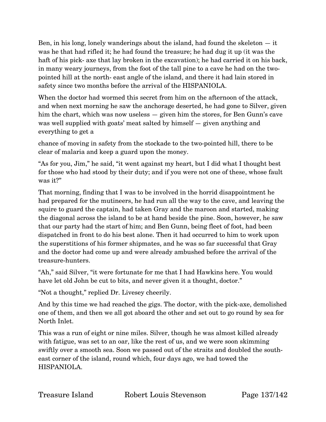Ben, in his long, lonely wanderings about the island, had found the skeleton — it was he that had rifled it; he had found the treasure; he had dug it up (it was the haft of his pick- axe that lay broken in the excavation); he had carried it on his back, in many weary journeys, from the foot of the tall pine to a cave he had on the twopointed hill at the north- east angle of the island, and there it had lain stored in safety since two months before the arrival of the HISPANIOLA.

When the doctor had wormed this secret from him on the afternoon of the attack, and when next morning he saw the anchorage deserted, he had gone to Silver, given him the chart, which was now useless — given him the stores, for Ben Gunn's cave was well supplied with goats' meat salted by himself — given anything and everything to get a

chance of moving in safety from the stockade to the two-pointed hill, there to be clear of malaria and keep a guard upon the money.

"As for you, Jim," he said, "it went against my heart, but I did what I thought best for those who had stood by their duty; and if you were not one of these, whose fault was it?"

That morning, finding that I was to be involved in the horrid disappointment he had prepared for the mutineers, he had run all the way to the cave, and leaving the squire to guard the captain, had taken Gray and the maroon and started, making the diagonal across the island to be at hand beside the pine. Soon, however, he saw that our party had the start of him; and Ben Gunn, being fleet of foot, had been dispatched in front to do his best alone. Then it had occurred to him to work upon the superstitions of his former shipmates, and he was so far successful that Gray and the doctor had come up and were already ambushed before the arrival of the treasure-hunters.

"Ah," said Silver, "it were fortunate for me that I had Hawkins here. You would have let old John be cut to bits, and never given it a thought, doctor."

"Not a thought," replied Dr. Livesey cheerily.

And by this time we had reached the gigs. The doctor, with the pick-axe, demolished one of them, and then we all got aboard the other and set out to go round by sea for North Inlet.

This was a run of eight or nine miles. Silver, though he was almost killed already with fatigue, was set to an oar, like the rest of us, and we were soon skimming swiftly over a smooth sea. Soon we passed out of the straits and doubled the southeast corner of the island, round which, four days ago, we had towed the HISPANIOLA.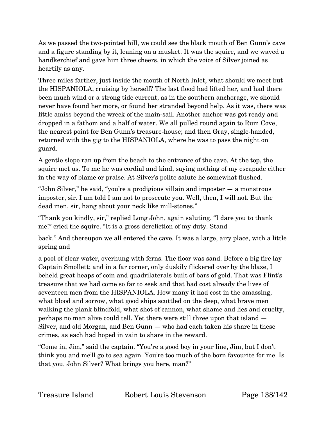As we passed the two-pointed hill, we could see the black mouth of Ben Gunn's cave and a figure standing by it, leaning on a musket. It was the squire, and we waved a handkerchief and gave him three cheers, in which the voice of Silver joined as heartily as any.

Three miles farther, just inside the mouth of North Inlet, what should we meet but the HISPANIOLA, cruising by herself? The last flood had lifted her, and had there been much wind or a strong tide current, as in the southern anchorage, we should never have found her more, or found her stranded beyond help. As it was, there was little amiss beyond the wreck of the main-sail. Another anchor was got ready and dropped in a fathom and a half of water. We all pulled round again to Rum Cove, the nearest point for Ben Gunn's treasure-house; and then Gray, single-handed, returned with the gig to the HISPANIOLA, where he was to pass the night on guard.

A gentle slope ran up from the beach to the entrance of the cave. At the top, the squire met us. To me he was cordial and kind, saying nothing of my escapade either in the way of blame or praise. At Silver's polite salute he somewhat flushed.

"John Silver," he said, "you're a prodigious villain and imposter — a monstrous imposter, sir. I am told I am not to prosecute you. Well, then, I will not. But the dead men, sir, hang about your neck like mill-stones."

"Thank you kindly, sir," replied Long John, again saluting. "I dare you to thank me!" cried the squire. "It is a gross dereliction of my duty. Stand

back." And thereupon we all entered the cave. It was a large, airy place, with a little spring and

a pool of clear water, overhung with ferns. The floor was sand. Before a big fire lay Captain Smollett; and in a far corner, only duskily flickered over by the blaze, I beheld great heaps of coin and quadrilaterals built of bars of gold. That was Flint's treasure that we had come so far to seek and that had cost already the lives of seventeen men from the HISPANIOLA. How many it had cost in the amassing, what blood and sorrow, what good ships scuttled on the deep, what brave men walking the plank blindfold, what shot of cannon, what shame and lies and cruelty, perhaps no man alive could tell. Yet there were still three upon that island — Silver, and old Morgan, and Ben Gunn — who had each taken his share in these crimes, as each had hoped in vain to share in the reward.

"Come in, Jim," said the captain. "You're a good boy in your line, Jim, but I don't think you and me'll go to sea again. You're too much of the born favourite for me. Is that you, John Silver? What brings you here, man?"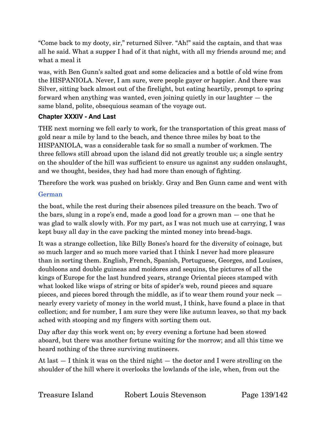"Come back to my dooty, sir," returned Silver. "Ah!" said the captain, and that was all he said. What a supper I had of it that night, with all my friends around me; and what a meal it

was, with Ben Gunn's salted goat and some delicacies and a bottle of old wine from the HISPANIOLA. Never, I am sure, were people gayer or happier. And there was Silver, sitting back almost out of the firelight, but eating heartily, prompt to spring forward when anything was wanted, even joining quietly in our laughter — the same bland, polite, obsequious seaman of the voyage out.

### **Chapter XXXIV - And Last**

THE next morning we fell early to work, for the transportation of this great mass of gold near a mile by land to the beach, and thence three miles by boat to the HISPANIOLA, was a considerable task for so small a number of workmen. The three fellows still abroad upon the island did not greatly trouble us; a single sentry on the shoulder of the hill was sufficient to ensure us against any sudden onslaught, and we thought, besides, they had had more than enough of fighting.

Therefore the work was pushed on briskly. Gray and Ben Gunn came and went with

## German

the boat, while the rest during their absences piled treasure on the beach. Two of the bars, slung in a rope's end, made a good load for a grown man — one that he was glad to walk slowly with. For my part, as I was not much use at carrying, I was kept busy all day in the cave packing the minted money into bread-bags.

It was a strange collection, like Billy Bones's hoard for the diversity of coinage, but so much larger and so much more varied that I think I never had more pleasure than in sorting them. English, French, Spanish, Portuguese, Georges, and Louises, doubloons and double guineas and moidores and sequins, the pictures of all the kings of Europe for the last hundred years, strange Oriental pieces stamped with what looked like wisps of string or bits of spider's web, round pieces and square pieces, and pieces bored through the middle, as if to wear them round your neck nearly every variety of money in the world must, I think, have found a place in that collection; and for number, I am sure they were like autumn leaves, so that my back ached with stooping and my fingers with sorting them out.

Day after day this work went on; by every evening a fortune had been stowed aboard, but there was another fortune waiting for the morrow; and all this time we heard nothing of the three surviving mutineers.

At last — I think it was on the third night — the doctor and I were strolling on the shoulder of the hill where it overlooks the lowlands of the isle, when, from out the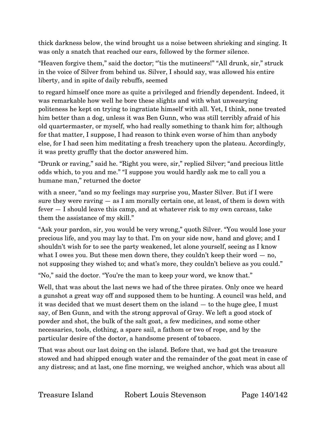thick darkness below, the wind brought us a noise between shrieking and singing. It was only a snatch that reached our ears, followed by the former silence.

"Heaven forgive them," said the doctor; "'tis the mutineers!" "All drunk, sir," struck in the voice of Silver from behind us. Silver, I should say, was allowed his entire liberty, and in spite of daily rebuffs, seemed

to regard himself once more as quite a privileged and friendly dependent. Indeed, it was remarkable how well he bore these slights and with what unwearying politeness he kept on trying to ingratiate himself with all. Yet, I think, none treated him better than a dog, unless it was Ben Gunn, who was still terribly afraid of his old quartermaster, or myself, who had really something to thank him for; although for that matter, I suppose, I had reason to think even worse of him than anybody else, for I had seen him meditating a fresh treachery upon the plateau. Accordingly, it was pretty gruffly that the doctor answered him.

"Drunk or raving," said he. "Right you were, sir," replied Silver; "and precious little odds which, to you and me." "I suppose you would hardly ask me to call you a humane man," returned the doctor

with a sneer, "and so my feelings may surprise you, Master Silver. But if I were sure they were raving  $-$  as I am morally certain one, at least, of them is down with fever — I should leave this camp, and at whatever risk to my own carcass, take them the assistance of my skill."

"Ask your pardon, sir, you would be very wrong," quoth Silver. "You would lose your precious life, and you may lay to that. I'm on your side now, hand and glove; and I shouldn't wish for to see the party weakened, let alone yourself, seeing as I know what I owes you. But these men down there, they couldn't keep their word  $-$  no, not supposing they wished to; and what's more, they couldn't believe as you could."

"No," said the doctor. "You're the man to keep your word, we know that."

Well, that was about the last news we had of the three pirates. Only once we heard a gunshot a great way off and supposed them to be hunting. A council was held, and it was decided that we must desert them on the island — to the huge glee, I must say, of Ben Gunn, and with the strong approval of Gray. We left a good stock of powder and shot, the bulk of the salt goat, a few medicines, and some other necessaries, tools, clothing, a spare sail, a fathom or two of rope, and by the particular desire of the doctor, a handsome present of tobacco.

That was about our last doing on the island. Before that, we had got the treasure stowed and had shipped enough water and the remainder of the goat meat in case of any distress; and at last, one fine morning, we weighed anchor, which was about all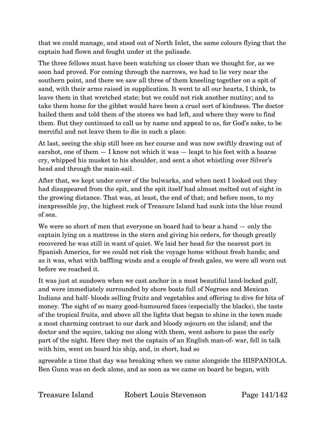that we could manage, and stood out of North Inlet, the same colours flying that the captain had flown and fought under at the palisade.

The three fellows must have been watching us closer than we thought for, as we soon had proved. For coming through the narrows, we had to lie very near the southern point, and there we saw all three of them kneeling together on a spit of sand, with their arms raised in supplication. It went to all our hearts, I think, to leave them in that wretched state; but we could not risk another mutiny; and to take them home for the gibbet would have been a cruel sort of kindness. The doctor hailed them and told them of the stores we had left, and where they were to find them. But they continued to call us by name and appeal to us, for God's sake, to be merciful and not leave them to die in such a place.

At last, seeing the ship still bore on her course and was now swiftly drawing out of earshot, one of them — I know not which it was — leapt to his feet with a hoarse cry, whipped his musket to his shoulder, and sent a shot whistling over Silver's head and through the main-sail.

After that, we kept under cover of the bulwarks, and when next I looked out they had disappeared from the spit, and the spit itself had almost melted out of sight in the growing distance. That was, at least, the end of that; and before noon, to my inexpressible joy, the highest rock of Treasure Island had sunk into the blue round of sea.

We were so short of men that everyone on board had to bear a hand – only the captain lying on a mattress in the stern and giving his orders, for though greatly recovered he was still in want of quiet. We laid her head for the nearest port in Spanish America, for we could not risk the voyage home without fresh hands; and as it was, what with baffling winds and a couple of fresh gales, we were all worn out before we reached it.

It was just at sundown when we cast anchor in a most beautiful land-locked gulf, and were immediately surrounded by shore boats full of Negroes and Mexican Indians and half- bloods selling fruits and vegetables and offering to dive for bits of money. The sight of so many good-humoured faces (especially the blacks), the taste of the tropical fruits, and above all the lights that began to shine in the town made a most charming contrast to our dark and bloody sojourn on the island; and the doctor and the squire, taking me along with them, went ashore to pass the early part of the night. Here they met the captain of an English man-of- war, fell in talk with him, went on board his ship, and, in short, had so

agreeable a time that day was breaking when we came alongside the HISPANIOLA. Ben Gunn was on deck alone, and as soon as we came on board he began, with

Treasure Island Robert Louis Stevenson Page 141/142